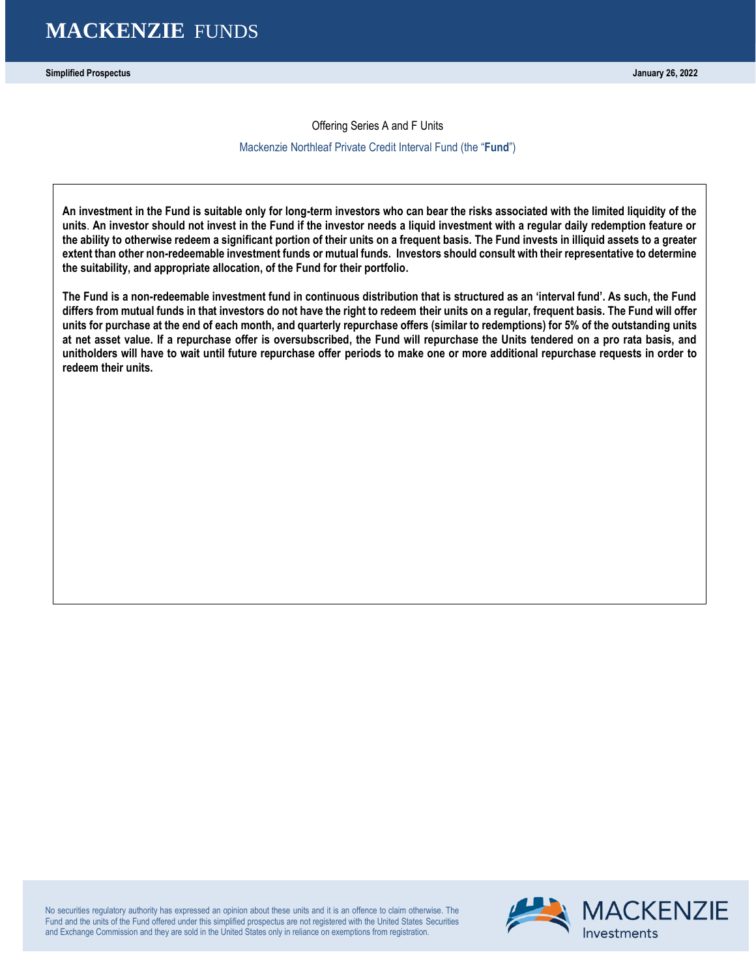**Simplified Prospectus January 26, 2022**

Offering Series A and F Units

#### Mackenzie Northleaf Private Credit Interval Fund (the "**Fund**")

**An investment in the Fund is suitable only for long-term investors who can bear the risks associated with the limited liquidity of the units**. **An investor should not invest in the Fund if the investor needs a liquid investment with a regular daily redemption feature or the ability to otherwise redeem a significant portion of their units on a frequent basis. The Fund invests in illiquid assets to a greater extent than other non-redeemable investment funds or mutual funds. Investors should consult with their representative to determine the suitability, and appropriate allocation, of the Fund for their portfolio.**

**The Fund is a non-redeemable investment fund in continuous distribution that is structured as an 'interval fund'. As such, the Fund differs from mutual funds in that investors do not have the right to redeem their units on a regular, frequent basis. The Fund will offer units for purchase at the end of each month, and quarterly repurchase offers (similar to redemptions) for 5% of the outstanding units at net asset value. If a repurchase offer is oversubscribed, the Fund will repurchase the Units tendered on a pro rata basis, and unitholders will have to wait until future repurchase offer periods to make one or more additional repurchase requests in order to redeem their units.**

No securities regulatory authority has expressed an opinion about these units and it is an offence to claim otherwise. The Fund and the units of the Fund offered under this simplified prospectus are not registered with the United States Securities and Exchange Commission and they are sold in the United States only in reliance on exemptions from registration.

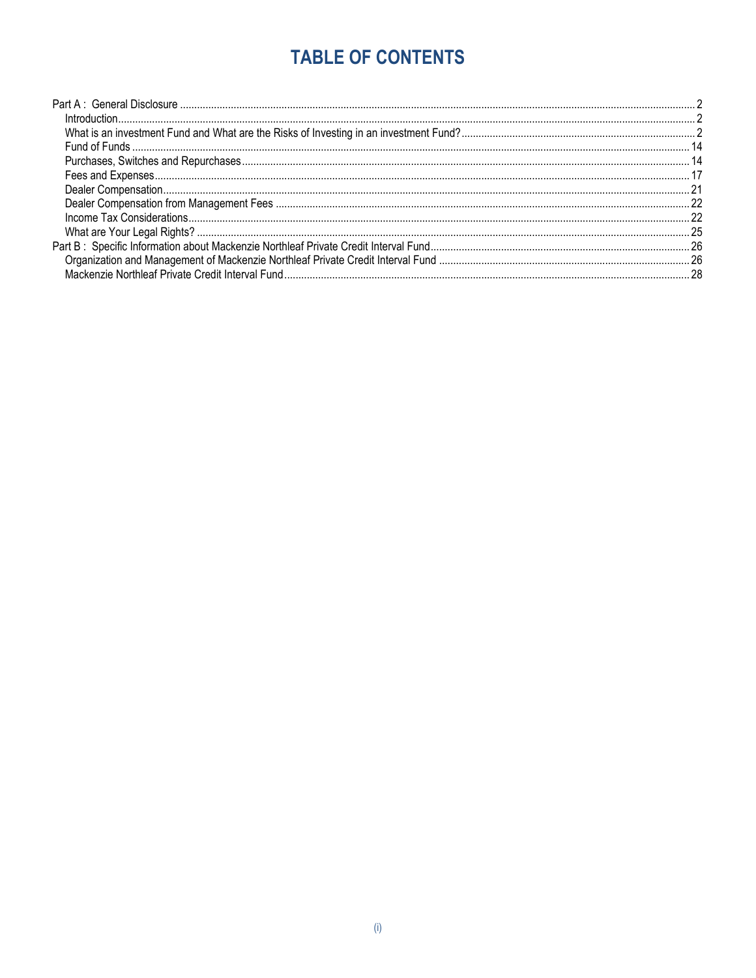# **TABLE OF CONTENTS**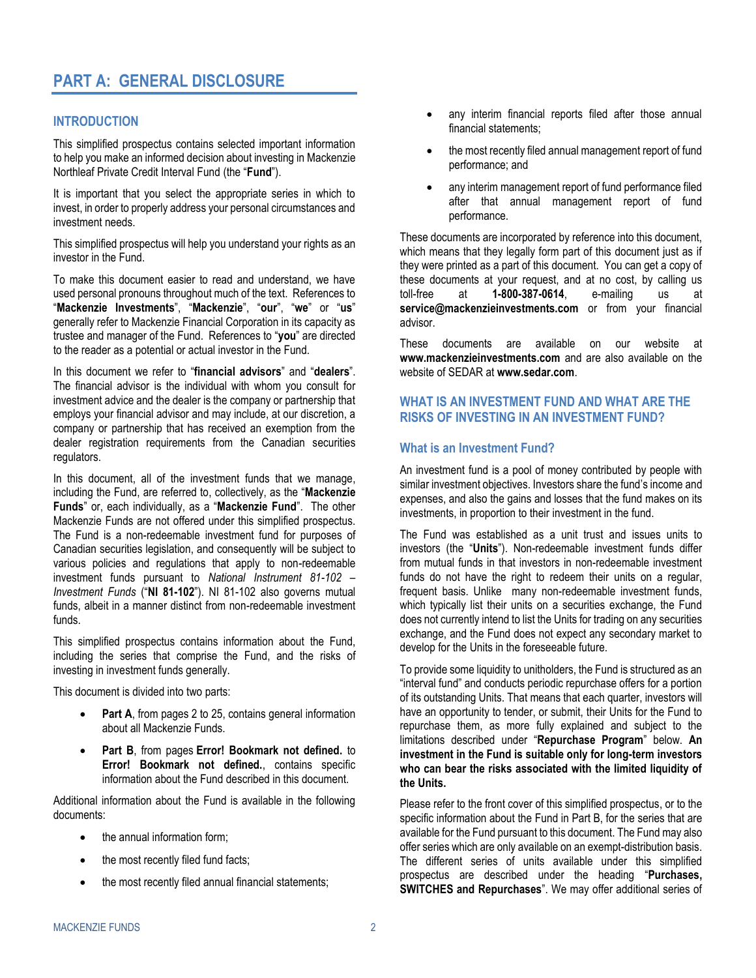# <span id="page-3-0"></span>**PART A: GENERAL DISCLOSURE**

# <span id="page-3-1"></span>**INTRODUCTION**

This simplified prospectus contains selected important information to help you make an informed decision about investing in Mackenzie Northleaf Private Credit Interval Fund (the "**Fund**").

It is important that you select the appropriate series in which to invest, in order to properly address your personal circumstances and investment needs.

This simplified prospectus will help you understand your rights as an investor in the Fund.

To make this document easier to read and understand, we have used personal pronouns throughout much of the text. References to "**Mackenzie Investments**", "**Mackenzie**", "**our**", "**we**" or "**us**" generally refer to Mackenzie Financial Corporation in its capacity as trustee and manager of the Fund. References to "**you**" are directed to the reader as a potential or actual investor in the Fund.

In this document we refer to "**financial advisors**" and "**dealers**". The financial advisor is the individual with whom you consult for investment advice and the dealer is the company or partnership that employs your financial advisor and may include, at our discretion, a company or partnership that has received an exemption from the dealer registration requirements from the Canadian securities regulators.

In this document, all of the investment funds that we manage, including the Fund, are referred to, collectively, as the "**Mackenzie Funds**" or, each individually, as a "**Mackenzie Fund**". The other Mackenzie Funds are not offered under this simplified prospectus. The Fund is a non-redeemable investment fund for purposes of Canadian securities legislation, and consequently will be subject to various policies and regulations that apply to non-redeemable investment funds pursuant to *National Instrument 81-102 – Investment Funds* ("**NI 81-102**"). NI 81-102 also governs mutual funds, albeit in a manner distinct from non-redeemable investment funds.

This simplified prospectus contains information about the Fund, including the series that comprise the Fund, and the risks of investing in investment funds generally.

This document is divided into two parts:

- Part A, from pages [2](#page-3-1) to [25,](#page-26-1) contains general information about all Mackenzie Funds.
- **Part B**, from pages **Error! Bookmark not defined.** to **Error! Bookmark not defined.**, contains specific information about the Fund described in this document.

Additional information about the Fund is available in the following documents:

- the annual information form;
- the most recently filed fund facts;
- the most recently filed annual financial statements;
- any interim financial reports filed after those annual financial statements;
- the most recently filed annual management report of fund performance; and
- any interim management report of fund performance filed after that annual management report of fund performance.

These documents are incorporated by reference into this document, which means that they legally form part of this document just as if they were printed as a part of this document. You can get a copy of these documents at your request, and at no cost, by calling us toll-free at **1-800-387-0614**, e-mailing us at **service@mackenzieinvestments.com** or from your financial advisor.

These documents are available on our website at **www.mackenzieinvestments.com** and are also available on the website of SEDAR at **www.sedar.com**.

# <span id="page-3-2"></span>**WHAT IS AN INVESTMENT FUND AND WHAT ARE THE RISKS OF INVESTING IN AN INVESTMENT FUND?**

# **What is an Investment Fund?**

An investment fund is a pool of money contributed by people with similar investment objectives. Investors share the fund's income and expenses, and also the gains and losses that the fund makes on its investments, in proportion to their investment in the fund.

The Fund was established as a unit trust and issues units to investors (the "**Units**"). Non-redeemable investment funds differ from mutual funds in that investors in non-redeemable investment funds do not have the right to redeem their units on a regular, frequent basis. Unlike many non-redeemable investment funds, which typically list their units on a securities exchange, the Fund does not currently intend to list the Units for trading on any securities exchange, and the Fund does not expect any secondary market to develop for the Units in the foreseeable future.

To provide some liquidity to unitholders, the Fund is structured as an "interval fund" and conducts periodic repurchase offers for a portion of its outstanding Units. That means that each quarter, investors will have an opportunity to tender, or submit, their Units for the Fund to repurchase them, as more fully explained and subject to the limitations described under "**[Repurchase Program](#page-17-0)**" below. **An investment in the Fund is suitable only for long-term investors who can bear the risks associated with the limited liquidity of the Units.**

Please refer to the front cover of this simplified prospectus, or to the specific information about the Fund in Part B, for the series that are available for the Fund pursuant to this document. The Fund may also offer series which are only available on an exempt-distribution basis. The different series of units available under this simplified prospectus are described under the heading "**[Purchases,](#page-15-1)  SWITCHES and [Repurchases](#page-15-1)**". We may offer additional series of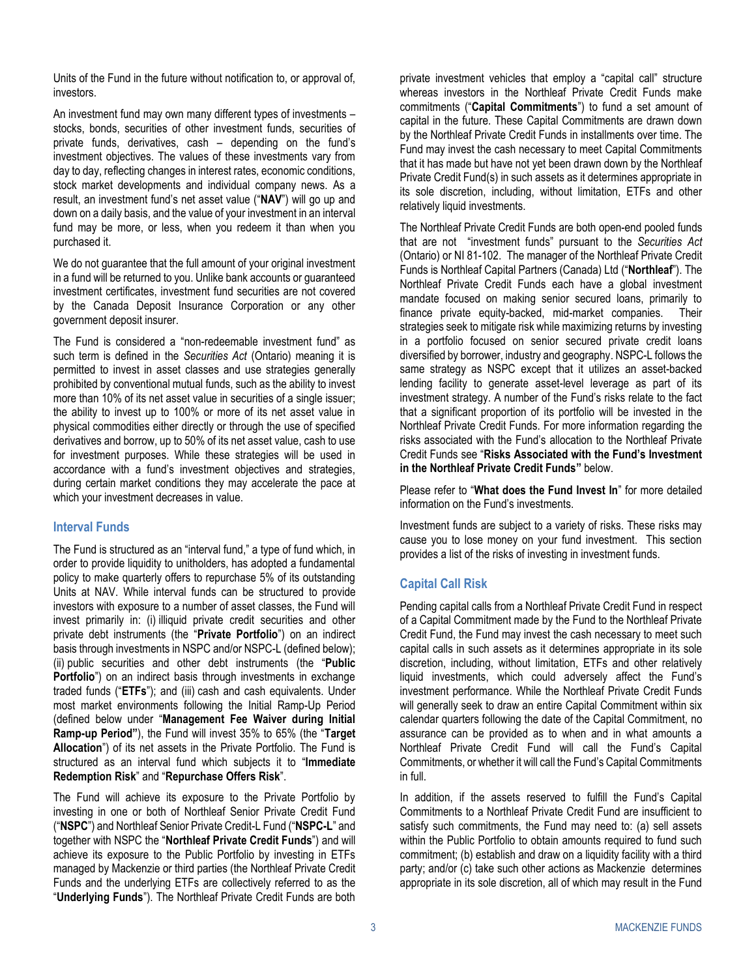Units of the Fund in the future without notification to, or approval of, investors.

An investment fund may own many different types of investments – stocks, bonds, securities of other investment funds, securities of private funds, derivatives, cash – depending on the fund's investment objectives. The values of these investments vary from day to day, reflecting changes in interest rates, economic conditions, stock market developments and individual company news. As a result, an investment fund's net asset value ("**NAV**") will go up and down on a daily basis, and the value of your investment in an interval fund may be more, or less, when you redeem it than when you purchased it.

We do not guarantee that the full amount of your original investment in a fund will be returned to you. Unlike bank accounts or guaranteed investment certificates, investment fund securities are not covered by the Canada Deposit Insurance Corporation or any other government deposit insurer.

The Fund is considered a "non-redeemable investment fund" as such term is defined in the *Securities Act* (Ontario) meaning it is permitted to invest in asset classes and use strategies generally prohibited by conventional mutual funds, such as the ability to invest more than 10% of its net asset value in securities of a single issuer; the ability to invest up to 100% or more of its net asset value in physical commodities either directly or through the use of specified derivatives and borrow, up to 50% of its net asset value, cash to use for investment purposes. While these strategies will be used in accordance with a fund's investment objectives and strategies, during certain market conditions they may accelerate the pace at which your investment decreases in value.

# **Interval Funds**

The Fund is structured as an "interval fund," a type of fund which, in order to provide liquidity to unitholders, has adopted a fundamental policy to make quarterly offers to repurchase 5% of its outstanding Units at NAV. While interval funds can be structured to provide investors with exposure to a number of asset classes, the Fund will invest primarily in: (i) illiquid private credit securities and other private debt instruments (the "**Private Portfolio**") on an indirect basis through investments in NSPC and/or NSPC-L (defined below); (ii) public securities and other debt instruments (the "**Public Portfolio**") on an indirect basis through investments in exchange traded funds ("**ETFs**"); and (iii) cash and cash equivalents. Under most market environments following the Initial Ramp-Up Period (defined below under "**[Management Fee Waiver during Initial](#page-18-1)  [Ramp-up Period](#page-18-1)"**), the Fund will invest 35% to 65% (the "**Target Allocation**") of its net assets in the Private Portfolio. The Fund is structured as an interval fund which subjects it to "**Immediate Redemption Risk**" and "**Repurchase Offers Risk**".

The Fund will achieve its exposure to the Private Portfolio by investing in one or both of Northleaf Senior Private Credit Fund ("**NSPC**") and Northleaf Senior Private Credit-L Fund ("**NSPC-L**" and together with NSPC the "**Northleaf Private Credit Funds**") and will achieve its exposure to the Public Portfolio by investing in ETFs managed by Mackenzie or third parties (the Northleaf Private Credit Funds and the underlying ETFs are collectively referred to as the "**Underlying Funds**"). The Northleaf Private Credit Funds are both

private investment vehicles that employ a "capital call" structure whereas investors in the Northleaf Private Credit Funds make commitments ("**Capital Commitments**") to fund a set amount of capital in the future. These Capital Commitments are drawn down by the Northleaf Private Credit Funds in installments over time. The Fund may invest the cash necessary to meet Capital Commitments that it has made but have not yet been drawn down by the Northleaf Private Credit Fund(s) in such assets as it determines appropriate in its sole discretion, including, without limitation, ETFs and other relatively liquid investments.

The Northleaf Private Credit Funds are both open-end pooled funds that are not "investment funds" pursuant to the *Securities Act*  (Ontario) or NI 81-102. The manager of the Northleaf Private Credit Funds is Northleaf Capital Partners (Canada) Ltd ("**Northleaf**"). The Northleaf Private Credit Funds each have a global investment mandate focused on making senior secured loans, primarily to finance private equity-backed, mid-market companies. Their strategies seek to mitigate risk while maximizing returns by investing in a portfolio focused on senior secured private credit loans diversified by borrower, industry and geography. NSPC-L follows the same strategy as NSPC except that it utilizes an asset-backed lending facility to generate asset-level leverage as part of its investment strategy. A number of the Fund's risks relate to the fact that a significant proportion of its portfolio will be invested in the Northleaf Private Credit Funds. For more information regarding the risks associated with the Fund's allocation to the Northleaf Private Credit Funds see "**[Risks Associated with the Fund's Investment](#page-11-0)  [in the Northleaf Private Credit Funds](#page-11-0)"** below.

Please refer to "**What does the Fund Invest In**" for more detailed information on the Fund's investments.

Investment funds are subject to a variety of risks. These risks may cause you to lose money on your fund investment. This section provides a list of the risks of investing in investment funds.

# **Capital Call Risk**

Pending capital calls from a Northleaf Private Credit Fund in respect of a Capital Commitment made by the Fund to the Northleaf Private Credit Fund, the Fund may invest the cash necessary to meet such capital calls in such assets as it determines appropriate in its sole discretion, including, without limitation, ETFs and other relatively liquid investments, which could adversely affect the Fund's investment performance. While the Northleaf Private Credit Funds will generally seek to draw an entire Capital Commitment within six calendar quarters following the date of the Capital Commitment, no assurance can be provided as to when and in what amounts a Northleaf Private Credit Fund will call the Fund's Capital Commitments, or whether it will call the Fund's Capital Commitments in full.

In addition, if the assets reserved to fulfill the Fund's Capital Commitments to a Northleaf Private Credit Fund are insufficient to satisfy such commitments, the Fund may need to: (a) sell assets within the Public Portfolio to obtain amounts required to fund such commitment; (b) establish and draw on a liquidity facility with a third party; and/or (c) take such other actions as Mackenzie determines appropriate in its sole discretion, all of which may result in the Fund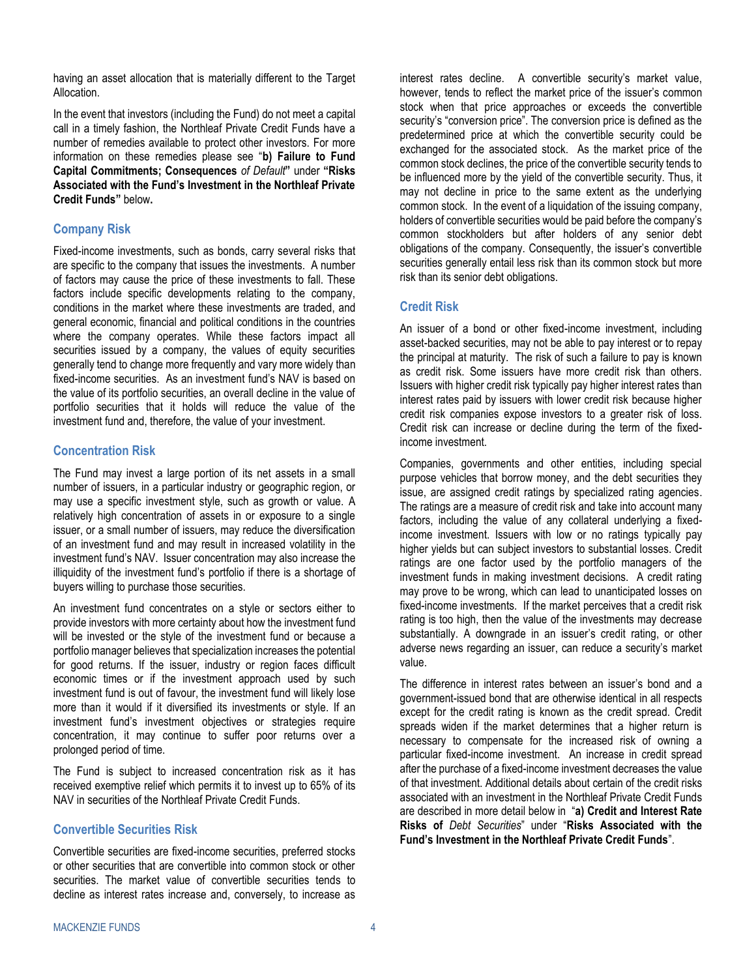having an asset allocation that is materially different to the Target Allocation.

In the event that investors (including the Fund) do not meet a capital call in a timely fashion, the Northleaf Private Credit Funds have a number of remedies available to protect other investors. For more information on these remedies please see "**b) [Failure to Fund](#page-12-0) Capital [Commitments; Consequences](#page-12-0)** *of Default***"** under **"[Risks](#page-11-0)  [Associated with the Fund's Investment in the Northleaf Private](#page-11-0)  [Credit Funds](#page-11-0)"** below**.**

# **Company Risk**

Fixed-income investments, such as bonds, carry several risks that are specific to the company that issues the investments. A number of factors may cause the price of these investments to fall. These factors include specific developments relating to the company, conditions in the market where these investments are traded, and general economic, financial and political conditions in the countries where the company operates. While these factors impact all securities issued by a company, the values of equity securities generally tend to change more frequently and vary more widely than fixed-income securities. As an investment fund's NAV is based on the value of its portfolio securities, an overall decline in the value of portfolio securities that it holds will reduce the value of the investment fund and, therefore, the value of your investment.

# **Concentration Risk**

The Fund may invest a large portion of its net assets in a small number of issuers, in a particular industry or geographic region, or may use a specific investment style, such as growth or value. A relatively high concentration of assets in or exposure to a single issuer, or a small number of issuers, may reduce the diversification of an investment fund and may result in increased volatility in the investment fund's NAV. Issuer concentration may also increase the illiquidity of the investment fund's portfolio if there is a shortage of buyers willing to purchase those securities.

An investment fund concentrates on a style or sectors either to provide investors with more certainty about how the investment fund will be invested or the style of the investment fund or because a portfolio manager believes that specialization increases the potential for good returns. If the issuer, industry or region faces difficult economic times or if the investment approach used by such investment fund is out of favour, the investment fund will likely lose more than it would if it diversified its investments or style. If an investment fund's investment objectives or strategies require concentration, it may continue to suffer poor returns over a prolonged period of time.

The Fund is subject to increased concentration risk as it has received exemptive relief which permits it to invest up to 65% of its NAV in securities of the Northleaf Private Credit Funds.

# **Convertible Securities Risk**

Convertible securities are fixed-income securities, preferred stocks or other securities that are convertible into common stock or other securities. The market value of convertible securities tends to decline as interest rates increase and, conversely, to increase as

interest rates decline. A convertible security's market value, however, tends to reflect the market price of the issuer's common stock when that price approaches or exceeds the convertible security's "conversion price". The conversion price is defined as the predetermined price at which the convertible security could be exchanged for the associated stock. As the market price of the common stock declines, the price of the convertible security tends to be influenced more by the yield of the convertible security. Thus, it may not decline in price to the same extent as the underlying common stock. In the event of a liquidation of the issuing company, holders of convertible securities would be paid before the company's common stockholders but after holders of any senior debt obligations of the company. Consequently, the issuer's convertible securities generally entail less risk than its common stock but more risk than its senior debt obligations.

# **Credit Risk**

An issuer of a bond or other fixed-income investment, including asset-backed securities, may not be able to pay interest or to repay the principal at maturity. The risk of such a failure to pay is known as credit risk. Some issuers have more credit risk than others. Issuers with higher credit risk typically pay higher interest rates than interest rates paid by issuers with lower credit risk because higher credit risk companies expose investors to a greater risk of loss. Credit risk can increase or decline during the term of the fixedincome investment.

Companies, governments and other entities, including special purpose vehicles that borrow money, and the debt securities they issue, are assigned credit ratings by specialized rating agencies. The ratings are a measure of credit risk and take into account many factors, including the value of any collateral underlying a fixedincome investment. Issuers with low or no ratings typically pay higher yields but can subject investors to substantial losses. Credit ratings are one factor used by the portfolio managers of the investment funds in making investment decisions. A credit rating may prove to be wrong, which can lead to unanticipated losses on fixed-income investments. If the market perceives that a credit risk rating is too high, then the value of the investments may decrease substantially. A downgrade in an issuer's credit rating, or other adverse news regarding an issuer, can reduce a security's market value.

The difference in interest rates between an issuer's bond and a government-issued bond that are otherwise identical in all respects except for the credit rating is known as the credit spread. Credit spreads widen if the market determines that a higher return is necessary to compensate for the increased risk of owning a particular fixed-income investment. An increase in credit spread after the purchase of a fixed-income investment decreases the value of that investment. Additional details about certain of the credit risks associated with an investment in the Northleaf Private Credit Funds are described in more detail below in "**a) [Credit and Interest Rate](#page-11-1)  Risks of** *[Debt Securities](#page-11-1)*" under "**[Risks Associated with the](#page-11-0)  [Fund's Investment in the Northleaf Private Credit Funds](#page-11-0)**".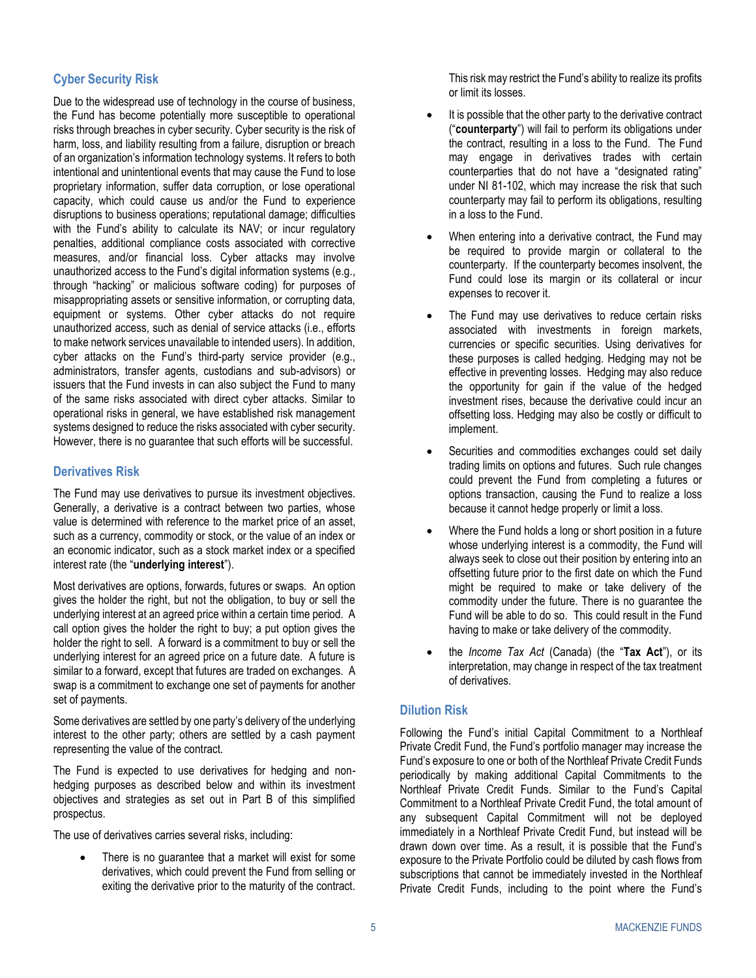### **Cyber Security Risk**

Due to the widespread use of technology in the course of business, the Fund has become potentially more susceptible to operational risks through breaches in cyber security. Cyber security is the risk of harm, loss, and liability resulting from a failure, disruption or breach of an organization's information technology systems. It refers to both intentional and unintentional events that may cause the Fund to lose proprietary information, suffer data corruption, or lose operational capacity, which could cause us and/or the Fund to experience disruptions to business operations; reputational damage; difficulties with the Fund's ability to calculate its NAV; or incur regulatory penalties, additional compliance costs associated with corrective measures, and/or financial loss. Cyber attacks may involve unauthorized access to the Fund's digital information systems (e.g., through "hacking" or malicious software coding) for purposes of misappropriating assets or sensitive information, or corrupting data, equipment or systems. Other cyber attacks do not require unauthorized access, such as denial of service attacks (i.e., efforts to make network services unavailable to intended users). In addition, cyber attacks on the Fund's third-party service provider (e.g., administrators, transfer agents, custodians and sub-advisors) or issuers that the Fund invests in can also subject the Fund to many of the same risks associated with direct cyber attacks. Similar to operational risks in general, we have established risk management systems designed to reduce the risks associated with cyber security. However, there is no guarantee that such efforts will be successful.

# <span id="page-6-0"></span>**Derivatives Risk**

The Fund may use derivatives to pursue its investment objectives. Generally, a derivative is a contract between two parties, whose value is determined with reference to the market price of an asset, such as a currency, commodity or stock, or the value of an index or an economic indicator, such as a stock market index or a specified interest rate (the "**underlying interest**").

Most derivatives are options, forwards, futures or swaps. An option gives the holder the right, but not the obligation, to buy or sell the underlying interest at an agreed price within a certain time period. A call option gives the holder the right to buy; a put option gives the holder the right to sell. A forward is a commitment to buy or sell the underlying interest for an agreed price on a future date. A future is similar to a forward, except that futures are traded on exchanges. A swap is a commitment to exchange one set of payments for another set of payments.

Some derivatives are settled by one party's delivery of the underlying interest to the other party; others are settled by a cash payment representing the value of the contract.

The Fund is expected to use derivatives for hedging and nonhedging purposes as described below and within its investment objectives and strategies as set out in Part B of this simplified prospectus.

The use of derivatives carries several risks, including:

There is no guarantee that a market will exist for some derivatives, which could prevent the Fund from selling or exiting the derivative prior to the maturity of the contract. This risk may restrict the Fund's ability to realize its profits or limit its losses.

- It is possible that the other party to the derivative contract ("**counterparty**") will fail to perform its obligations under the contract, resulting in a loss to the Fund. The Fund may engage in derivatives trades with certain counterparties that do not have a "designated rating" under NI 81-102, which may increase the risk that such counterparty may fail to perform its obligations, resulting in a loss to the Fund.
- When entering into a derivative contract, the Fund may be required to provide margin or collateral to the counterparty. If the counterparty becomes insolvent, the Fund could lose its margin or its collateral or incur expenses to recover it.
- The Fund may use derivatives to reduce certain risks associated with investments in foreign markets, currencies or specific securities. Using derivatives for these purposes is called hedging. Hedging may not be effective in preventing losses. Hedging may also reduce the opportunity for gain if the value of the hedged investment rises, because the derivative could incur an offsetting loss. Hedging may also be costly or difficult to implement.
- Securities and commodities exchanges could set daily trading limits on options and futures. Such rule changes could prevent the Fund from completing a futures or options transaction, causing the Fund to realize a loss because it cannot hedge properly or limit a loss.
- Where the Fund holds a long or short position in a future whose underlying interest is a commodity, the Fund will always seek to close out their position by entering into an offsetting future prior to the first date on which the Fund might be required to make or take delivery of the commodity under the future. There is no guarantee the Fund will be able to do so. This could result in the Fund having to make or take delivery of the commodity.
- the *Income Tax Act* (Canada) (the "**Tax Act**"), or its interpretation, may change in respect of the tax treatment of derivatives.

# **Dilution Risk**

Following the Fund's initial Capital Commitment to a Northleaf Private Credit Fund, the Fund's portfolio manager may increase the Fund's exposure to one or both of the Northleaf Private Credit Funds periodically by making additional Capital Commitments to the Northleaf Private Credit Funds. Similar to the Fund's Capital Commitment to a Northleaf Private Credit Fund, the total amount of any subsequent Capital Commitment will not be deployed immediately in a Northleaf Private Credit Fund, but instead will be drawn down over time. As a result, it is possible that the Fund's exposure to the Private Portfolio could be diluted by cash flows from subscriptions that cannot be immediately invested in the Northleaf Private Credit Funds, including to the point where the Fund's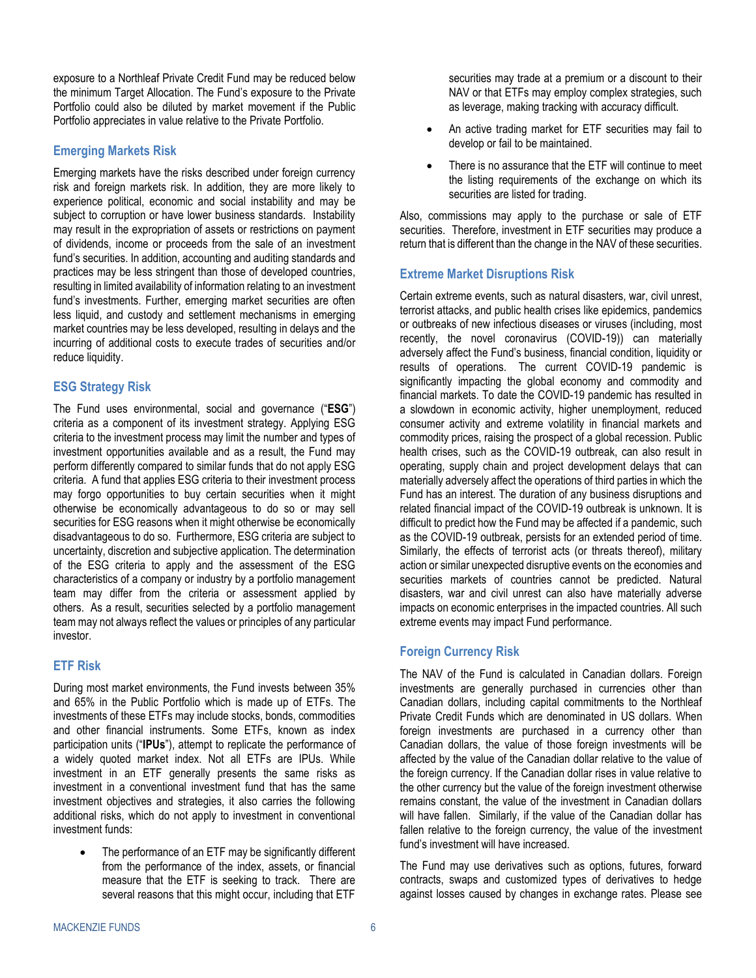exposure to a Northleaf Private Credit Fund may be reduced below the minimum Target Allocation. The Fund's exposure to the Private Portfolio could also be diluted by market movement if the Public Portfolio appreciates in value relative to the Private Portfolio.

# **Emerging Markets Risk**

Emerging markets have the risks described under foreign currency risk and foreign markets risk. In addition, they are more likely to experience political, economic and social instability and may be subject to corruption or have lower business standards. Instability may result in the expropriation of assets or restrictions on payment of dividends, income or proceeds from the sale of an investment fund's securities. In addition, accounting and auditing standards and practices may be less stringent than those of developed countries, resulting in limited availability of information relating to an investment fund's investments. Further, emerging market securities are often less liquid, and custody and settlement mechanisms in emerging market countries may be less developed, resulting in delays and the incurring of additional costs to execute trades of securities and/or reduce liquidity.

# **ESG Strategy Risk**

The Fund uses environmental, social and governance ("**ESG**") criteria as a component of its investment strategy. Applying ESG criteria to the investment process may limit the number and types of investment opportunities available and as a result, the Fund may perform differently compared to similar funds that do not apply ESG criteria. A fund that applies ESG criteria to their investment process may forgo opportunities to buy certain securities when it might otherwise be economically advantageous to do so or may sell securities for ESG reasons when it might otherwise be economically disadvantageous to do so. Furthermore, ESG criteria are subject to uncertainty, discretion and subjective application. The determination of the ESG criteria to apply and the assessment of the ESG characteristics of a company or industry by a portfolio management team may differ from the criteria or assessment applied by others. As a result, securities selected by a portfolio management team may not always reflect the values or principles of any particular investor.

# **ETF Risk**

During most market environments, the Fund invests between 35% and 65% in the Public Portfolio which is made up of ETFs. The investments of these ETFs may include stocks, bonds, commodities and other financial instruments. Some ETFs, known as index participation units ("**IPUs**"), attempt to replicate the performance of a widely quoted market index. Not all ETFs are IPUs. While investment in an ETF generally presents the same risks as investment in a conventional investment fund that has the same investment objectives and strategies, it also carries the following additional risks, which do not apply to investment in conventional investment funds:

The performance of an ETF may be significantly different from the performance of the index, assets, or financial measure that the ETF is seeking to track. There are several reasons that this might occur, including that ETF

securities may trade at a premium or a discount to their NAV or that ETFs may employ complex strategies, such as leverage, making tracking with accuracy difficult.

- An active trading market for ETF securities may fail to develop or fail to be maintained.
- There is no assurance that the ETF will continue to meet the listing requirements of the exchange on which its securities are listed for trading.

Also, commissions may apply to the purchase or sale of ETF securities. Therefore, investment in ETF securities may produce a return that is different than the change in the NAV of these securities.

# **Extreme Market Disruptions Risk**

Certain extreme events, such as natural disasters, war, civil unrest, terrorist attacks, and public health crises like epidemics, pandemics or outbreaks of new infectious diseases or viruses (including, most recently, the novel coronavirus (COVID-19)) can materially adversely affect the Fund's business, financial condition, liquidity or results of operations. The current COVID-19 pandemic is significantly impacting the global economy and commodity and financial markets. To date the COVID-19 pandemic has resulted in a slowdown in economic activity, higher unemployment, reduced consumer activity and extreme volatility in financial markets and commodity prices, raising the prospect of a global recession. Public health crises, such as the COVID-19 outbreak, can also result in operating, supply chain and project development delays that can materially adversely affect the operations of third parties in which the Fund has an interest. The duration of any business disruptions and related financial impact of the COVID-19 outbreak is unknown. It is difficult to predict how the Fund may be affected if a pandemic, such as the COVID-19 outbreak, persists for an extended period of time. Similarly, the effects of terrorist acts (or threats thereof), military action or similar unexpected disruptive events on the economies and securities markets of countries cannot be predicted. Natural disasters, war and civil unrest can also have materially adverse impacts on economic enterprises in the impacted countries. All such extreme events may impact Fund performance.

# **Foreign Currency Risk**

The NAV of the Fund is calculated in Canadian dollars. Foreign investments are generally purchased in currencies other than Canadian dollars, including capital commitments to the Northleaf Private Credit Funds which are denominated in US dollars. When foreign investments are purchased in a currency other than Canadian dollars, the value of those foreign investments will be affected by the value of the Canadian dollar relative to the value of the foreign currency. If the Canadian dollar rises in value relative to the other currency but the value of the foreign investment otherwise remains constant, the value of the investment in Canadian dollars will have fallen. Similarly, if the value of the Canadian dollar has fallen relative to the foreign currency, the value of the investment fund's investment will have increased.

The Fund may use derivatives such as options, futures, forward contracts, swaps and customized types of derivatives to hedge against losses caused by changes in exchange rates. Please see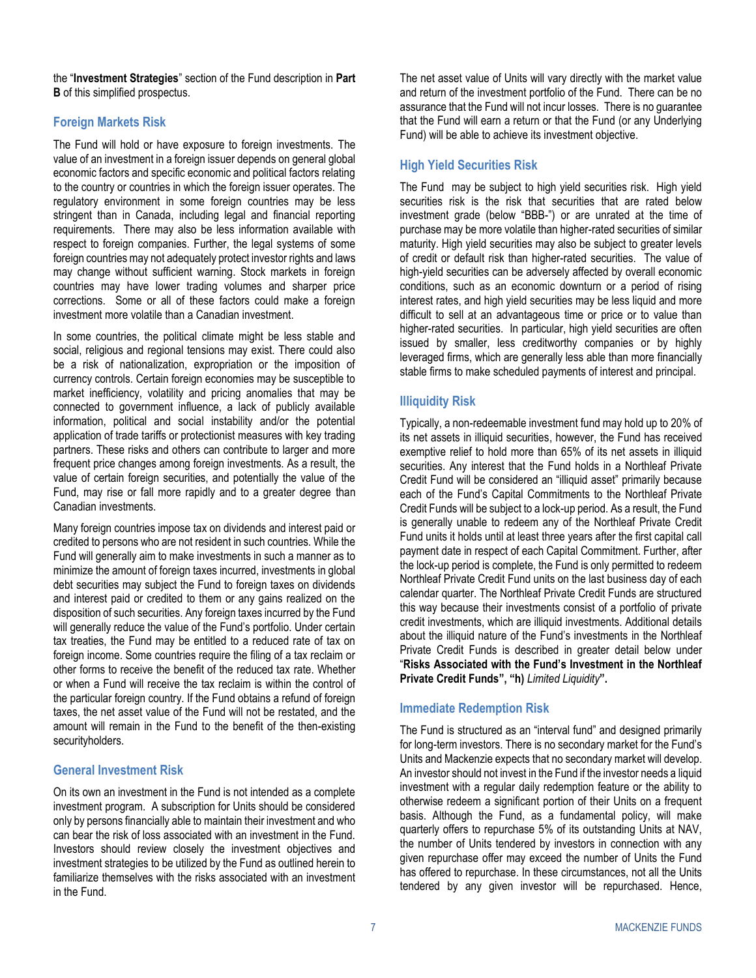the "**Investment Strategies**" section of the Fund description in **[Part](#page-27-0)  [B](#page-27-0)** of this simplified prospectus.

# **Foreign Markets Risk**

The Fund will hold or have exposure to foreign investments. The value of an investment in a foreign issuer depends on general global economic factors and specific economic and political factors relating to the country or countries in which the foreign issuer operates. The regulatory environment in some foreign countries may be less stringent than in Canada, including legal and financial reporting requirements. There may also be less information available with respect to foreign companies. Further, the legal systems of some foreign countries may not adequately protect investor rights and laws may change without sufficient warning. Stock markets in foreign countries may have lower trading volumes and sharper price corrections. Some or all of these factors could make a foreign investment more volatile than a Canadian investment.

In some countries, the political climate might be less stable and social, religious and regional tensions may exist. There could also be a risk of nationalization, expropriation or the imposition of currency controls. Certain foreign economies may be susceptible to market inefficiency, volatility and pricing anomalies that may be connected to government influence, a lack of publicly available information, political and social instability and/or the potential application of trade tariffs or protectionist measures with key trading partners. These risks and others can contribute to larger and more frequent price changes among foreign investments. As a result, the value of certain foreign securities, and potentially the value of the Fund, may rise or fall more rapidly and to a greater degree than Canadian investments.

Many foreign countries impose tax on dividends and interest paid or credited to persons who are not resident in such countries. While the Fund will generally aim to make investments in such a manner as to minimize the amount of foreign taxes incurred, investments in global debt securities may subject the Fund to foreign taxes on dividends and interest paid or credited to them or any gains realized on the disposition of such securities. Any foreign taxes incurred by the Fund will generally reduce the value of the Fund's portfolio. Under certain tax treaties, the Fund may be entitled to a reduced rate of tax on foreign income. Some countries require the filing of a tax reclaim or other forms to receive the benefit of the reduced tax rate. Whether or when a Fund will receive the tax reclaim is within the control of the particular foreign country. If the Fund obtains a refund of foreign taxes, the net asset value of the Fund will not be restated, and the amount will remain in the Fund to the benefit of the then-existing securityholders.

# **General Investment Risk**

On its own an investment in the Fund is not intended as a complete investment program. A subscription for Units should be considered only by persons financially able to maintain their investment and who can bear the risk of loss associated with an investment in the Fund. Investors should review closely the investment objectives and investment strategies to be utilized by the Fund as outlined herein to familiarize themselves with the risks associated with an investment in the Fund.

The net asset value of Units will vary directly with the market value and return of the investment portfolio of the Fund. There can be no assurance that the Fund will not incur losses. There is no guarantee that the Fund will earn a return or that the Fund (or any Underlying Fund) will be able to achieve its investment objective.

# **High Yield Securities Risk**

The Fund may be subject to high yield securities risk. High yield securities risk is the risk that securities that are rated below investment grade (below "BBB-") or are unrated at the time of purchase may be more volatile than higher-rated securities of similar maturity. High yield securities may also be subject to greater levels of credit or default risk than higher-rated securities. The value of high-yield securities can be adversely affected by overall economic conditions, such as an economic downturn or a period of rising interest rates, and high yield securities may be less liquid and more difficult to sell at an advantageous time or price or to value than higher-rated securities. In particular, high yield securities are often issued by smaller, less creditworthy companies or by highly leveraged firms, which are generally less able than more financially stable firms to make scheduled payments of interest and principal.

# **Illiquidity Risk**

Typically, a non-redeemable investment fund may hold up to 20% of its net assets in illiquid securities, however, the Fund has received exemptive relief to hold more than 65% of its net assets in illiquid securities. Any interest that the Fund holds in a Northleaf Private Credit Fund will be considered an "illiquid asset" primarily because each of the Fund's Capital Commitments to the Northleaf Private Credit Funds will be subject to a lock-up period. As a result, the Fund is generally unable to redeem any of the Northleaf Private Credit Fund units it holds until at least three years after the first capital call payment date in respect of each Capital Commitment. Further, after the lock-up period is complete, the Fund is only permitted to redeem Northleaf Private Credit Fund units on the last business day of each calendar quarter. The Northleaf Private Credit Funds are structured this way because their investments consist of a portfolio of private credit investments, which are illiquid investments. Additional details about the illiquid nature of the Fund's investments in the Northleaf Private Credit Funds is described in greater detail below under "**[Risks Associated with the Fund's Investment in the Northleaf](#page-11-0)  [Private Credit Funds](#page-11-0)", "h)** *[Limited Liquidity](#page-13-0)***".**

# **Immediate Redemption Risk**

The Fund is structured as an "interval fund" and designed primarily for long-term investors. There is no secondary market for the Fund's Units and Mackenzie expects that no secondary market will develop. An investor should not invest in the Fund if the investor needs a liquid investment with a regular daily redemption feature or the ability to otherwise redeem a significant portion of their Units on a frequent basis. Although the Fund, as a fundamental policy, will make quarterly offers to repurchase 5% of its outstanding Units at NAV, the number of Units tendered by investors in connection with any given repurchase offer may exceed the number of Units the Fund has offered to repurchase. In these circumstances, not all the Units tendered by any given investor will be repurchased. Hence,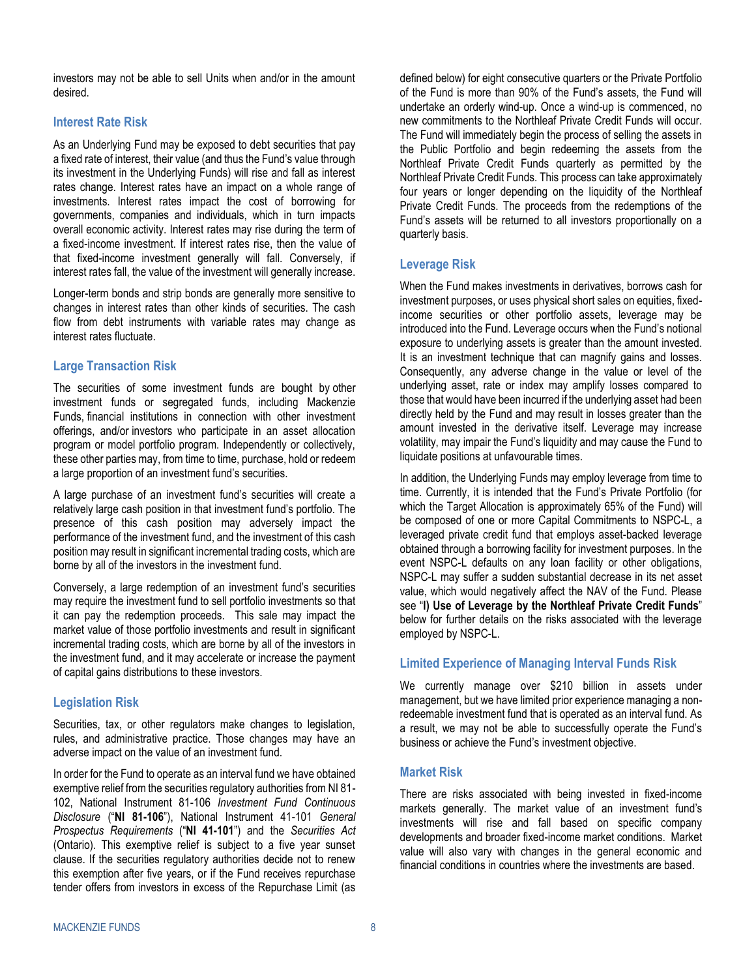investors may not be able to sell Units when and/or in the amount desired.

# **Interest Rate Risk**

As an Underlying Fund may be exposed to debt securities that pay a fixed rate of interest, their value (and thus the Fund's value through its investment in the Underlying Funds) will rise and fall as interest rates change. Interest rates have an impact on a whole range of investments. Interest rates impact the cost of borrowing for governments, companies and individuals, which in turn impacts overall economic activity. Interest rates may rise during the term of a fixed-income investment. If interest rates rise, then the value of that fixed-income investment generally will fall. Conversely, if interest rates fall, the value of the investment will generally increase.

Longer-term bonds and strip bonds are generally more sensitive to changes in interest rates than other kinds of securities. The cash flow from debt instruments with variable rates may change as interest rates fluctuate.

# **Large Transaction Risk**

The securities of some investment funds are bought by other investment funds or segregated funds, including Mackenzie Funds, financial institutions in connection with other investment offerings, and/or investors who participate in an asset allocation program or model portfolio program. Independently or collectively, these other parties may, from time to time, purchase, hold or redeem a large proportion of an investment fund's securities.

A large purchase of an investment fund's securities will create a relatively large cash position in that investment fund's portfolio. The presence of this cash position may adversely impact the performance of the investment fund, and the investment of this cash position may result in significant incremental trading costs, which are borne by all of the investors in the investment fund.

Conversely, a large redemption of an investment fund's securities may require the investment fund to sell portfolio investments so that it can pay the redemption proceeds. This sale may impact the market value of those portfolio investments and result in significant incremental trading costs, which are borne by all of the investors in the investment fund, and it may accelerate or increase the payment of capital gains distributions to these investors.

# **Legislation Risk**

Securities, tax, or other regulators make changes to legislation, rules, and administrative practice. Those changes may have an adverse impact on the value of an investment fund.

In order for the Fund to operate as an interval fund we have obtained exemptive relief from the securities regulatory authorities from NI 81- 102, National Instrument 81-106 *Investment Fund Continuous Disclosure* ("**NI 81-106**"), National Instrument 41-101 *General Prospectus Requirements* ("**NI 41-101**") and the *Securities Act* (Ontario). This exemptive relief is subject to a five year sunset clause. If the securities regulatory authorities decide not to renew this exemption after five years, or if the Fund receives repurchase tender offers from investors in excess of the Repurchase Limit (as

defined below) for eight consecutive quarters or the Private Portfolio of the Fund is more than 90% of the Fund's assets, the Fund will undertake an orderly wind-up. Once a wind-up is commenced, no new commitments to the Northleaf Private Credit Funds will occur. The Fund will immediately begin the process of selling the assets in the Public Portfolio and begin redeeming the assets from the Northleaf Private Credit Funds quarterly as permitted by the Northleaf Private Credit Funds. This process can take approximately four years or longer depending on the liquidity of the Northleaf Private Credit Funds. The proceeds from the redemptions of the Fund's assets will be returned to all investors proportionally on a quarterly basis.

# **Leverage Risk**

When the Fund makes investments in derivatives, borrows cash for investment purposes, or uses physical short sales on equities, fixedincome securities or other portfolio assets, leverage may be introduced into the Fund. Leverage occurs when the Fund's notional exposure to underlying assets is greater than the amount invested. It is an investment technique that can magnify gains and losses. Consequently, any adverse change in the value or level of the underlying asset, rate or index may amplify losses compared to those that would have been incurred if the underlying asset had been directly held by the Fund and may result in losses greater than the amount invested in the derivative itself. Leverage may increase volatility, may impair the Fund's liquidity and may cause the Fund to liquidate positions at unfavourable times.

In addition, the Underlying Funds may employ leverage from time to time. Currently, it is intended that the Fund's Private Portfolio (for which the Target Allocation is approximately 65% of the Fund) will be composed of one or more Capital Commitments to NSPC-L, a leveraged private credit fund that employs asset-backed leverage obtained through a borrowing facility for investment purposes. In the event NSPC-L defaults on any loan facility or other obligations, NSPC-L may suffer a sudden substantial decrease in its net asset value, which would negatively affect the NAV of the Fund. Please see "**l) [Use of Leverage by the Northleaf Private Credit Funds](#page-14-0)**" below for further details on the risks associated with the leverage employed by NSPC-L.

# **Limited Experience of Managing Interval Funds Risk**

We currently manage over \$210 billion in assets under management, but we have limited prior experience managing a nonredeemable investment fund that is operated as an interval fund. As a result, we may not be able to successfully operate the Fund's business or achieve the Fund's investment objective.

# **Market Risk**

There are risks associated with being invested in fixed-income markets generally. The market value of an investment fund's investments will rise and fall based on specific company developments and broader fixed-income market conditions. Market value will also vary with changes in the general economic and financial conditions in countries where the investments are based.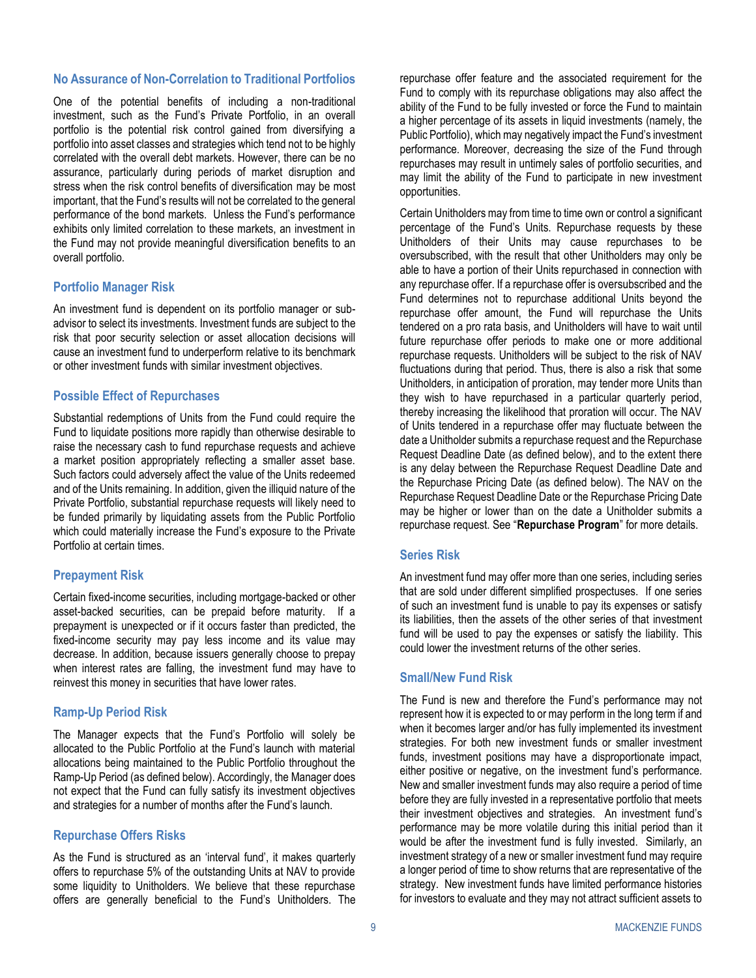#### **No Assurance of Non-Correlation to Traditional Portfolios**

One of the potential benefits of including a non-traditional investment, such as the Fund's Private Portfolio, in an overall portfolio is the potential risk control gained from diversifying a portfolio into asset classes and strategies which tend not to be highly correlated with the overall debt markets. However, there can be no assurance, particularly during periods of market disruption and stress when the risk control benefits of diversification may be most important, that the Fund's results will not be correlated to the general performance of the bond markets. Unless the Fund's performance exhibits only limited correlation to these markets, an investment in the Fund may not provide meaningful diversification benefits to an overall portfolio.

#### **Portfolio Manager Risk**

An investment fund is dependent on its portfolio manager or subadvisor to select its investments. Investment funds are subject to the risk that poor security selection or asset allocation decisions will cause an investment fund to underperform relative to its benchmark or other investment funds with similar investment objectives.

#### **Possible Effect of Repurchases**

Substantial redemptions of Units from the Fund could require the Fund to liquidate positions more rapidly than otherwise desirable to raise the necessary cash to fund repurchase requests and achieve a market position appropriately reflecting a smaller asset base. Such factors could adversely affect the value of the Units redeemed and of the Units remaining. In addition, given the illiquid nature of the Private Portfolio, substantial repurchase requests will likely need to be funded primarily by liquidating assets from the Public Portfolio which could materially increase the Fund's exposure to the Private Portfolio at certain times.

#### **Prepayment Risk**

Certain fixed-income securities, including mortgage-backed or other asset-backed securities, can be prepaid before maturity. If a prepayment is unexpected or if it occurs faster than predicted, the fixed-income security may pay less income and its value may decrease. In addition, because issuers generally choose to prepay when interest rates are falling, the investment fund may have to reinvest this money in securities that have lower rates.

### **Ramp-Up Period Risk**

The Manager expects that the Fund's Portfolio will solely be allocated to the Public Portfolio at the Fund's launch with material allocations being maintained to the Public Portfolio throughout the Ramp-Up Period (as defined below). Accordingly, the Manager does not expect that the Fund can fully satisfy its investment objectives and strategies for a number of months after the Fund's launch.

#### **Repurchase Offers Risks**

As the Fund is structured as an 'interval fund', it makes quarterly offers to repurchase 5% of the outstanding Units at NAV to provide some liquidity to Unitholders. We believe that these repurchase offers are generally beneficial to the Fund's Unitholders. The repurchase offer feature and the associated requirement for the Fund to comply with its repurchase obligations may also affect the ability of the Fund to be fully invested or force the Fund to maintain a higher percentage of its assets in liquid investments (namely, the Public Portfolio), which may negatively impact the Fund's investment performance. Moreover, decreasing the size of the Fund through repurchases may result in untimely sales of portfolio securities, and may limit the ability of the Fund to participate in new investment opportunities.

Certain Unitholders may from time to time own or control a significant percentage of the Fund's Units. Repurchase requests by these Unitholders of their Units may cause repurchases to be oversubscribed, with the result that other Unitholders may only be able to have a portion of their Units repurchased in connection with any repurchase offer. If a repurchase offer is oversubscribed and the Fund determines not to repurchase additional Units beyond the repurchase offer amount, the Fund will repurchase the Units tendered on a pro rata basis, and Unitholders will have to wait until future repurchase offer periods to make one or more additional repurchase requests. Unitholders will be subject to the risk of NAV fluctuations during that period. Thus, there is also a risk that some Unitholders, in anticipation of proration, may tender more Units than they wish to have repurchased in a particular quarterly period, thereby increasing the likelihood that proration will occur. The NAV of Units tendered in a repurchase offer may fluctuate between the date a Unitholder submits a repurchase request and the Repurchase Request Deadline Date (as defined below), and to the extent there is any delay between the Repurchase Request Deadline Date and the Repurchase Pricing Date (as defined below). The NAV on the Repurchase Request Deadline Date or the Repurchase Pricing Date may be higher or lower than on the date a Unitholder submits a repurchase request. See "**[Repurchase Program](#page-17-0)**" for more details.

#### **Series Risk**

An investment fund may offer more than one series, including series that are sold under different simplified prospectuses. If one series of such an investment fund is unable to pay its expenses or satisfy its liabilities, then the assets of the other series of that investment fund will be used to pay the expenses or satisfy the liability. This could lower the investment returns of the other series.

#### **Small/New Fund Risk**

The Fund is new and therefore the Fund's performance may not represent how it is expected to or may perform in the long term if and when it becomes larger and/or has fully implemented its investment strategies. For both new investment funds or smaller investment funds, investment positions may have a disproportionate impact, either positive or negative, on the investment fund's performance. New and smaller investment funds may also require a period of time before they are fully invested in a representative portfolio that meets their investment objectives and strategies. An investment fund's performance may be more volatile during this initial period than it would be after the investment fund is fully invested. Similarly, an investment strategy of a new or smaller investment fund may require a longer period of time to show returns that are representative of the strategy. New investment funds have limited performance histories for investors to evaluate and they may not attract sufficient assets to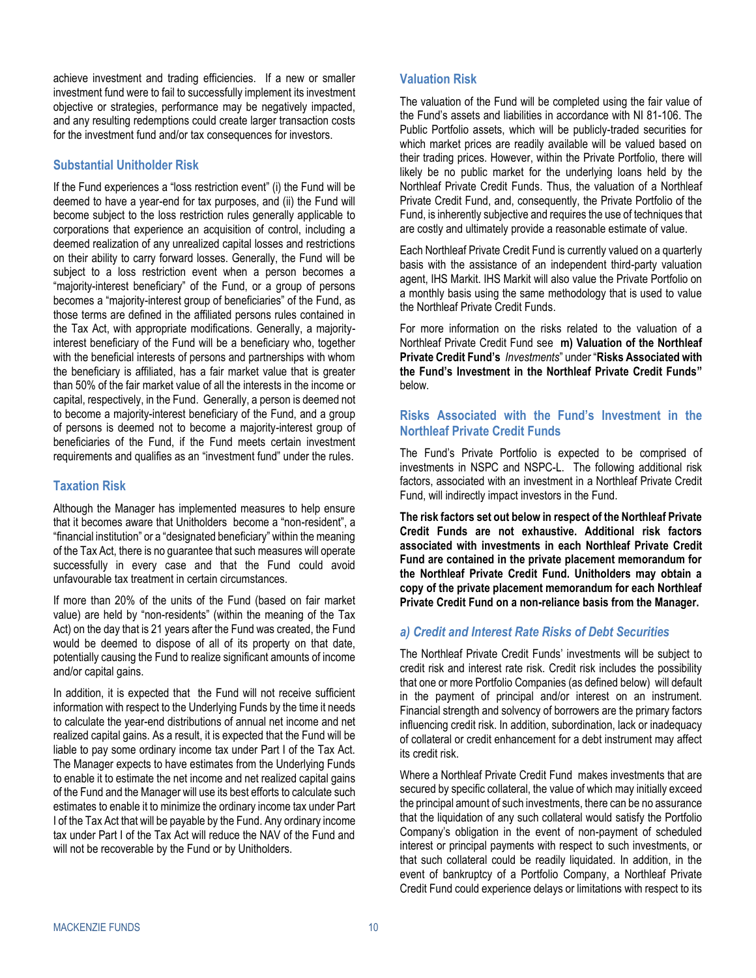achieve investment and trading efficiencies. If a new or smaller investment fund were to fail to successfully implement its investment objective or strategies, performance may be negatively impacted, and any resulting redemptions could create larger transaction costs for the investment fund and/or tax consequences for investors.

# **Substantial Unitholder Risk**

If the Fund experiences a "loss restriction event" (i) the Fund will be deemed to have a year-end for tax purposes, and (ii) the Fund will become subject to the loss restriction rules generally applicable to corporations that experience an acquisition of control, including a deemed realization of any unrealized capital losses and restrictions on their ability to carry forward losses. Generally, the Fund will be subject to a loss restriction event when a person becomes a "majority-interest beneficiary" of the Fund, or a group of persons becomes a "majority-interest group of beneficiaries" of the Fund, as those terms are defined in the affiliated persons rules contained in the Tax Act, with appropriate modifications. Generally, a majorityinterest beneficiary of the Fund will be a beneficiary who, together with the beneficial interests of persons and partnerships with whom the beneficiary is affiliated, has a fair market value that is greater than 50% of the fair market value of all the interests in the income or capital, respectively, in the Fund. Generally, a person is deemed not to become a majority-interest beneficiary of the Fund, and a group of persons is deemed not to become a majority-interest group of beneficiaries of the Fund, if the Fund meets certain investment requirements and qualifies as an "investment fund" under the rules.

# **Taxation Risk**

Although the Manager has implemented measures to help ensure that it becomes aware that Unitholders become a "non-resident", a "financial institution" or a "designated beneficiary" within the meaning of the Tax Act, there is no guarantee that such measures will operate successfully in every case and that the Fund could avoid unfavourable tax treatment in certain circumstances.

If more than 20% of the units of the Fund (based on fair market value) are held by "non-residents" (within the meaning of the Tax Act) on the day that is 21 years after the Fund was created, the Fund would be deemed to dispose of all of its property on that date, potentially causing the Fund to realize significant amounts of income and/or capital gains.

In addition, it is expected that the Fund will not receive sufficient information with respect to the Underlying Funds by the time it needs to calculate the year-end distributions of annual net income and net realized capital gains. As a result, it is expected that the Fund will be liable to pay some ordinary income tax under Part I of the Tax Act. The Manager expects to have estimates from the Underlying Funds to enable it to estimate the net income and net realized capital gains of the Fund and the Manager will use its best efforts to calculate such estimates to enable it to minimize the ordinary income tax under Part I of the Tax Act that will be payable by the Fund. Any ordinary income tax under Part I of the Tax Act will reduce the NAV of the Fund and will not be recoverable by the Fund or by Unitholders.

# **Valuation Risk**

The valuation of the Fund will be completed using the fair value of the Fund's assets and liabilities in accordance with NI 81-106. The Public Portfolio assets, which will be publicly-traded securities for which market prices are readily available will be valued based on their trading prices. However, within the Private Portfolio, there will likely be no public market for the underlying loans held by the Northleaf Private Credit Funds. Thus, the valuation of a Northleaf Private Credit Fund, and, consequently, the Private Portfolio of the Fund, is inherently subjective and requires the use of techniques that are costly and ultimately provide a reasonable estimate of value.

Each Northleaf Private Credit Fund is currently valued on a quarterly basis with the assistance of an independent third-party valuation agent, IHS Markit. IHS Markit will also value the Private Portfolio on a monthly basis using the same methodology that is used to value the Northleaf Private Credit Funds.

For more information on the risks related to the valuation of a Northleaf Private Credit Fund see **m) [Valuation of the Northleaf](#page-15-2)  [Private Credit Fund's](#page-15-2)** *Investments*" under "**[Risks Associated with](#page-11-0)  [the Fund's Investment in the Northleaf Private Credit Funds"](#page-11-0)** below.

# <span id="page-11-0"></span>**Risks Associated with the Fund's Investment in the Northleaf Private Credit Funds**

The Fund's Private Portfolio is expected to be comprised of investments in NSPC and NSPC-L. The following additional risk factors, associated with an investment in a Northleaf Private Credit Fund, will indirectly impact investors in the Fund.

**The risk factors set out below in respect of the Northleaf Private Credit Funds are not exhaustive. Additional risk factors associated with investments in each Northleaf Private Credit Fund are contained in the private placement memorandum for the Northleaf Private Credit Fund. Unitholders may obtain a copy of the private placement memorandum for each Northleaf Private Credit Fund on a non-reliance basis from the Manager.**

# <span id="page-11-1"></span>*a) Credit and Interest Rate Risks of Debt Securities*

The Northleaf Private Credit Funds' investments will be subject to credit risk and interest rate risk. Credit risk includes the possibility that one or more Portfolio Companies (as defined below) will default in the payment of principal and/or interest on an instrument. Financial strength and solvency of borrowers are the primary factors influencing credit risk. In addition, subordination, lack or inadequacy of collateral or credit enhancement for a debt instrument may affect its credit risk.

Where a Northleaf Private Credit Fund makes investments that are secured by specific collateral, the value of which may initially exceed the principal amount of such investments, there can be no assurance that the liquidation of any such collateral would satisfy the Portfolio Company's obligation in the event of non-payment of scheduled interest or principal payments with respect to such investments, or that such collateral could be readily liquidated. In addition, in the event of bankruptcy of a Portfolio Company, a Northleaf Private Credit Fund could experience delays or limitations with respect to its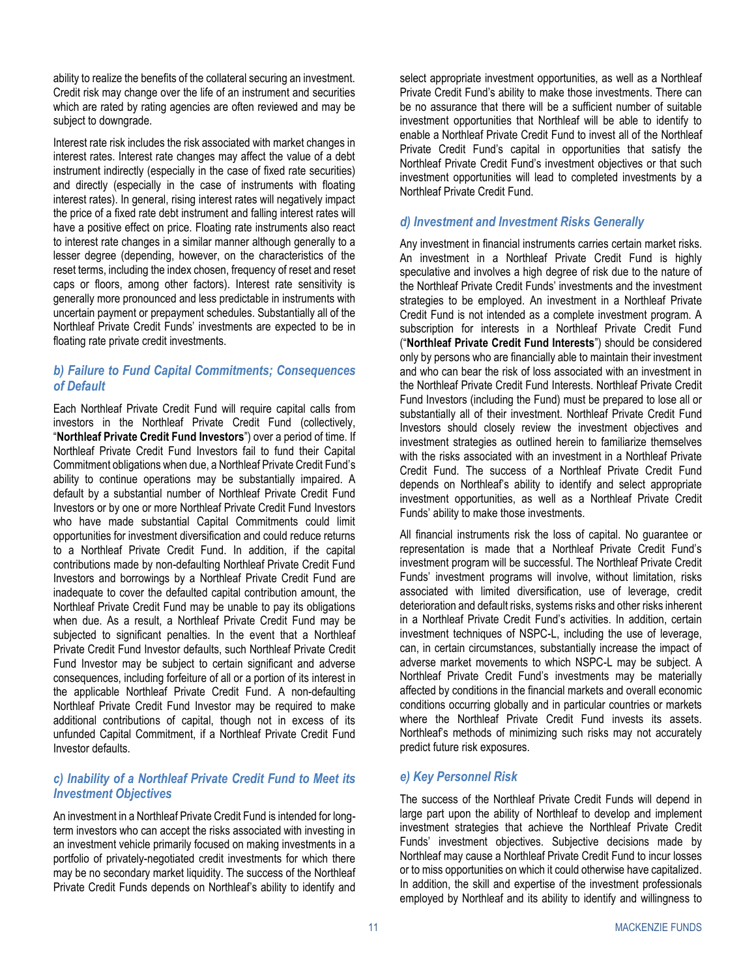ability to realize the benefits of the collateral securing an investment. Credit risk may change over the life of an instrument and securities which are rated by rating agencies are often reviewed and may be subject to downgrade.

Interest rate risk includes the risk associated with market changes in interest rates. Interest rate changes may affect the value of a debt instrument indirectly (especially in the case of fixed rate securities) and directly (especially in the case of instruments with floating interest rates). In general, rising interest rates will negatively impact the price of a fixed rate debt instrument and falling interest rates will have a positive effect on price. Floating rate instruments also react to interest rate changes in a similar manner although generally to a lesser degree (depending, however, on the characteristics of the reset terms, including the index chosen, frequency of reset and reset caps or floors, among other factors). Interest rate sensitivity is generally more pronounced and less predictable in instruments with uncertain payment or prepayment schedules. Substantially all of the Northleaf Private Credit Funds' investments are expected to be in floating rate private credit investments.

# <span id="page-12-0"></span>*b) Failure to Fund Capital Commitments; Consequences of Default*

Each Northleaf Private Credit Fund will require capital calls from investors in the Northleaf Private Credit Fund (collectively, "**Northleaf Private Credit Fund Investors**") over a period of time. If Northleaf Private Credit Fund Investors fail to fund their Capital Commitment obligations when due, a Northleaf Private Credit Fund's ability to continue operations may be substantially impaired. A default by a substantial number of Northleaf Private Credit Fund Investors or by one or more Northleaf Private Credit Fund Investors who have made substantial Capital Commitments could limit opportunities for investment diversification and could reduce returns to a Northleaf Private Credit Fund. In addition, if the capital contributions made by non-defaulting Northleaf Private Credit Fund Investors and borrowings by a Northleaf Private Credit Fund are inadequate to cover the defaulted capital contribution amount, the Northleaf Private Credit Fund may be unable to pay its obligations when due. As a result, a Northleaf Private Credit Fund may be subjected to significant penalties. In the event that a Northleaf Private Credit Fund Investor defaults, such Northleaf Private Credit Fund Investor may be subject to certain significant and adverse consequences, including forfeiture of all or a portion of its interest in the applicable Northleaf Private Credit Fund. A non-defaulting Northleaf Private Credit Fund Investor may be required to make additional contributions of capital, though not in excess of its unfunded Capital Commitment, if a Northleaf Private Credit Fund Investor defaults.

# *c) Inability of a Northleaf Private Credit Fund to Meet its Investment Objectives*

An investment in a Northleaf Private Credit Fund is intended for longterm investors who can accept the risks associated with investing in an investment vehicle primarily focused on making investments in a portfolio of privately-negotiated credit investments for which there may be no secondary market liquidity. The success of the Northleaf Private Credit Funds depends on Northleaf's ability to identify and select appropriate investment opportunities, as well as a Northleaf Private Credit Fund's ability to make those investments. There can be no assurance that there will be a sufficient number of suitable investment opportunities that Northleaf will be able to identify to enable a Northleaf Private Credit Fund to invest all of the Northleaf Private Credit Fund's capital in opportunities that satisfy the Northleaf Private Credit Fund's investment objectives or that such investment opportunities will lead to completed investments by a Northleaf Private Credit Fund.

# *d) Investment and Investment Risks Generally*

Any investment in financial instruments carries certain market risks. An investment in a Northleaf Private Credit Fund is highly speculative and involves a high degree of risk due to the nature of the Northleaf Private Credit Funds' investments and the investment strategies to be employed. An investment in a Northleaf Private Credit Fund is not intended as a complete investment program. A subscription for interests in a Northleaf Private Credit Fund ("**Northleaf Private Credit Fund Interests**") should be considered only by persons who are financially able to maintain their investment and who can bear the risk of loss associated with an investment in the Northleaf Private Credit Fund Interests. Northleaf Private Credit Fund Investors (including the Fund) must be prepared to lose all or substantially all of their investment. Northleaf Private Credit Fund Investors should closely review the investment objectives and investment strategies as outlined herein to familiarize themselves with the risks associated with an investment in a Northleaf Private Credit Fund. The success of a Northleaf Private Credit Fund depends on Northleaf's ability to identify and select appropriate investment opportunities, as well as a Northleaf Private Credit Funds' ability to make those investments.

All financial instruments risk the loss of capital. No guarantee or representation is made that a Northleaf Private Credit Fund's investment program will be successful. The Northleaf Private Credit Funds' investment programs will involve, without limitation, risks associated with limited diversification, use of leverage, credit deterioration and default risks, systems risks and other risks inherent in a Northleaf Private Credit Fund's activities. In addition, certain investment techniques of NSPC-L, including the use of leverage, can, in certain circumstances, substantially increase the impact of adverse market movements to which NSPC-L may be subject. A Northleaf Private Credit Fund's investments may be materially affected by conditions in the financial markets and overall economic conditions occurring globally and in particular countries or markets where the Northleaf Private Credit Fund invests its assets. Northleaf's methods of minimizing such risks may not accurately predict future risk exposures.

# *e) Key Personnel Risk*

The success of the Northleaf Private Credit Funds will depend in large part upon the ability of Northleaf to develop and implement investment strategies that achieve the Northleaf Private Credit Funds' investment objectives. Subjective decisions made by Northleaf may cause a Northleaf Private Credit Fund to incur losses or to miss opportunities on which it could otherwise have capitalized. In addition, the skill and expertise of the investment professionals employed by Northleaf and its ability to identify and willingness to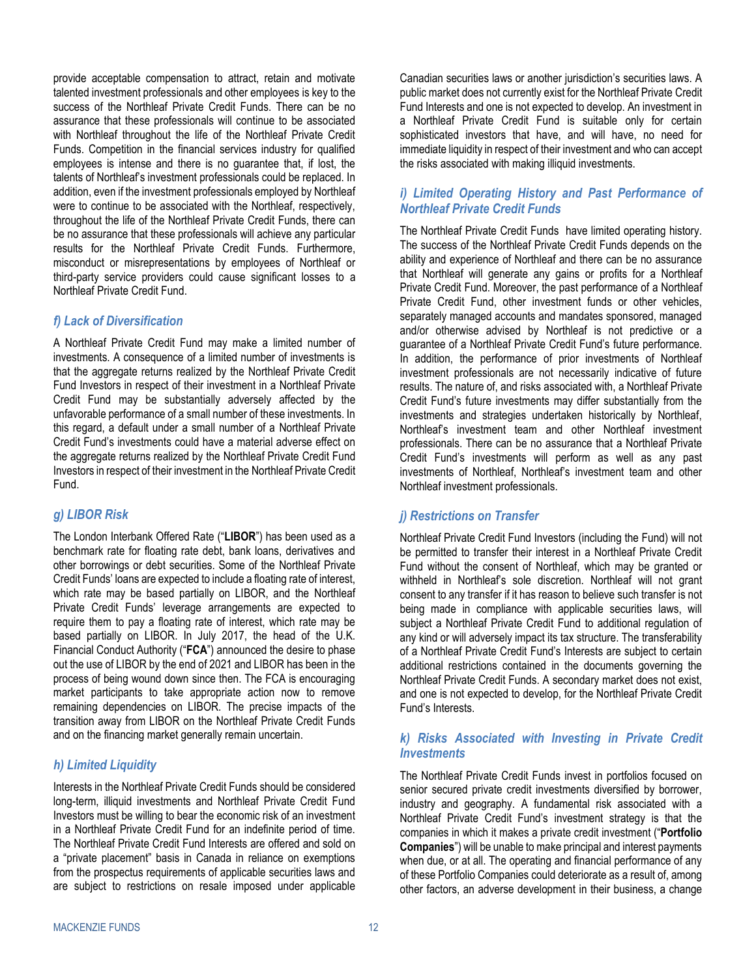provide acceptable compensation to attract, retain and motivate talented investment professionals and other employees is key to the success of the Northleaf Private Credit Funds. There can be no assurance that these professionals will continue to be associated with Northleaf throughout the life of the Northleaf Private Credit Funds. Competition in the financial services industry for qualified employees is intense and there is no guarantee that, if lost, the talents of Northleaf's investment professionals could be replaced. In addition, even if the investment professionals employed by Northleaf were to continue to be associated with the Northleaf, respectively, throughout the life of the Northleaf Private Credit Funds, there can be no assurance that these professionals will achieve any particular results for the Northleaf Private Credit Funds. Furthermore, misconduct or misrepresentations by employees of Northleaf or third-party service providers could cause significant losses to a Northleaf Private Credit Fund.

# *f) Lack of Diversification*

A Northleaf Private Credit Fund may make a limited number of investments. A consequence of a limited number of investments is that the aggregate returns realized by the Northleaf Private Credit Fund Investors in respect of their investment in a Northleaf Private Credit Fund may be substantially adversely affected by the unfavorable performance of a small number of these investments. In this regard, a default under a small number of a Northleaf Private Credit Fund's investments could have a material adverse effect on the aggregate returns realized by the Northleaf Private Credit Fund Investors in respect of their investment in the Northleaf Private Credit Fund.

# *g) LIBOR Risk*

The London Interbank Offered Rate ("**LIBOR**") has been used as a benchmark rate for floating rate debt, bank loans, derivatives and other borrowings or debt securities. Some of the Northleaf Private Credit Funds' loans are expected to include a floating rate of interest, which rate may be based partially on LIBOR, and the Northleaf Private Credit Funds' leverage arrangements are expected to require them to pay a floating rate of interest, which rate may be based partially on LIBOR. In July 2017, the head of the U.K. Financial Conduct Authority ("**FCA**") announced the desire to phase out the use of LIBOR by the end of 2021 and LIBOR has been in the process of being wound down since then. The FCA is encouraging market participants to take appropriate action now to remove remaining dependencies on LIBOR. The precise impacts of the transition away from LIBOR on the Northleaf Private Credit Funds and on the financing market generally remain uncertain.

# <span id="page-13-0"></span>*h) Limited Liquidity*

Interests in the Northleaf Private Credit Funds should be considered long-term, illiquid investments and Northleaf Private Credit Fund Investors must be willing to bear the economic risk of an investment in a Northleaf Private Credit Fund for an indefinite period of time. The Northleaf Private Credit Fund Interests are offered and sold on a "private placement" basis in Canada in reliance on exemptions from the prospectus requirements of applicable securities laws and are subject to restrictions on resale imposed under applicable Canadian securities laws or another jurisdiction's securities laws. A public market does not currently exist for the Northleaf Private Credit Fund Interests and one is not expected to develop. An investment in a Northleaf Private Credit Fund is suitable only for certain sophisticated investors that have, and will have, no need for immediate liquidity in respect of their investment and who can accept the risks associated with making illiquid investments.

# *i) Limited Operating History and Past Performance of Northleaf Private Credit Funds*

The Northleaf Private Credit Funds have limited operating history. The success of the Northleaf Private Credit Funds depends on the ability and experience of Northleaf and there can be no assurance that Northleaf will generate any gains or profits for a Northleaf Private Credit Fund. Moreover, the past performance of a Northleaf Private Credit Fund, other investment funds or other vehicles, separately managed accounts and mandates sponsored, managed and/or otherwise advised by Northleaf is not predictive or a guarantee of a Northleaf Private Credit Fund's future performance. In addition, the performance of prior investments of Northleaf investment professionals are not necessarily indicative of future results. The nature of, and risks associated with, a Northleaf Private Credit Fund's future investments may differ substantially from the investments and strategies undertaken historically by Northleaf, Northleaf's investment team and other Northleaf investment professionals. There can be no assurance that a Northleaf Private Credit Fund's investments will perform as well as any past investments of Northleaf, Northleaf's investment team and other Northleaf investment professionals.

# *j) Restrictions on Transfer*

Northleaf Private Credit Fund Investors (including the Fund) will not be permitted to transfer their interest in a Northleaf Private Credit Fund without the consent of Northleaf, which may be granted or withheld in Northleaf's sole discretion. Northleaf will not grant consent to any transfer if it has reason to believe such transfer is not being made in compliance with applicable securities laws, will subject a Northleaf Private Credit Fund to additional regulation of any kind or will adversely impact its tax structure. The transferability of a Northleaf Private Credit Fund's Interests are subject to certain additional restrictions contained in the documents governing the Northleaf Private Credit Funds. A secondary market does not exist, and one is not expected to develop, for the Northleaf Private Credit Fund's Interests.

# *k) Risks Associated with Investing in Private Credit Investments*

The Northleaf Private Credit Funds invest in portfolios focused on senior secured private credit investments diversified by borrower, industry and geography. A fundamental risk associated with a Northleaf Private Credit Fund's investment strategy is that the companies in which it makes a private credit investment ("**Portfolio Companies**") will be unable to make principal and interest payments when due, or at all. The operating and financial performance of any of these Portfolio Companies could deteriorate as a result of, among other factors, an adverse development in their business, a change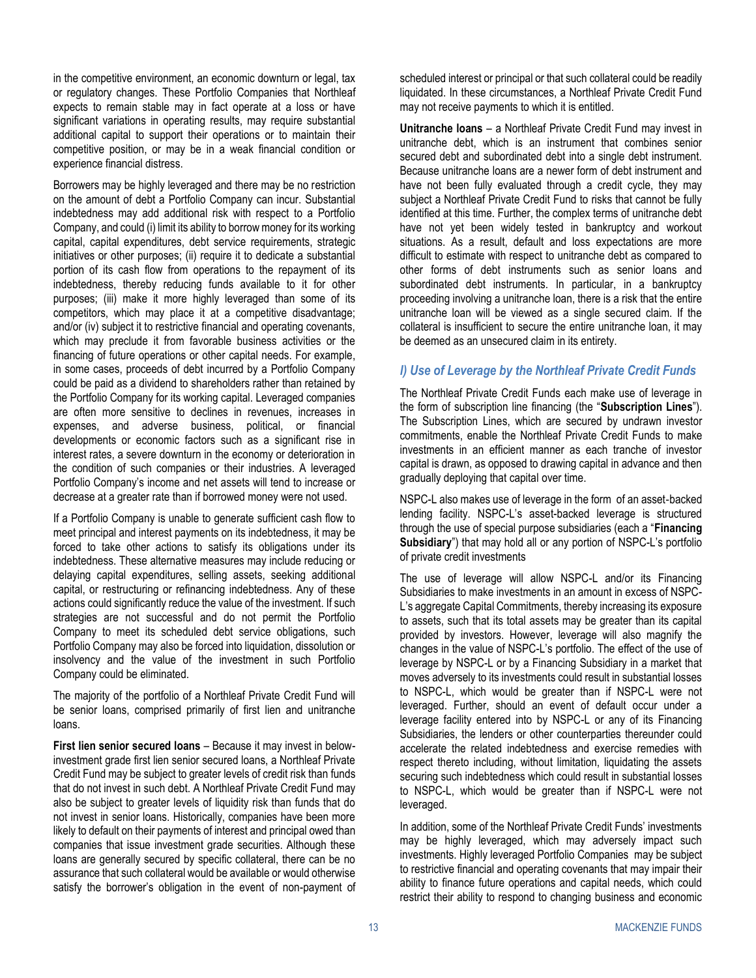in the competitive environment, an economic downturn or legal, tax or regulatory changes. These Portfolio Companies that Northleaf expects to remain stable may in fact operate at a loss or have significant variations in operating results, may require substantial additional capital to support their operations or to maintain their competitive position, or may be in a weak financial condition or experience financial distress.

Borrowers may be highly leveraged and there may be no restriction on the amount of debt a Portfolio Company can incur. Substantial indebtedness may add additional risk with respect to a Portfolio Company, and could (i) limit its ability to borrow money for its working capital, capital expenditures, debt service requirements, strategic initiatives or other purposes; (ii) require it to dedicate a substantial portion of its cash flow from operations to the repayment of its indebtedness, thereby reducing funds available to it for other purposes; (iii) make it more highly leveraged than some of its competitors, which may place it at a competitive disadvantage; and/or (iv) subject it to restrictive financial and operating covenants, which may preclude it from favorable business activities or the financing of future operations or other capital needs. For example, in some cases, proceeds of debt incurred by a Portfolio Company could be paid as a dividend to shareholders rather than retained by the Portfolio Company for its working capital. Leveraged companies are often more sensitive to declines in revenues, increases in expenses, and adverse business, political, or financial developments or economic factors such as a significant rise in interest rates, a severe downturn in the economy or deterioration in the condition of such companies or their industries. A leveraged Portfolio Company's income and net assets will tend to increase or decrease at a greater rate than if borrowed money were not used.

If a Portfolio Company is unable to generate sufficient cash flow to meet principal and interest payments on its indebtedness, it may be forced to take other actions to satisfy its obligations under its indebtedness. These alternative measures may include reducing or delaying capital expenditures, selling assets, seeking additional capital, or restructuring or refinancing indebtedness. Any of these actions could significantly reduce the value of the investment. If such strategies are not successful and do not permit the Portfolio Company to meet its scheduled debt service obligations, such Portfolio Company may also be forced into liquidation, dissolution or insolvency and the value of the investment in such Portfolio Company could be eliminated.

The majority of the portfolio of a Northleaf Private Credit Fund will be senior loans, comprised primarily of first lien and unitranche loans.

**First lien senior secured loans** – Because it may invest in belowinvestment grade first lien senior secured loans, a Northleaf Private Credit Fund may be subject to greater levels of credit risk than funds that do not invest in such debt. A Northleaf Private Credit Fund may also be subject to greater levels of liquidity risk than funds that do not invest in senior loans. Historically, companies have been more likely to default on their payments of interest and principal owed than companies that issue investment grade securities. Although these loans are generally secured by specific collateral, there can be no assurance that such collateral would be available or would otherwise satisfy the borrower's obligation in the event of non-payment of

scheduled interest or principal or that such collateral could be readily liquidated. In these circumstances, a Northleaf Private Credit Fund may not receive payments to which it is entitled.

**Unitranche loans** – a Northleaf Private Credit Fund may invest in unitranche debt, which is an instrument that combines senior secured debt and subordinated debt into a single debt instrument. Because unitranche loans are a newer form of debt instrument and have not been fully evaluated through a credit cycle, they may subject a Northleaf Private Credit Fund to risks that cannot be fully identified at this time. Further, the complex terms of unitranche debt have not yet been widely tested in bankruptcy and workout situations. As a result, default and loss expectations are more difficult to estimate with respect to unitranche debt as compared to other forms of debt instruments such as senior loans and subordinated debt instruments. In particular, in a bankruptcy proceeding involving a unitranche loan, there is a risk that the entire unitranche loan will be viewed as a single secured claim. If the collateral is insufficient to secure the entire unitranche loan, it may be deemed as an unsecured claim in its entirety.

### <span id="page-14-0"></span>*l) Use of Leverage by the Northleaf Private Credit Funds*

The Northleaf Private Credit Funds each make use of leverage in the form of subscription line financing (the "**Subscription Lines**"). The Subscription Lines, which are secured by undrawn investor commitments, enable the Northleaf Private Credit Funds to make investments in an efficient manner as each tranche of investor capital is drawn, as opposed to drawing capital in advance and then gradually deploying that capital over time.

NSPC-L also makes use of leverage in the form of an asset‐backed lending facility. NSPC-L's asset-backed leverage is structured through the use of special purpose subsidiaries (each a "**Financing Subsidiary**") that may hold all or any portion of NSPC-L's portfolio of private credit investments

The use of leverage will allow NSPC-L and/or its Financing Subsidiaries to make investments in an amount in excess of NSPC-L's aggregate Capital Commitments, thereby increasing its exposure to assets, such that its total assets may be greater than its capital provided by investors. However, leverage will also magnify the changes in the value of NSPC-L's portfolio. The effect of the use of leverage by NSPC-L or by a Financing Subsidiary in a market that moves adversely to its investments could result in substantial losses to NSPC-L, which would be greater than if NSPC-L were not leveraged. Further, should an event of default occur under a leverage facility entered into by NSPC-L or any of its Financing Subsidiaries, the lenders or other counterparties thereunder could accelerate the related indebtedness and exercise remedies with respect thereto including, without limitation, liquidating the assets securing such indebtedness which could result in substantial losses to NSPC-L, which would be greater than if NSPC-L were not leveraged.

In addition, some of the Northleaf Private Credit Funds' investments may be highly leveraged, which may adversely impact such investments. Highly leveraged Portfolio Companies may be subject to restrictive financial and operating covenants that may impair their ability to finance future operations and capital needs, which could restrict their ability to respond to changing business and economic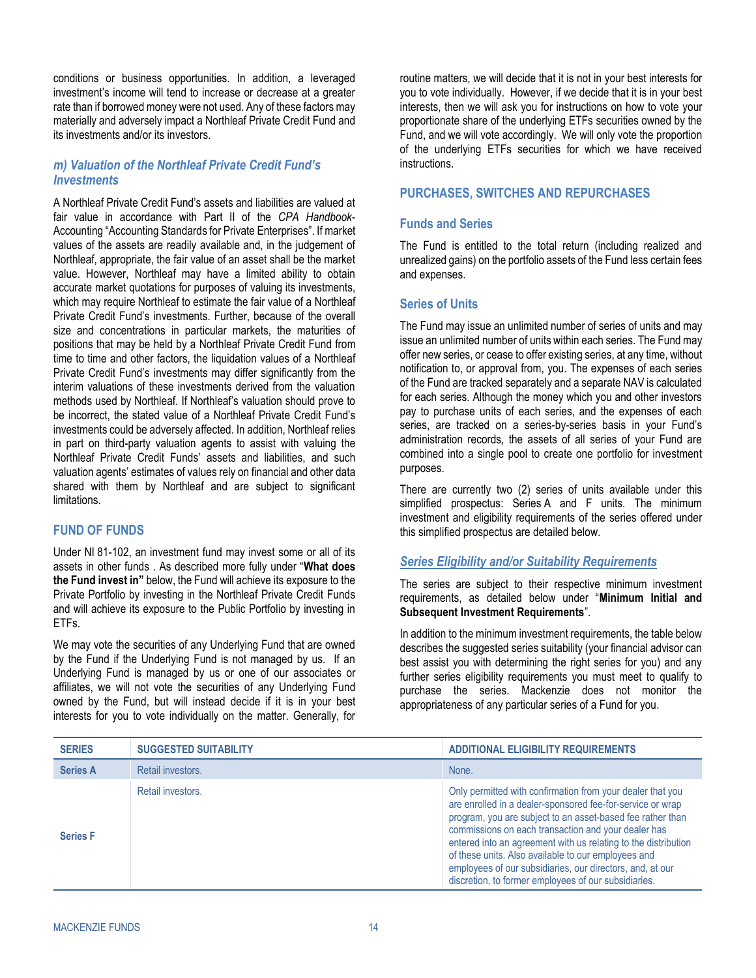conditions or business opportunities. In addition, a leveraged investment's income will tend to increase or decrease at a greater rate than if borrowed money were not used. Any of these factors may materially and adversely impact a Northleaf Private Credit Fund and its investments and/or its investors.

# <span id="page-15-2"></span>*m) Valuation of the Northleaf Private Credit Fund's Investments*

A Northleaf Private Credit Fund's assets and liabilities are valued at fair value in accordance with Part II of the *CPA Handbook*-Accounting "Accounting Standards for Private Enterprises". If market values of the assets are readily available and, in the judgement of Northleaf, appropriate, the fair value of an asset shall be the market value. However, Northleaf may have a limited ability to obtain accurate market quotations for purposes of valuing its investments, which may require Northleaf to estimate the fair value of a Northleaf Private Credit Fund's investments. Further, because of the overall size and concentrations in particular markets, the maturities of positions that may be held by a Northleaf Private Credit Fund from time to time and other factors, the liquidation values of a Northleaf Private Credit Fund's investments may differ significantly from the interim valuations of these investments derived from the valuation methods used by Northleaf. If Northleaf's valuation should prove to be incorrect, the stated value of a Northleaf Private Credit Fund's investments could be adversely affected. In addition, Northleaf relies in part on third-party valuation agents to assist with valuing the Northleaf Private Credit Funds' assets and liabilities, and such valuation agents' estimates of values rely on financial and other data shared with them by Northleaf and are subject to significant limitations.

# <span id="page-15-0"></span>**FUND OF FUNDS**

Under NI 81-102, an investment fund may invest some or all of its assets in other funds . As described more fully under "**What does the Fund invest in"** below, the Fund will achieve its exposure to the Private Portfolio by investing in the Northleaf Private Credit Funds and will achieve its exposure to the Public Portfolio by investing in ETFs.

We may vote the securities of any Underlying Fund that are owned by the Fund if the Underlying Fund is not managed by us. If an Underlying Fund is managed by us or one of our associates or affiliates, we will not vote the securities of any Underlying Fund owned by the Fund, but will instead decide if it is in your best interests for you to vote individually on the matter. Generally, for

routine matters, we will decide that it is not in your best interests for you to vote individually. However, if we decide that it is in your best interests, then we will ask you for instructions on how to vote your proportionate share of the underlying ETFs securities owned by the Fund, and we will vote accordingly. We will only vote the proportion of the underlying ETFs securities for which we have received instructions.

# <span id="page-15-1"></span>**PURCHASES, SWITCHES AND REPURCHASES**

### **Funds and Series**

The Fund is entitled to the total return (including realized and unrealized gains) on the portfolio assets of the Fund less certain fees and expenses.

### **Series of Units**

The Fund may issue an unlimited number of series of units and may issue an unlimited number of units within each series. The Fund may offer new series, or cease to offer existing series, at any time, without notification to, or approval from, you. The expenses of each series of the Fund are tracked separately and a separate NAV is calculated for each series. Although the money which you and other investors pay to purchase units of each series, and the expenses of each series, are tracked on a series-by-series basis in your Fund's administration records, the assets of all series of your Fund are combined into a single pool to create one portfolio for investment purposes.

There are currently two (2) series of units available under this simplified prospectus: Series A and F units. The minimum investment and eligibility requirements of the series offered under this simplified prospectus are detailed below.

#### *Series Eligibility and/or Suitability Requirements*

The series are subject to their respective minimum investment requirements, as detailed below under "**[Minimum Initial and](#page-16-0)  [Subsequent Investment Requirements](#page-16-0)**".

In addition to the minimum investment requirements, the table below describes the suggested series suitability (your financial advisor can best assist you with determining the right series for you) and any further series eligibility requirements you must meet to qualify to purchase the series. Mackenzie does not monitor the appropriateness of any particular series of a Fund for you.

| <b>SERIES</b>   | <b>SUGGESTED SUITABILITY</b> | <b>ADDITIONAL ELIGIBILITY REQUIREMENTS</b>                                                                                                                                                                                                                                                                                                                                                                                                                                                  |
|-----------------|------------------------------|---------------------------------------------------------------------------------------------------------------------------------------------------------------------------------------------------------------------------------------------------------------------------------------------------------------------------------------------------------------------------------------------------------------------------------------------------------------------------------------------|
| <b>Series A</b> | Retail investors.            | None.                                                                                                                                                                                                                                                                                                                                                                                                                                                                                       |
| <b>Series F</b> | Retail investors.            | Only permitted with confirmation from your dealer that you<br>are enrolled in a dealer-sponsored fee-for-service or wrap<br>program, you are subject to an asset-based fee rather than<br>commissions on each transaction and your dealer has<br>entered into an agreement with us relating to the distribution<br>of these units. Also available to our employees and<br>employees of our subsidiaries, our directors, and, at our<br>discretion, to former employees of our subsidiaries. |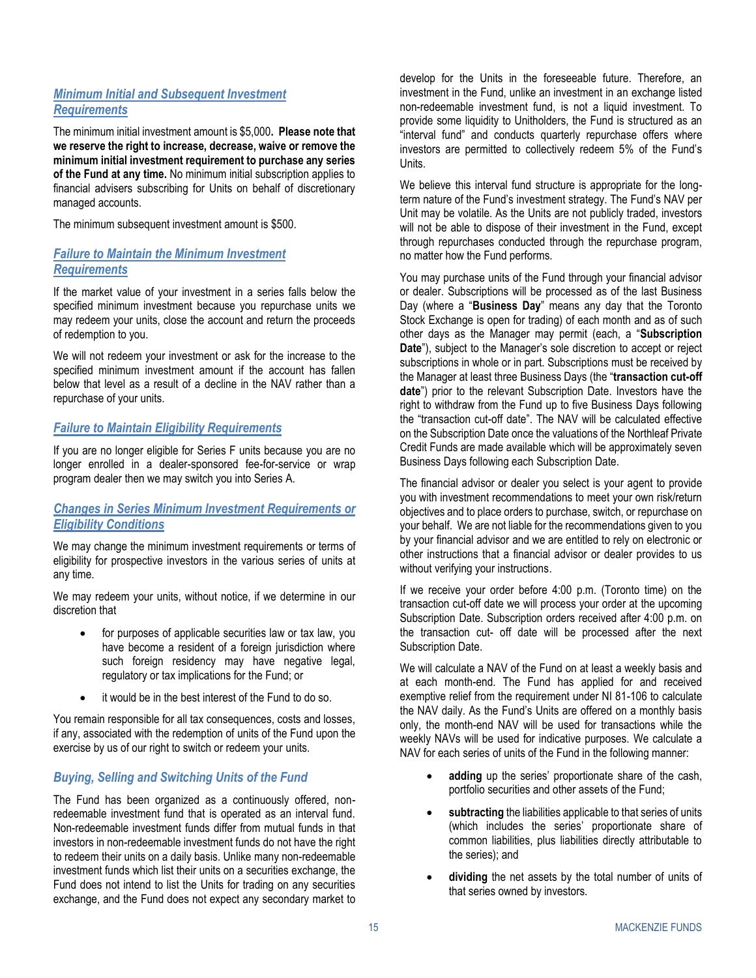# <span id="page-16-0"></span>*Minimum Initial and Subsequent Investment Requirements*

The minimum initial investment amount is \$5,000**. Please note that we reserve the right to increase, decrease, waive or remove the minimum initial investment requirement to purchase any series of the Fund at any time.** No minimum initial subscription applies to financial advisers subscribing for Units on behalf of discretionary managed accounts.

The minimum subsequent investment amount is \$500.

# *Failure to Maintain the Minimum Investment Requirements*

If the market value of your investment in a series falls below the specified minimum investment because you repurchase units we may redeem your units, close the account and return the proceeds of redemption to you.

We will not redeem your investment or ask for the increase to the specified minimum investment amount if the account has fallen below that level as a result of a decline in the NAV rather than a repurchase of your units.

# *Failure to Maintain Eligibility Requirements*

If you are no longer eligible for Series F units because you are no longer enrolled in a dealer-sponsored fee-for-service or wrap program dealer then we may switch you into Series A.

# *Changes in Series Minimum Investment Requirements or Eligibility Conditions*

We may change the minimum investment requirements or terms of eligibility for prospective investors in the various series of units at any time.

We may redeem your units, without notice, if we determine in our discretion that

- for purposes of applicable securities law or tax law, you have become a resident of a foreign jurisdiction where such foreign residency may have negative legal, regulatory or tax implications for the Fund; or
- it would be in the best interest of the Fund to do so.

You remain responsible for all tax consequences, costs and losses, if any, associated with the redemption of units of the Fund upon the exercise by us of our right to switch or redeem your units.

# *Buying, Selling and Switching Units of the Fund*

The Fund has been organized as a continuously offered, nonredeemable investment fund that is operated as an interval fund. Non-redeemable investment funds differ from mutual funds in that investors in non-redeemable investment funds do not have the right to redeem their units on a daily basis. Unlike many non-redeemable investment funds which list their units on a securities exchange, the Fund does not intend to list the Units for trading on any securities exchange, and the Fund does not expect any secondary market to

develop for the Units in the foreseeable future. Therefore, an investment in the Fund, unlike an investment in an exchange listed non-redeemable investment fund, is not a liquid investment. To provide some liquidity to Unitholders, the Fund is structured as an "interval fund" and conducts quarterly repurchase offers where investors are permitted to collectively redeem 5% of the Fund's Units.

We believe this interval fund structure is appropriate for the longterm nature of the Fund's investment strategy. The Fund's NAV per Unit may be volatile. As the Units are not publicly traded, investors will not be able to dispose of their investment in the Fund, except through repurchases conducted through the repurchase program, no matter how the Fund performs.

You may purchase units of the Fund through your financial advisor or dealer. Subscriptions will be processed as of the last Business Day (where a "**Business Day**" means any day that the Toronto Stock Exchange is open for trading) of each month and as of such other days as the Manager may permit (each, a "**Subscription Date**"), subject to the Manager's sole discretion to accept or reject subscriptions in whole or in part. Subscriptions must be received by the Manager at least three Business Days (the "**transaction cut-off date**") prior to the relevant Subscription Date. Investors have the right to withdraw from the Fund up to five Business Days following the "transaction cut-off date". The NAV will be calculated effective on the Subscription Date once the valuations of the Northleaf Private Credit Funds are made available which will be approximately seven Business Days following each Subscription Date.

The financial advisor or dealer you select is your agent to provide you with investment recommendations to meet your own risk/return objectives and to place orders to purchase, switch, or repurchase on your behalf. We are not liable for the recommendations given to you by your financial advisor and we are entitled to rely on electronic or other instructions that a financial advisor or dealer provides to us without verifying your instructions.

If we receive your order before 4:00 p.m. (Toronto time) on the transaction cut-off date we will process your order at the upcoming Subscription Date. Subscription orders received after 4:00 p.m. on the transaction cut- off date will be processed after the next Subscription Date.

We will calculate a NAV of the Fund on at least a weekly basis and at each month-end. The Fund has applied for and received exemptive relief from the requirement under NI 81-106 to calculate the NAV daily. As the Fund's Units are offered on a monthly basis only, the month-end NAV will be used for transactions while the weekly NAVs will be used for indicative purposes. We calculate a NAV for each series of units of the Fund in the following manner:

- adding up the series' proportionate share of the cash, portfolio securities and other assets of the Fund;
- subtracting the liabilities applicable to that series of units (which includes the series' proportionate share of common liabilities, plus liabilities directly attributable to the series); and
- dividing the net assets by the total number of units of that series owned by investors.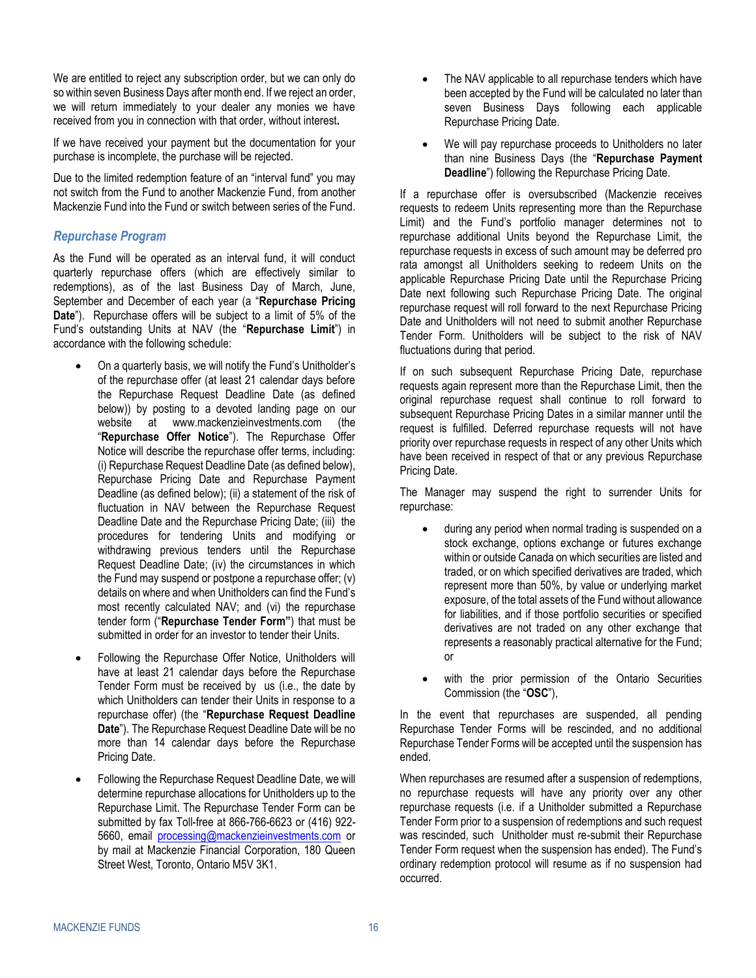We are entitled to reject any subscription order, but we can only do so within seven Business Days after month end. If we reject an order, we will return immediately to your dealer any monies we have received from you in connection with that order, without interest**.**

If we have received your payment but the documentation for your purchase is incomplete, the purchase will be rejected.

Due to the limited redemption feature of an "interval fund" you may not switch from the Fund to another Mackenzie Fund, from another Mackenzie Fund into the Fund or switch between series of the Fund.

# <span id="page-17-0"></span>*Repurchase Program*

As the Fund will be operated as an interval fund, it will conduct quarterly repurchase offers (which are effectively similar to redemptions), as of the last Business Day of March, June, September and December of each year (a "**Repurchase Pricing Date**"). Repurchase offers will be subject to a limit of 5% of the Fund's outstanding Units at NAV (the "**Repurchase Limit**") in accordance with the following schedule:

- On a quarterly basis, we will notify the Fund's Unitholder's of the repurchase offer (at least 21 calendar days before the Repurchase Request Deadline Date (as defined below)) by posting to a devoted landing page on our website at www.mackenzieinvestments.com (the "**Repurchase Offer Notice**"). The Repurchase Offer Notice will describe the repurchase offer terms, including: (i) Repurchase Request Deadline Date (as defined below), Repurchase Pricing Date and Repurchase Payment Deadline (as defined below); (ii) a statement of the risk of fluctuation in NAV between the Repurchase Request Deadline Date and the Repurchase Pricing Date; (iii) the procedures for tendering Units and modifying or withdrawing previous tenders until the Repurchase Request Deadline Date; (iv) the circumstances in which the Fund may suspend or postpone a repurchase offer; (v) details on where and when Unitholders can find the Fund's most recently calculated NAV; and (vi) the repurchase tender form ("**Repurchase Tender Form"**) that must be submitted in order for an investor to tender their Units.
- Following the Repurchase Offer Notice, Unitholders will have at least 21 calendar days before the Repurchase Tender Form must be received by us (i.e., the date by which Unitholders can tender their Units in response to a repurchase offer) (the "**Repurchase Request Deadline Date**"). The Repurchase Request Deadline Date will be no more than 14 calendar days before the Repurchase Pricing Date.
- Following the Repurchase Request Deadline Date, we will determine repurchase allocations for Unitholders up to the Repurchase Limit. The Repurchase Tender Form can be submitted by fax Toll-free at 866-766-6623 or (416) 922- 5660, email [processing@mackenzieinvestments.com](mailto:processing@mackenzieinvestments.com) or by mail at Mackenzie Financial Corporation, 180 Queen Street West, Toronto, Ontario M5V 3K1.
- The NAV applicable to all repurchase tenders which have been accepted by the Fund will be calculated no later than seven Business Days following each applicable Repurchase Pricing Date.
- We will pay repurchase proceeds to Unitholders no later than nine Business Days (the "**Repurchase Payment Deadline**") following the Repurchase Pricing Date.

If a repurchase offer is oversubscribed (Mackenzie receives requests to redeem Units representing more than the Repurchase Limit) and the Fund's portfolio manager determines not to repurchase additional Units beyond the Repurchase Limit, the repurchase requests in excess of such amount may be deferred pro rata amongst all Unitholders seeking to redeem Units on the applicable Repurchase Pricing Date until the Repurchase Pricing Date next following such Repurchase Pricing Date. The original repurchase request will roll forward to the next Repurchase Pricing Date and Unitholders will not need to submit another Repurchase Tender Form. Unitholders will be subject to the risk of NAV fluctuations during that period.

If on such subsequent Repurchase Pricing Date, repurchase requests again represent more than the Repurchase Limit, then the original repurchase request shall continue to roll forward to subsequent Repurchase Pricing Dates in a similar manner until the request is fulfilled. Deferred repurchase requests will not have priority over repurchase requests in respect of any other Units which have been received in respect of that or any previous Repurchase Pricing Date.

The Manager may suspend the right to surrender Units for repurchase:

- during any period when normal trading is suspended on a stock exchange, options exchange or futures exchange within or outside Canada on which securities are listed and traded, or on which specified derivatives are traded, which represent more than 50%, by value or underlying market exposure, of the total assets of the Fund without allowance for liabilities, and if those portfolio securities or specified derivatives are not traded on any other exchange that represents a reasonably practical alternative for the Fund; or
- with the prior permission of the Ontario Securities Commission (the "**OSC**"),

In the event that repurchases are suspended, all pending Repurchase Tender Forms will be rescinded, and no additional Repurchase Tender Forms will be accepted until the suspension has ended.

When repurchases are resumed after a suspension of redemptions, no repurchase requests will have any priority over any other repurchase requests (i.e. if a Unitholder submitted a Repurchase Tender Form prior to a suspension of redemptions and such request was rescinded, such Unitholder must re-submit their Repurchase Tender Form request when the suspension has ended). The Fund's ordinary redemption protocol will resume as if no suspension had occurred.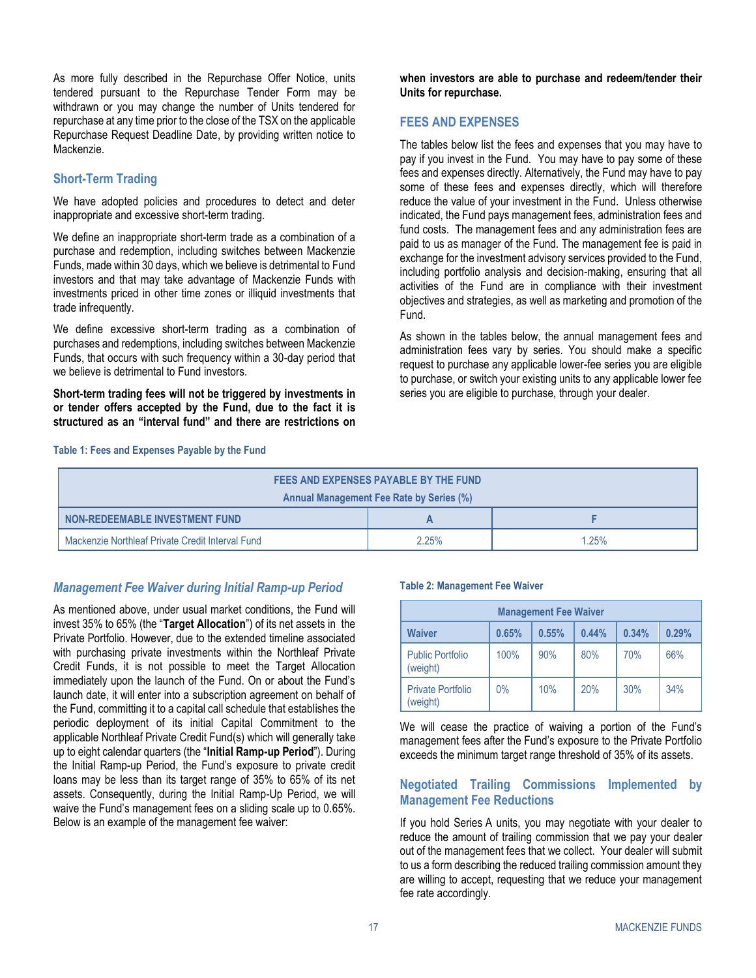As more fully described in the Repurchase Offer Notice, units tendered pursuant to the Repurchase Tender Form may be withdrawn or you may change the number of Units tendered for repurchase at any time prior to the close of the TSX on the applicable Repurchase Request Deadline Date, by providing written notice to Mackenzie.

# **Short-Term Trading**

We have adopted policies and procedures to detect and deter inappropriate and excessive short-term trading.

We define an inappropriate short-term trade as a combination of a purchase and redemption, including switches between Mackenzie Funds, made within 30 days, which we believe is detrimental to Fund investors and that may take advantage of Mackenzie Funds with investments priced in other time zones or illiquid investments that trade infrequently.

We define excessive short-term trading as a combination of purchases and redemptions, including switches between Mackenzie Funds, that occurs with such frequency within a 30-day period that we believe is detrimental to Fund investors.

**Short-term trading fees will not be triggered by investments in or tender offers accepted by the Fund, due to the fact it is structured as an "interval fund" and there are restrictions on** 

**when investors are able to purchase and redeem/tender their Units for repurchase.**

# <span id="page-18-0"></span>**FEES AND EXPENSES**

The tables below list the fees and expenses that you may have to pay if you invest in the Fund. You may have to pay some of these fees and expenses directly. Alternatively, the Fund may have to pay some of these fees and expenses directly, which will therefore reduce the value of your investment in the Fund. Unless otherwise indicated, the Fund pays management fees, administration fees and fund costs. The management fees and any administration fees are paid to us as manager of the Fund. The management fee is paid in exchange for the investment advisory services provided to the Fund, including portfolio analysis and decision-making, ensuring that all activities of the Fund are in compliance with their investment objectives and strategies, as well as marketing and promotion of the Fund.

As shown in the tables below, the annual management fees and administration fees vary by series. You should make a specific request to purchase any applicable lower-fee series you are eligible to purchase, or switch your existing units to any applicable lower fee series you are eligible to purchase, through your dealer.

#### **Table 1: Fees and Expenses Payable by the Fund**

| FEES AND EXPENSES PAYABLE BY THE FUND            |       |       |  |
|--------------------------------------------------|-------|-------|--|
| <b>Annual Management Fee Rate by Series (%)</b>  |       |       |  |
| NON-REDEEMABLE INVESTMENT FUND                   |       |       |  |
| Mackenzie Northleaf Private Credit Interval Fund | 2.25% | 1.25% |  |

# <span id="page-18-1"></span>*Management Fee Waiver during Initial Ramp-up Period*

As mentioned above, under usual market conditions, the Fund will invest 35% to 65% (the "**Target Allocation**") of its net assets in the Private Portfolio. However, due to the extended timeline associated with purchasing private investments within the Northleaf Private Credit Funds, it is not possible to meet the Target Allocation immediately upon the launch of the Fund. On or about the Fund's launch date, it will enter into a subscription agreement on behalf of the Fund, committing it to a capital call schedule that establishes the periodic deployment of its initial Capital Commitment to the applicable Northleaf Private Credit Fund(s) which will generally take up to eight calendar quarters (the "**Initial Ramp-up Period**"). During the Initial Ramp-up Period, the Fund's exposure to private credit loans may be less than its target range of 35% to 65% of its net assets. Consequently, during the Initial Ramp-Up Period, we will waive the Fund's management fees on a sliding scale up to 0.65%. Below is an example of the management fee waiver:

#### **Table 2: Management Fee Waiver**

| <b>Management Fee Waiver</b>                      |      |     |     |       |     |
|---------------------------------------------------|------|-----|-----|-------|-----|
| 0.55%<br>0.44%<br>0.34%<br><b>Waiver</b><br>0.65% |      |     |     | 0.29% |     |
| <b>Public Portfolio</b><br>(weight)               | 100% | 90% | 80% | 70%   | 66% |
| <b>Private Portfolio</b><br>(weight)              | 0%   | 10% | 20% | 30%   | 34% |

We will cease the practice of waiving a portion of the Fund's management fees after the Fund's exposure to the Private Portfolio exceeds the minimum target range threshold of 35% of its assets.

### **Negotiated Trailing Commissions Implemented by Management Fee Reductions**

If you hold Series A units, you may negotiate with your dealer to reduce the amount of trailing commission that we pay your dealer out of the management fees that we collect. Your dealer will submit to us a form describing the reduced trailing commission amount they are willing to accept, requesting that we reduce your management fee rate accordingly.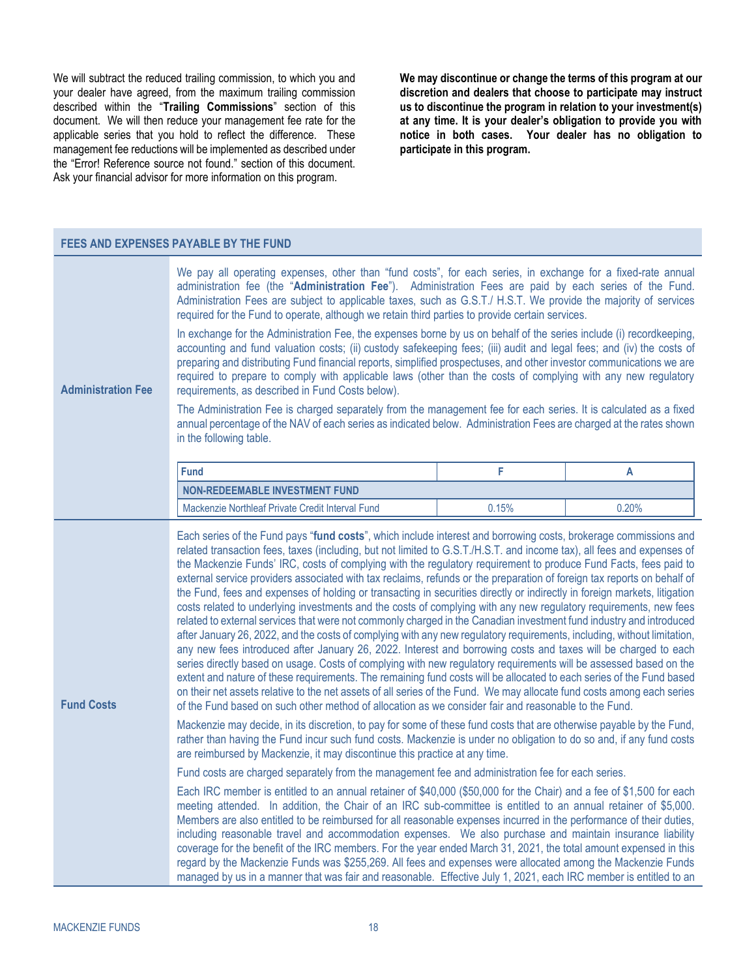We will subtract the reduced trailing commission, to which you and your dealer have agreed, from the maximum trailing commission described within the "**[Trailing Commissions](#page-22-1)**" section of this document. We will then reduce your management fee rate for the applicable series that you hold to reflect the difference. These management fee reductions will be implemented as described under the "Error! Reference source not found." section of this document. Ask your financial advisor for more information on this program.

**FEES AND EXPENSES PAYABLE BY THE FUND**

**We may discontinue or change the terms of this program at our discretion and dealers that choose to participate may instruct us to discontinue the program in relation to your investment(s) at any time. It is your dealer's obligation to provide you with notice in both cases. Your dealer has no obligation to participate in this program.** 

| FEES AND EAPENSES PATABLE BT THE FUND |                                                                                                                                                                                                                                                                                                                                                                                                                                                                                                                                                                                                                                                                                                                                                                                                                                                                                                                                                                                                                                                                                                                                                                                                                                                                                                                                                                                                                                                                                                                                                                                                                                                                                                                                                                                                                                                                                                                                                                                                                                                                                                                                                                                                                                                                                                                                                                                                                                                                                                                                                                                                                                                                                                                                                                                                                                                                         |       |       |
|---------------------------------------|-------------------------------------------------------------------------------------------------------------------------------------------------------------------------------------------------------------------------------------------------------------------------------------------------------------------------------------------------------------------------------------------------------------------------------------------------------------------------------------------------------------------------------------------------------------------------------------------------------------------------------------------------------------------------------------------------------------------------------------------------------------------------------------------------------------------------------------------------------------------------------------------------------------------------------------------------------------------------------------------------------------------------------------------------------------------------------------------------------------------------------------------------------------------------------------------------------------------------------------------------------------------------------------------------------------------------------------------------------------------------------------------------------------------------------------------------------------------------------------------------------------------------------------------------------------------------------------------------------------------------------------------------------------------------------------------------------------------------------------------------------------------------------------------------------------------------------------------------------------------------------------------------------------------------------------------------------------------------------------------------------------------------------------------------------------------------------------------------------------------------------------------------------------------------------------------------------------------------------------------------------------------------------------------------------------------------------------------------------------------------------------------------------------------------------------------------------------------------------------------------------------------------------------------------------------------------------------------------------------------------------------------------------------------------------------------------------------------------------------------------------------------------------------------------------------------------------------------------------------------------|-------|-------|
| <b>Administration Fee</b>             | We pay all operating expenses, other than "fund costs", for each series, in exchange for a fixed-rate annual<br>administration fee (the "Administration Fee"). Administration Fees are paid by each series of the Fund.<br>Administration Fees are subject to applicable taxes, such as G.S.T./ H.S.T. We provide the majority of services<br>required for the Fund to operate, although we retain third parties to provide certain services.<br>In exchange for the Administration Fee, the expenses borne by us on behalf of the series include (i) recordkeeping,<br>accounting and fund valuation costs; (ii) custody safekeeping fees; (iii) audit and legal fees; and (iv) the costs of<br>preparing and distributing Fund financial reports, simplified prospectuses, and other investor communications we are<br>required to prepare to comply with applicable laws (other than the costs of complying with any new regulatory<br>requirements, as described in Fund Costs below).<br>The Administration Fee is charged separately from the management fee for each series. It is calculated as a fixed<br>annual percentage of the NAV of each series as indicated below. Administration Fees are charged at the rates shown<br>in the following table.                                                                                                                                                                                                                                                                                                                                                                                                                                                                                                                                                                                                                                                                                                                                                                                                                                                                                                                                                                                                                                                                                                                                                                                                                                                                                                                                                                                                                                                                                                                                                                                                        |       |       |
|                                       | <b>Fund</b>                                                                                                                                                                                                                                                                                                                                                                                                                                                                                                                                                                                                                                                                                                                                                                                                                                                                                                                                                                                                                                                                                                                                                                                                                                                                                                                                                                                                                                                                                                                                                                                                                                                                                                                                                                                                                                                                                                                                                                                                                                                                                                                                                                                                                                                                                                                                                                                                                                                                                                                                                                                                                                                                                                                                                                                                                                                             | F     | A     |
|                                       | <b>NON-REDEEMABLE INVESTMENT FUND</b>                                                                                                                                                                                                                                                                                                                                                                                                                                                                                                                                                                                                                                                                                                                                                                                                                                                                                                                                                                                                                                                                                                                                                                                                                                                                                                                                                                                                                                                                                                                                                                                                                                                                                                                                                                                                                                                                                                                                                                                                                                                                                                                                                                                                                                                                                                                                                                                                                                                                                                                                                                                                                                                                                                                                                                                                                                   |       |       |
|                                       | Mackenzie Northleaf Private Credit Interval Fund                                                                                                                                                                                                                                                                                                                                                                                                                                                                                                                                                                                                                                                                                                                                                                                                                                                                                                                                                                                                                                                                                                                                                                                                                                                                                                                                                                                                                                                                                                                                                                                                                                                                                                                                                                                                                                                                                                                                                                                                                                                                                                                                                                                                                                                                                                                                                                                                                                                                                                                                                                                                                                                                                                                                                                                                                        | 0.15% | 0.20% |
| <b>Fund Costs</b>                     | Each series of the Fund pays "fund costs", which include interest and borrowing costs, brokerage commissions and<br>related transaction fees, taxes (including, but not limited to G.S.T./H.S.T. and income tax), all fees and expenses of<br>the Mackenzie Funds' IRC, costs of complying with the regulatory requirement to produce Fund Facts, fees paid to<br>external service providers associated with tax reclaims, refunds or the preparation of foreign tax reports on behalf of<br>the Fund, fees and expenses of holding or transacting in securities directly or indirectly in foreign markets, litigation<br>costs related to underlying investments and the costs of complying with any new regulatory requirements, new fees<br>related to external services that were not commonly charged in the Canadian investment fund industry and introduced<br>after January 26, 2022, and the costs of complying with any new regulatory requirements, including, without limitation,<br>any new fees introduced after January 26, 2022. Interest and borrowing costs and taxes will be charged to each<br>series directly based on usage. Costs of complying with new regulatory requirements will be assessed based on the<br>extent and nature of these requirements. The remaining fund costs will be allocated to each series of the Fund based<br>on their net assets relative to the net assets of all series of the Fund. We may allocate fund costs among each series<br>of the Fund based on such other method of allocation as we consider fair and reasonable to the Fund.<br>Mackenzie may decide, in its discretion, to pay for some of these fund costs that are otherwise payable by the Fund,<br>rather than having the Fund incur such fund costs. Mackenzie is under no obligation to do so and, if any fund costs<br>are reimbursed by Mackenzie, it may discontinue this practice at any time.<br>Fund costs are charged separately from the management fee and administration fee for each series.<br>Each IRC member is entitled to an annual retainer of \$40,000 (\$50,000 for the Chair) and a fee of \$1,500 for each<br>meeting attended. In addition, the Chair of an IRC sub-committee is entitled to an annual retainer of \$5,000.<br>Members are also entitled to be reimbursed for all reasonable expenses incurred in the performance of their duties,<br>including reasonable travel and accommodation expenses. We also purchase and maintain insurance liability<br>coverage for the benefit of the IRC members. For the year ended March 31, 2021, the total amount expensed in this<br>regard by the Mackenzie Funds was \$255,269. All fees and expenses were allocated among the Mackenzie Funds<br>managed by us in a manner that was fair and reasonable. Effective July 1, 2021, each IRC member is entitled to an |       |       |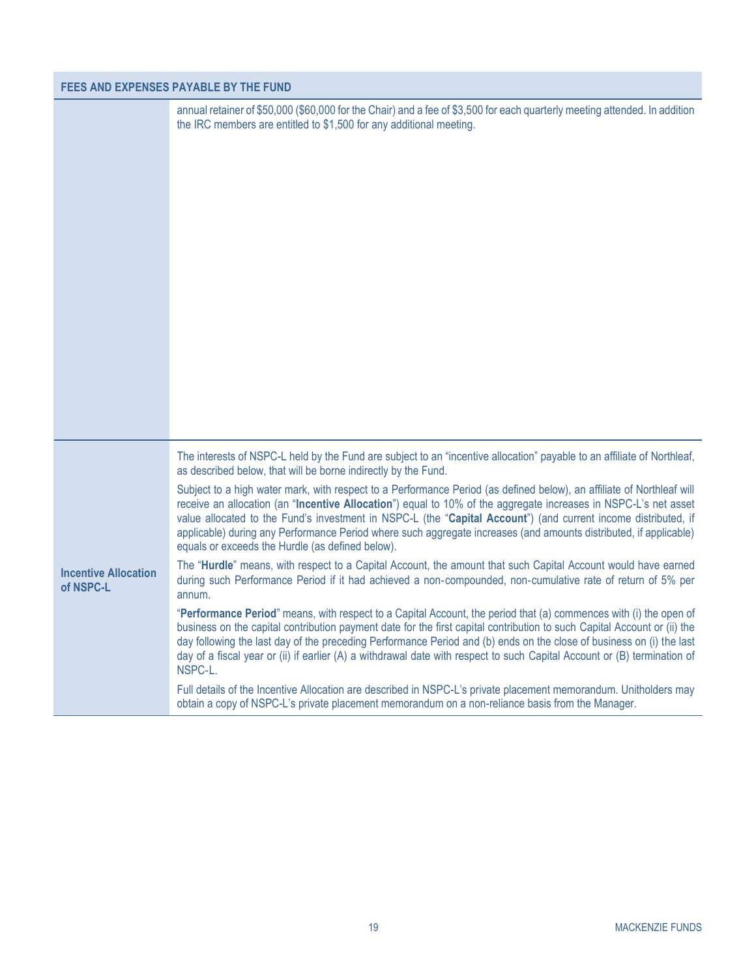# **FEES AND EXPENSES PAYABLE BY THE FUND**

|                                          | annual retainer of \$50,000 (\$60,000 for the Chair) and a fee of \$3,500 for each quarterly meeting attended. In addition<br>the IRC members are entitled to \$1,500 for any additional meeting.                                                                                                                                                                                                                                                                                                                                                                                                                                                                                                                                                                                                                                                                                                                                                                                                                                                                                                                                                                                                                                                                                                                                                                                                                                                                                                                                                                                                                                                                                                                  |  |
|------------------------------------------|--------------------------------------------------------------------------------------------------------------------------------------------------------------------------------------------------------------------------------------------------------------------------------------------------------------------------------------------------------------------------------------------------------------------------------------------------------------------------------------------------------------------------------------------------------------------------------------------------------------------------------------------------------------------------------------------------------------------------------------------------------------------------------------------------------------------------------------------------------------------------------------------------------------------------------------------------------------------------------------------------------------------------------------------------------------------------------------------------------------------------------------------------------------------------------------------------------------------------------------------------------------------------------------------------------------------------------------------------------------------------------------------------------------------------------------------------------------------------------------------------------------------------------------------------------------------------------------------------------------------------------------------------------------------------------------------------------------------|--|
| <b>Incentive Allocation</b><br>of NSPC-L | The interests of NSPC-L held by the Fund are subject to an "incentive allocation" payable to an affiliate of Northleaf,<br>as described below, that will be borne indirectly by the Fund.<br>Subject to a high water mark, with respect to a Performance Period (as defined below), an affiliate of Northleaf will<br>receive an allocation (an "Incentive Allocation") equal to 10% of the aggregate increases in NSPC-L's net asset<br>value allocated to the Fund's investment in NSPC-L (the "Capital Account") (and current income distributed, if<br>applicable) during any Performance Period where such aggregate increases (and amounts distributed, if applicable)<br>equals or exceeds the Hurdle (as defined below).<br>The "Hurdle" means, with respect to a Capital Account, the amount that such Capital Account would have earned<br>during such Performance Period if it had achieved a non-compounded, non-cumulative rate of return of 5% per<br>annum.<br>"Performance Period" means, with respect to a Capital Account, the period that (a) commences with (i) the open of<br>business on the capital contribution payment date for the first capital contribution to such Capital Account or (ii) the<br>day following the last day of the preceding Performance Period and (b) ends on the close of business on (i) the last<br>day of a fiscal year or (ii) if earlier (A) a withdrawal date with respect to such Capital Account or (B) termination of<br>NSPC-L.<br>Full details of the Incentive Allocation are described in NSPC-L's private placement memorandum. Unitholders may<br>obtain a copy of NSPC-L's private placement memorandum on a non-reliance basis from the Manager. |  |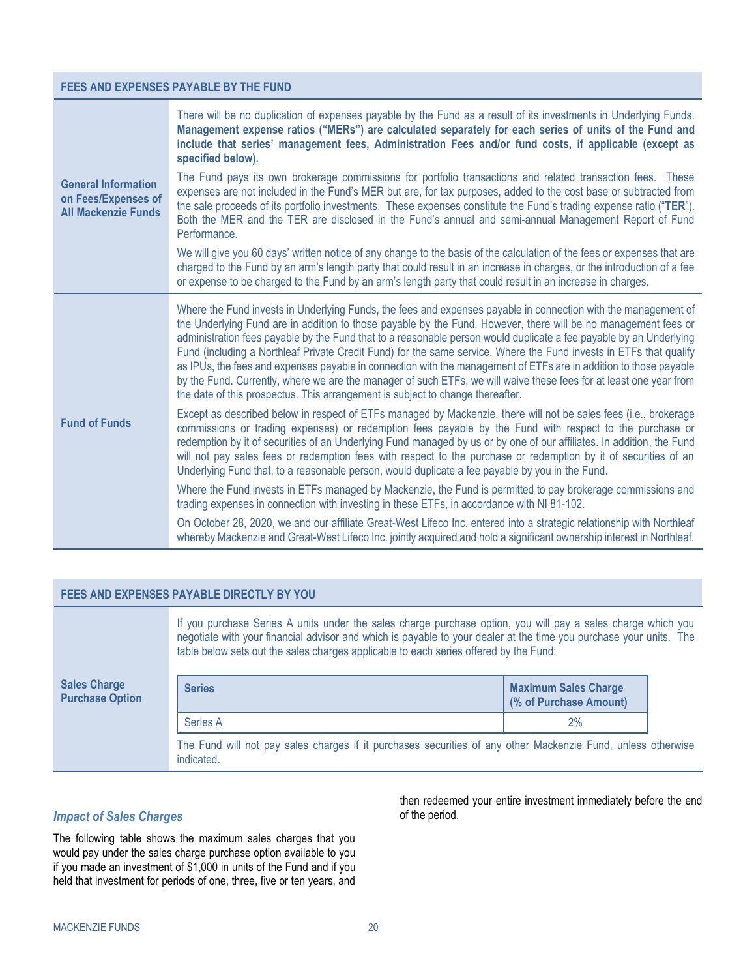#### **FEES AND EXPENSES PAYABLE BY THE FUND**

| <b>General Information</b><br>on Fees/Expenses of<br><b>All Mackenzie Funds</b> | There will be no duplication of expenses payable by the Fund as a result of its investments in Underlying Funds.<br>Management expense ratios ("MERs") are calculated separately for each series of units of the Fund and<br>include that series' management fees, Administration Fees and/or fund costs, if applicable (except as<br>specified below).<br>The Fund pays its own brokerage commissions for portfolio transactions and related transaction fees. These<br>expenses are not included in the Fund's MER but are, for tax purposes, added to the cost base or subtracted from<br>the sale proceeds of its portfolio investments. These expenses constitute the Fund's trading expense ratio ("TER").<br>Both the MER and the TER are disclosed in the Fund's annual and semi-annual Management Report of Fund<br>Performance.<br>We will give you 60 days' written notice of any change to the basis of the calculation of the fees or expenses that are<br>charged to the Fund by an arm's length party that could result in an increase in charges, or the introduction of a fee<br>or expense to be charged to the Fund by an arm's length party that could result in an increase in charges.                                                                         |
|---------------------------------------------------------------------------------|--------------------------------------------------------------------------------------------------------------------------------------------------------------------------------------------------------------------------------------------------------------------------------------------------------------------------------------------------------------------------------------------------------------------------------------------------------------------------------------------------------------------------------------------------------------------------------------------------------------------------------------------------------------------------------------------------------------------------------------------------------------------------------------------------------------------------------------------------------------------------------------------------------------------------------------------------------------------------------------------------------------------------------------------------------------------------------------------------------------------------------------------------------------------------------------------------------------------------------------------------------------------------------------|
| <b>Fund of Funds</b>                                                            | Where the Fund invests in Underlying Funds, the fees and expenses payable in connection with the management of<br>the Underlying Fund are in addition to those payable by the Fund. However, there will be no management fees or<br>administration fees payable by the Fund that to a reasonable person would duplicate a fee payable by an Underlying<br>Fund (including a Northleaf Private Credit Fund) for the same service. Where the Fund invests in ETFs that qualify<br>as IPUs, the fees and expenses payable in connection with the management of ETFs are in addition to those payable<br>by the Fund. Currently, where we are the manager of such ETFs, we will waive these fees for at least one year from<br>the date of this prospectus. This arrangement is subject to change thereafter.<br>Except as described below in respect of ETFs managed by Mackenzie, there will not be sales fees (i.e., brokerage<br>commissions or trading expenses) or redemption fees payable by the Fund with respect to the purchase or<br>redemption by it of securities of an Underlying Fund managed by us or by one of our affiliates. In addition, the Fund<br>will not pay sales fees or redemption fees with respect to the purchase or redemption by it of securities of an |
|                                                                                 | Underlying Fund that, to a reasonable person, would duplicate a fee payable by you in the Fund.<br>Where the Fund invests in ETFs managed by Mackenzie, the Fund is permitted to pay brokerage commissions and<br>trading expenses in connection with investing in these ETFs, in accordance with NI 81-102.                                                                                                                                                                                                                                                                                                                                                                                                                                                                                                                                                                                                                                                                                                                                                                                                                                                                                                                                                                         |
|                                                                                 | On October 28, 2020, we and our affiliate Great-West Lifeco Inc. entered into a strategic relationship with Northleaf<br>whereby Mackenzie and Great-West Lifeco Inc. jointly acquired and hold a significant ownership interest in Northleaf.                                                                                                                                                                                                                                                                                                                                                                                                                                                                                                                                                                                                                                                                                                                                                                                                                                                                                                                                                                                                                                       |

#### <span id="page-21-1"></span><span id="page-21-0"></span>**FEES AND EXPENSES PAYABLE DIRECTLY BY YOU**

**Sales Charge Purchase Option** If you purchase Series A units under the sales charge purchase option, you will pay a sales charge which you negotiate with your financial advisor and which is payable to your dealer at the time you purchase your units. The table below sets out the sales charges applicable to each series offered by the Fund: **Series Maximum Sales Charge (% of Purchase Amount)** Series A 2% The Fund will not pay sales charges if it purchases securities of any other Mackenzie Fund, unless otherwise indicated.

# *Impact of Sales Charges*

The following table shows the maximum sales charges that you would pay under the sales charge purchase option available to you if you made an investment of \$1,000 in units of the Fund and if you held that investment for periods of one, three, five or ten years, and

then redeemed your entire investment immediately before the end of the period.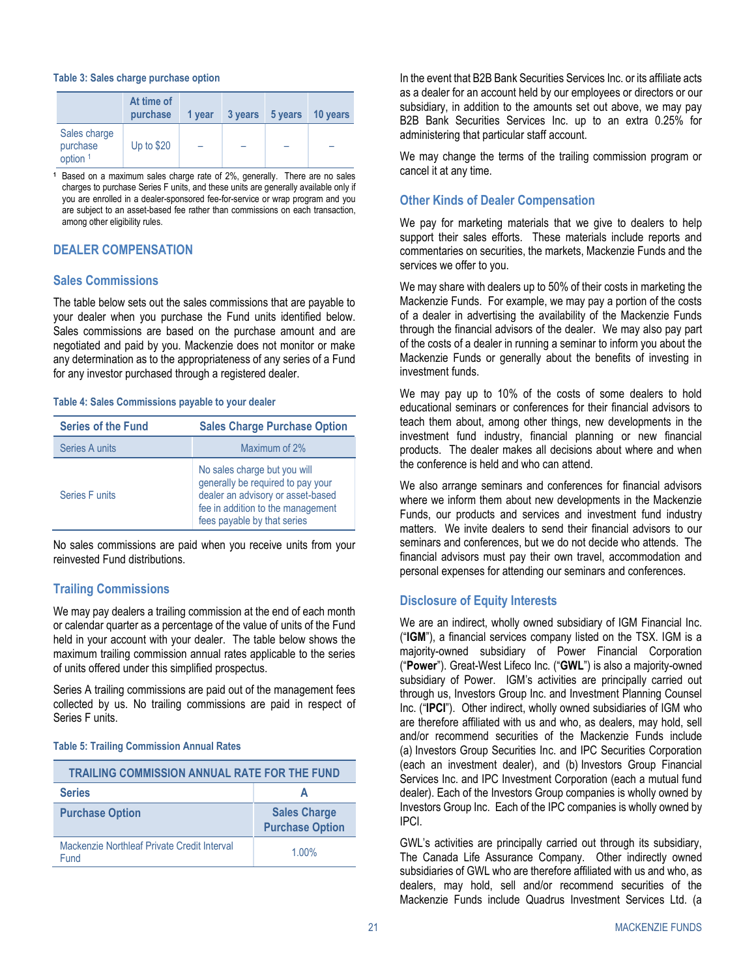#### **Table 3: Sales charge purchase option**

|                                                 | At time of<br>purchase | 1 year | 3 years | 5 years | 10 years |
|-------------------------------------------------|------------------------|--------|---------|---------|----------|
| Sales charge<br>purchase<br>option <sup>1</sup> | Up to $$20$            |        |         |         |          |

**<sup>1</sup>** Based on a maximum sales charge rate of 2%, generally. There are no sales charges to purchase Series F units, and these units are generally available only if you are enrolled in a dealer-sponsored fee-for-service or wrap program and you are subject to an asset-based fee rather than commissions on each transaction, among other eligibility rules.

#### <span id="page-22-0"></span>**DEALER COMPENSATION**

#### **Sales Commissions**

The table below sets out the sales commissions that are payable to your dealer when you purchase the Fund units identified below. Sales commissions are based on the purchase amount and are negotiated and paid by you. Mackenzie does not monitor or make any determination as to the appropriateness of any series of a Fund for any investor purchased through a registered dealer.

#### **Table 4: Sales Commissions payable to your dealer**

| <b>Series of the Fund</b> | <b>Sales Charge Purchase Option</b>                                                                                                                                        |
|---------------------------|----------------------------------------------------------------------------------------------------------------------------------------------------------------------------|
| Series A units            | Maximum of 2%                                                                                                                                                              |
| Series Funits             | No sales charge but you will<br>generally be required to pay your<br>dealer an advisory or asset-based<br>fee in addition to the management<br>fees payable by that series |

No sales commissions are paid when you receive units from your reinvested Fund distributions.

# <span id="page-22-1"></span>**Trailing Commissions**

We may pay dealers a trailing commission at the end of each month or calendar quarter as a percentage of the value of units of the Fund held in your account with your dealer. The table below shows the maximum trailing commission annual rates applicable to the series of units offered under this simplified prospectus.

Series A trailing commissions are paid out of the management fees collected by us. No trailing commissions are paid in respect of Series F units.

#### **Table 5: Trailing Commission Annual Rates**

| <b>TRAILING COMMISSION ANNUAL RATE FOR THE FUND</b> |                                               |  |
|-----------------------------------------------------|-----------------------------------------------|--|
| <b>Series</b>                                       |                                               |  |
| <b>Purchase Option</b>                              | <b>Sales Charge</b><br><b>Purchase Option</b> |  |
| Mackenzie Northleaf Private Credit Interval<br>Fund | $1.00\%$                                      |  |

In the event that B2B Bank Securities Services Inc. or its affiliate acts as a dealer for an account held by our employees or directors or our subsidiary, in addition to the amounts set out above, we may pay B2B Bank Securities Services Inc. up to an extra 0.25% for administering that particular staff account.

We may change the terms of the trailing commission program or cancel it at any time.

### **Other Kinds of Dealer Compensation**

We pay for marketing materials that we give to dealers to help support their sales efforts. These materials include reports and commentaries on securities, the markets, Mackenzie Funds and the services we offer to you.

We may share with dealers up to 50% of their costs in marketing the Mackenzie Funds. For example, we may pay a portion of the costs of a dealer in advertising the availability of the Mackenzie Funds through the financial advisors of the dealer. We may also pay part of the costs of a dealer in running a seminar to inform you about the Mackenzie Funds or generally about the benefits of investing in investment funds.

We may pay up to 10% of the costs of some dealers to hold educational seminars or conferences for their financial advisors to teach them about, among other things, new developments in the investment fund industry, financial planning or new financial products. The dealer makes all decisions about where and when the conference is held and who can attend.

We also arrange seminars and conferences for financial advisors where we inform them about new developments in the Mackenzie Funds, our products and services and investment fund industry matters. We invite dealers to send their financial advisors to our seminars and conferences, but we do not decide who attends. The financial advisors must pay their own travel, accommodation and personal expenses for attending our seminars and conferences.

# **Disclosure of Equity Interests**

We are an indirect, wholly owned subsidiary of IGM Financial Inc. ("**IGM**"), a financial services company listed on the TSX. IGM is a majority-owned subsidiary of Power Financial Corporation ("**Power**"). Great-West Lifeco Inc. ("**GWL**") is also a majority-owned subsidiary of Power. IGM's activities are principally carried out through us, Investors Group Inc. and Investment Planning Counsel Inc. ("**IPCI**"). Other indirect, wholly owned subsidiaries of IGM who are therefore affiliated with us and who, as dealers, may hold, sell and/or recommend securities of the Mackenzie Funds include (a) Investors Group Securities Inc. and IPC Securities Corporation (each an investment dealer), and (b) Investors Group Financial Services Inc. and IPC Investment Corporation (each a mutual fund dealer). Each of the Investors Group companies is wholly owned by Investors Group Inc. Each of the IPC companies is wholly owned by IPCI.

GWL's activities are principally carried out through its subsidiary, The Canada Life Assurance Company. Other indirectly owned subsidiaries of GWL who are therefore affiliated with us and who, as dealers, may hold, sell and/or recommend securities of the Mackenzie Funds include Quadrus Investment Services Ltd. (a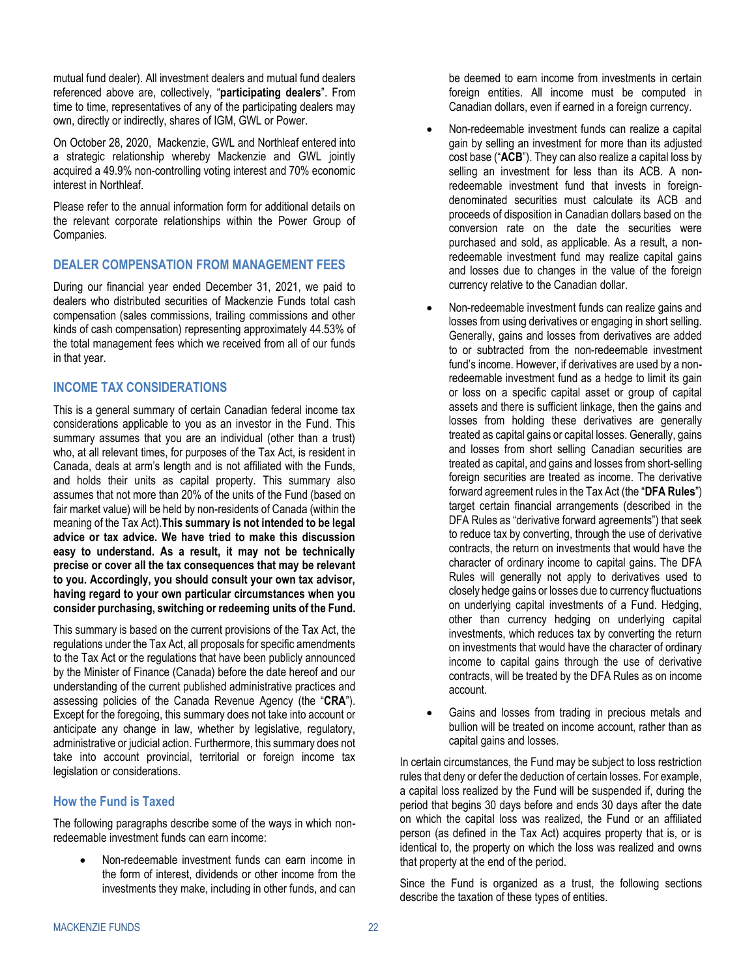mutual fund dealer). All investment dealers and mutual fund dealers referenced above are, collectively, "**participating dealers**". From time to time, representatives of any of the participating dealers may own, directly or indirectly, shares of IGM, GWL or Power.

On October 28, 2020, Mackenzie, GWL and Northleaf entered into a strategic relationship whereby Mackenzie and GWL jointly acquired a 49.9% non-controlling voting interest and 70% economic interest in Northleaf.

Please refer to the annual information form for additional details on the relevant corporate relationships within the Power Group of Companies.

# <span id="page-23-0"></span>**DEALER COMPENSATION FROM MANAGEMENT FEES**

During our financial year ended December 31, 2021, we paid to dealers who distributed securities of Mackenzie Funds total cash compensation (sales commissions, trailing commissions and other kinds of cash compensation) representing approximately 44.53% of the total management fees which we received from all of our funds in that year.

# <span id="page-23-1"></span>**INCOME TAX CONSIDERATIONS**

This is a general summary of certain Canadian federal income tax considerations applicable to you as an investor in the Fund. This summary assumes that you are an individual (other than a trust) who, at all relevant times, for purposes of the Tax Act, is resident in Canada, deals at arm's length and is not affiliated with the Funds, and holds their units as capital property. This summary also assumes that not more than 20% of the units of the Fund (based on fair market value) will be held by non-residents of Canada (within the meaning of the Tax Act).**This summary is not intended to be legal advice or tax advice. We have tried to make this discussion easy to understand. As a result, it may not be technically precise or cover all the tax consequences that may be relevant to you. Accordingly, you should consult your own tax advisor, having regard to your own particular circumstances when you consider purchasing, switching or redeeming units of the Fund.**

This summary is based on the current provisions of the Tax Act, the regulations under the Tax Act, all proposals for specific amendments to the Tax Act or the regulations that have been publicly announced by the Minister of Finance (Canada) before the date hereof and our understanding of the current published administrative practices and assessing policies of the Canada Revenue Agency (the "**CRA**"). Except for the foregoing, this summary does not take into account or anticipate any change in law, whether by legislative, regulatory, administrative or judicial action. Furthermore, this summary does not take into account provincial, territorial or foreign income tax legislation or considerations.

# **How the Fund is Taxed**

The following paragraphs describe some of the ways in which nonredeemable investment funds can earn income:

• Non-redeemable investment funds can earn income in the form of interest, dividends or other income from the investments they make, including in other funds, and can be deemed to earn income from investments in certain foreign entities. All income must be computed in Canadian dollars, even if earned in a foreign currency.

- Non-redeemable investment funds can realize a capital gain by selling an investment for more than its adjusted cost base ("**ACB**"). They can also realize a capital loss by selling an investment for less than its ACB. A nonredeemable investment fund that invests in foreigndenominated securities must calculate its ACB and proceeds of disposition in Canadian dollars based on the conversion rate on the date the securities were purchased and sold, as applicable. As a result, a nonredeemable investment fund may realize capital gains and losses due to changes in the value of the foreign currency relative to the Canadian dollar.
- Non-redeemable investment funds can realize gains and losses from using derivatives or engaging in short selling. Generally, gains and losses from derivatives are added to or subtracted from the non-redeemable investment fund's income. However, if derivatives are used by a nonredeemable investment fund as a hedge to limit its gain or loss on a specific capital asset or group of capital assets and there is sufficient linkage, then the gains and losses from holding these derivatives are generally treated as capital gains or capital losses. Generally, gains and losses from short selling Canadian securities are treated as capital, and gains and losses from short-selling foreign securities are treated as income. The derivative forward agreement rules in the Tax Act (the "**DFA Rules**") target certain financial arrangements (described in the DFA Rules as "derivative forward agreements") that seek to reduce tax by converting, through the use of derivative contracts, the return on investments that would have the character of ordinary income to capital gains. The DFA Rules will generally not apply to derivatives used to closely hedge gains or losses due to currency fluctuations on underlying capital investments of a Fund. Hedging, other than currency hedging on underlying capital investments, which reduces tax by converting the return on investments that would have the character of ordinary income to capital gains through the use of derivative contracts, will be treated by the DFA Rules as on income account.
- Gains and losses from trading in precious metals and bullion will be treated on income account, rather than as capital gains and losses.

In certain circumstances, the Fund may be subject to loss restriction rules that deny or defer the deduction of certain losses. For example, a capital loss realized by the Fund will be suspended if, during the period that begins 30 days before and ends 30 days after the date on which the capital loss was realized, the Fund or an affiliated person (as defined in the Tax Act) acquires property that is, or is identical to, the property on which the loss was realized and owns that property at the end of the period.

Since the Fund is organized as a trust, the following sections describe the taxation of these types of entities.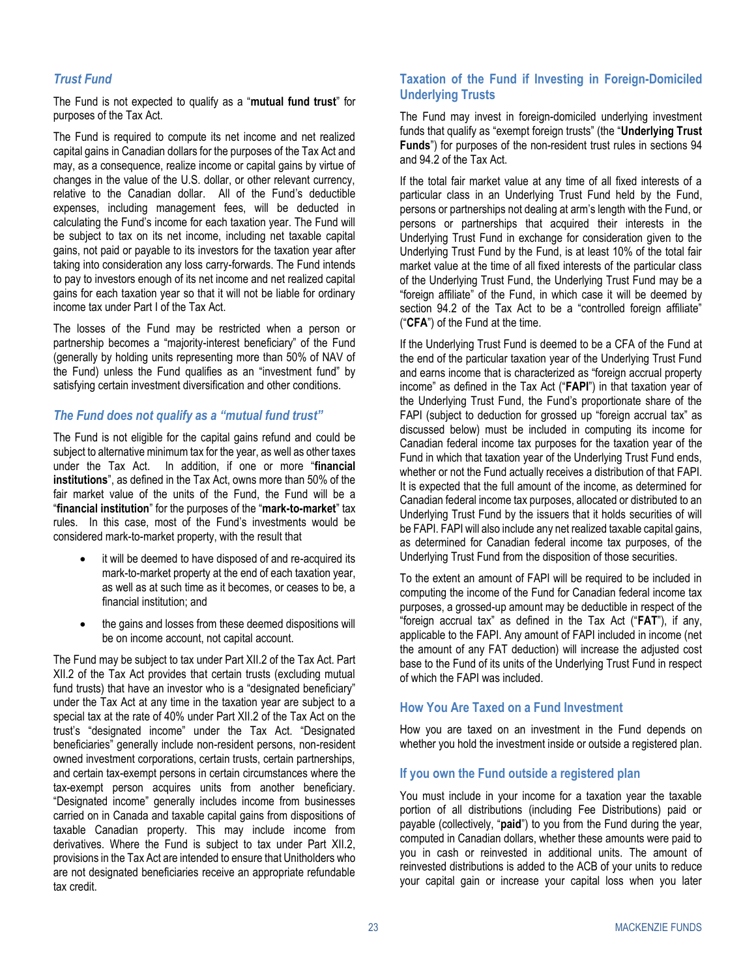# *Trust Fund*

The Fund is not expected to qualify as a "**mutual fund trust**" for purposes of the Tax Act.

The Fund is required to compute its net income and net realized capital gains in Canadian dollars for the purposes of the Tax Act and may, as a consequence, realize income or capital gains by virtue of changes in the value of the U.S. dollar, or other relevant currency, relative to the Canadian dollar. All of the Fund's deductible expenses, including management fees, will be deducted in calculating the Fund's income for each taxation year. The Fund will be subject to tax on its net income, including net taxable capital gains, not paid or payable to its investors for the taxation year after taking into consideration any loss carry-forwards. The Fund intends to pay to investors enough of its net income and net realized capital gains for each taxation year so that it will not be liable for ordinary income tax under Part I of the Tax Act.

The losses of the Fund may be restricted when a person or partnership becomes a "majority-interest beneficiary" of the Fund (generally by holding units representing more than 50% of NAV of the Fund) unless the Fund qualifies as an "investment fund" by satisfying certain investment diversification and other conditions.

# *The Fund does not qualify as a "mutual fund trust"*

The Fund is not eligible for the capital gains refund and could be subject to alternative minimum tax for the year, as well as other taxes under the Tax Act. In addition, if one or more "**financial institutions**", as defined in the Tax Act, owns more than 50% of the fair market value of the units of the Fund, the Fund will be a "**financial institution**" for the purposes of the "**mark-to-market**" tax rules. In this case, most of the Fund's investments would be considered mark-to-market property, with the result that

- it will be deemed to have disposed of and re-acquired its mark-to-market property at the end of each taxation year, as well as at such time as it becomes, or ceases to be, a financial institution; and
- the gains and losses from these deemed dispositions will be on income account, not capital account.

The Fund may be subject to tax under Part XII.2 of the Tax Act. Part XII.2 of the Tax Act provides that certain trusts (excluding mutual fund trusts) that have an investor who is a "designated beneficiary" under the Tax Act at any time in the taxation year are subject to a special tax at the rate of 40% under Part XII.2 of the Tax Act on the trust's "designated income" under the Tax Act. "Designated beneficiaries" generally include non-resident persons, non-resident owned investment corporations, certain trusts, certain partnerships, and certain tax-exempt persons in certain circumstances where the tax-exempt person acquires units from another beneficiary. "Designated income" generally includes income from businesses carried on in Canada and taxable capital gains from dispositions of taxable Canadian property. This may include income from derivatives. Where the Fund is subject to tax under Part XII.2, provisions in the Tax Act are intended to ensure that Unitholders who are not designated beneficiaries receive an appropriate refundable tax credit.

### **Taxation of the Fund if Investing in Foreign-Domiciled Underlying Trusts**

The Fund may invest in foreign-domiciled underlying investment funds that qualify as "exempt foreign trusts" (the "**Underlying Trust Funds**") for purposes of the non-resident trust rules in sections 94 and 94.2 of the Tax Act.

If the total fair market value at any time of all fixed interests of a particular class in an Underlying Trust Fund held by the Fund, persons or partnerships not dealing at arm's length with the Fund, or persons or partnerships that acquired their interests in the Underlying Trust Fund in exchange for consideration given to the Underlying Trust Fund by the Fund, is at least 10% of the total fair market value at the time of all fixed interests of the particular class of the Underlying Trust Fund, the Underlying Trust Fund may be a "foreign affiliate" of the Fund, in which case it will be deemed by section 94.2 of the Tax Act to be a "controlled foreign affiliate" ("**CFA**") of the Fund at the time.

If the Underlying Trust Fund is deemed to be a CFA of the Fund at the end of the particular taxation year of the Underlying Trust Fund and earns income that is characterized as "foreign accrual property income" as defined in the Tax Act ("**FAPI**") in that taxation year of the Underlying Trust Fund, the Fund's proportionate share of the FAPI (subject to deduction for grossed up "foreign accrual tax" as discussed below) must be included in computing its income for Canadian federal income tax purposes for the taxation year of the Fund in which that taxation year of the Underlying Trust Fund ends, whether or not the Fund actually receives a distribution of that FAPI. It is expected that the full amount of the income, as determined for Canadian federal income tax purposes, allocated or distributed to an Underlying Trust Fund by the issuers that it holds securities of will be FAPI. FAPI will also include any net realized taxable capital gains, as determined for Canadian federal income tax purposes, of the Underlying Trust Fund from the disposition of those securities.

To the extent an amount of FAPI will be required to be included in computing the income of the Fund for Canadian federal income tax purposes, a grossed-up amount may be deductible in respect of the "foreign accrual tax" as defined in the Tax Act ("**FAT**"), if any, applicable to the FAPI. Any amount of FAPI included in income (net the amount of any FAT deduction) will increase the adjusted cost base to the Fund of its units of the Underlying Trust Fund in respect of which the FAPI was included.

#### **How You Are Taxed on a Fund Investment**

How you are taxed on an investment in the Fund depends on whether you hold the investment inside or outside a registered plan.

#### **If you own the Fund outside a registered plan**

You must include in your income for a taxation year the taxable portion of all distributions (including Fee Distributions) paid or payable (collectively, "**paid**") to you from the Fund during the year, computed in Canadian dollars, whether these amounts were paid to you in cash or reinvested in additional units. The amount of reinvested distributions is added to the ACB of your units to reduce your capital gain or increase your capital loss when you later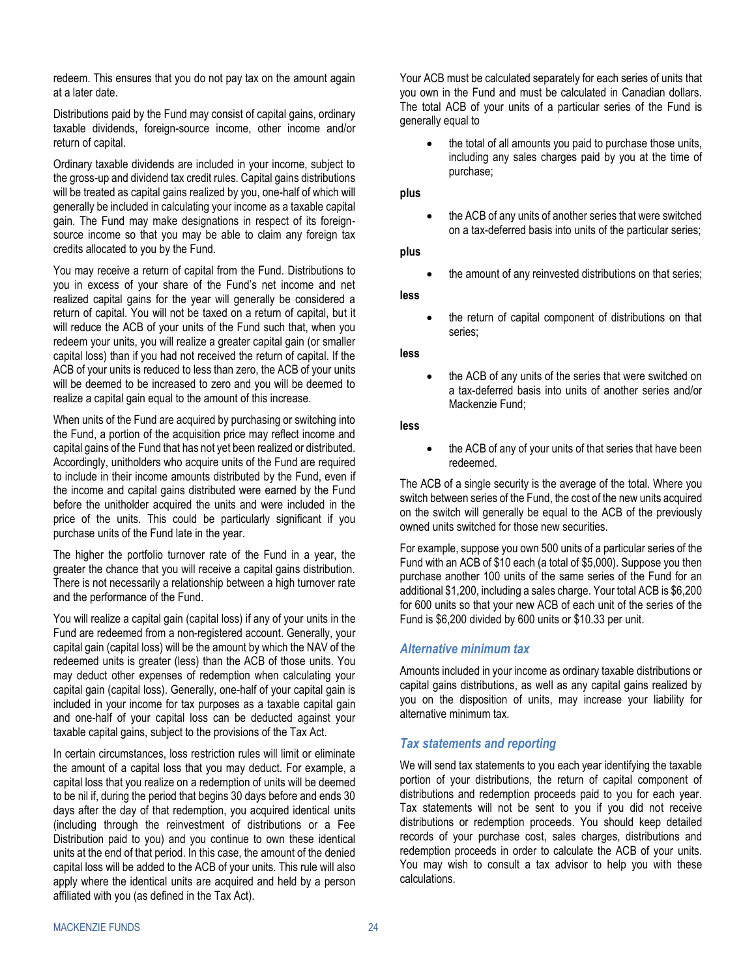redeem. This ensures that you do not pay tax on the amount again at a later date.

Distributions paid by the Fund may consist of capital gains, ordinary taxable dividends, foreign-source income, other income and/or return of capital.

Ordinary taxable dividends are included in your income, subject to the gross-up and dividend tax credit rules. Capital gains distributions will be treated as capital gains realized by you, one-half of which will generally be included in calculating your income as a taxable capital gain. The Fund may make designations in respect of its foreignsource income so that you may be able to claim any foreign tax credits allocated to you by the Fund.

You may receive a return of capital from the Fund. Distributions to you in excess of your share of the Fund's net income and net realized capital gains for the year will generally be considered a return of capital. You will not be taxed on a return of capital, but it will reduce the ACB of your units of the Fund such that, when you redeem your units, you will realize a greater capital gain (or smaller capital loss) than if you had not received the return of capital. If the ACB of your units is reduced to less than zero, the ACB of your units will be deemed to be increased to zero and you will be deemed to realize a capital gain equal to the amount of this increase.

When units of the Fund are acquired by purchasing or switching into the Fund, a portion of the acquisition price may reflect income and capital gains of the Fund that has not yet been realized or distributed. Accordingly, unitholders who acquire units of the Fund are required to include in their income amounts distributed by the Fund, even if the income and capital gains distributed were earned by the Fund before the unitholder acquired the units and were included in the price of the units. This could be particularly significant if you purchase units of the Fund late in the year.

The higher the portfolio turnover rate of the Fund in a year, the greater the chance that you will receive a capital gains distribution. There is not necessarily a relationship between a high turnover rate and the performance of the Fund.

You will realize a capital gain (capital loss) if any of your units in the Fund are redeemed from a non-registered account. Generally, your capital gain (capital loss) will be the amount by which the NAV of the redeemed units is greater (less) than the ACB of those units. You may deduct other expenses of redemption when calculating your capital gain (capital loss). Generally, one-half of your capital gain is included in your income for tax purposes as a taxable capital gain and one-half of your capital loss can be deducted against your taxable capital gains, subject to the provisions of the Tax Act.

In certain circumstances, loss restriction rules will limit or eliminate the amount of a capital loss that you may deduct. For example, a capital loss that you realize on a redemption of units will be deemed to be nil if, during the period that begins 30 days before and ends 30 days after the day of that redemption, you acquired identical units (including through the reinvestment of distributions or a Fee Distribution paid to you) and you continue to own these identical units at the end of that period. In this case, the amount of the denied capital loss will be added to the ACB of your units. This rule will also apply where the identical units are acquired and held by a person affiliated with you (as defined in the Tax Act).

Your ACB must be calculated separately for each series of units that you own in the Fund and must be calculated in Canadian dollars. The total ACB of your units of a particular series of the Fund is generally equal to

• the total of all amounts you paid to purchase those units, including any sales charges paid by you at the time of purchase;

**plus**

• the ACB of any units of another series that were switched on a tax-deferred basis into units of the particular series;

**plus**

the amount of any reinvested distributions on that series;

**less**

the return of capital component of distributions on that series;

**less**

the ACB of any units of the series that were switched on a tax-deferred basis into units of another series and/or Mackenzie Fund;

**less**

the ACB of any of your units of that series that have been redeemed.

The ACB of a single security is the average of the total. Where you switch between series of the Fund, the cost of the new units acquired on the switch will generally be equal to the ACB of the previously owned units switched for those new securities.

For example, suppose you own 500 units of a particular series of the Fund with an ACB of \$10 each (a total of \$5,000). Suppose you then purchase another 100 units of the same series of the Fund for an additional \$1,200, including a sales charge. Your total ACB is \$6,200 for 600 units so that your new ACB of each unit of the series of the Fund is \$6,200 divided by 600 units or \$10.33 per unit.

# *Alternative minimum tax*

Amounts included in your income as ordinary taxable distributions or capital gains distributions, as well as any capital gains realized by you on the disposition of units, may increase your liability for alternative minimum tax.

# *Tax statements and reporting*

We will send tax statements to you each year identifying the taxable portion of your distributions, the return of capital component of distributions and redemption proceeds paid to you for each year. Tax statements will not be sent to you if you did not receive distributions or redemption proceeds. You should keep detailed records of your purchase cost, sales charges, distributions and redemption proceeds in order to calculate the ACB of your units. You may wish to consult a tax advisor to help you with these calculations.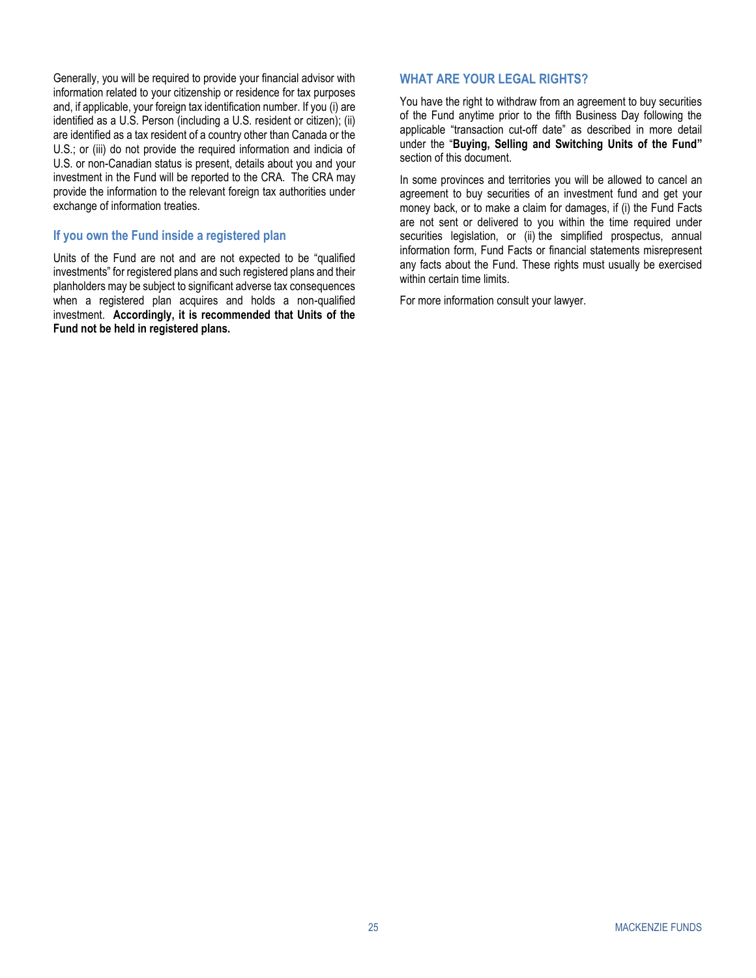Generally, you will be required to provide your financial advisor with information related to your citizenship or residence for tax purposes and, if applicable, your foreign tax identification number. If you (i) are identified as a U.S. Person (including a U.S. resident or citizen); (ii) are identified as a tax resident of a country other than Canada or the U.S.; or (iii) do not provide the required information and indicia of U.S. or non-Canadian status is present, details about you and your investment in the Fund will be reported to the CRA. The CRA may provide the information to the relevant foreign tax authorities under exchange of information treaties.

#### **If you own the Fund inside a registered plan**

Units of the Fund are not and are not expected to be "qualified investments" for registered plans and such registered plans and their planholders may be subject to significant adverse tax consequences when a registered plan acquires and holds a non-qualified investment. **Accordingly, it is recommended that Units of the Fund not be held in registered plans.**

#### <span id="page-26-0"></span>**WHAT ARE YOUR LEGAL RIGHTS?**

You have the right to withdraw from an agreement to buy securities of the Fund anytime prior to the fifth Business Day following the applicable "transaction cut-off date" as described in more detail under the "**Buying, Selling and Switching Units of the Fund"**  section of this document.

In some provinces and territories you will be allowed to cancel an agreement to buy securities of an investment fund and get your money back, or to make a claim for damages, if (i) the Fund Facts are not sent or delivered to you within the time required under securities legislation, or (ii) the simplified prospectus, annual information form, Fund Facts or financial statements misrepresent any facts about the Fund. These rights must usually be exercised within certain time limits.

<span id="page-26-1"></span>For more information consult your lawyer.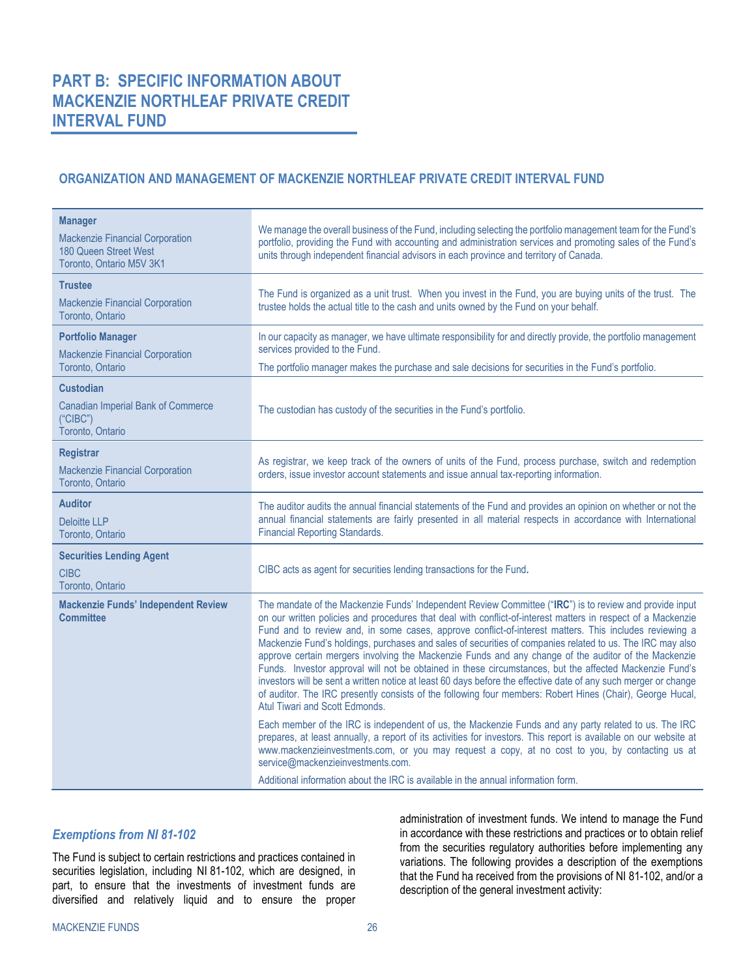# <span id="page-27-1"></span><span id="page-27-0"></span>**ORGANIZATION AND MANAGEMENT OF MACKENZIE NORTHLEAF PRIVATE CREDIT INTERVAL FUND**

| <b>Manager</b><br><b>Mackenzie Financial Corporation</b><br>180 Queen Street West<br>Toronto, Ontario M5V 3K1 | We manage the overall business of the Fund, including selecting the portfolio management team for the Fund's<br>portfolio, providing the Fund with accounting and administration services and promoting sales of the Fund's<br>units through independent financial advisors in each province and territory of Canada.                                                                                                                                                                                                                                                                                                                                                                                                                                                                                                                                                                                                               |
|---------------------------------------------------------------------------------------------------------------|-------------------------------------------------------------------------------------------------------------------------------------------------------------------------------------------------------------------------------------------------------------------------------------------------------------------------------------------------------------------------------------------------------------------------------------------------------------------------------------------------------------------------------------------------------------------------------------------------------------------------------------------------------------------------------------------------------------------------------------------------------------------------------------------------------------------------------------------------------------------------------------------------------------------------------------|
| <b>Trustee</b><br><b>Mackenzie Financial Corporation</b><br>Toronto, Ontario                                  | The Fund is organized as a unit trust. When you invest in the Fund, you are buying units of the trust. The<br>trustee holds the actual title to the cash and units owned by the Fund on your behalf.                                                                                                                                                                                                                                                                                                                                                                                                                                                                                                                                                                                                                                                                                                                                |
| <b>Portfolio Manager</b>                                                                                      | In our capacity as manager, we have ultimate responsibility for and directly provide, the portfolio management                                                                                                                                                                                                                                                                                                                                                                                                                                                                                                                                                                                                                                                                                                                                                                                                                      |
| Mackenzie Financial Corporation<br>Toronto, Ontario                                                           | services provided to the Fund.<br>The portfolio manager makes the purchase and sale decisions for securities in the Fund's portfolio.                                                                                                                                                                                                                                                                                                                                                                                                                                                                                                                                                                                                                                                                                                                                                                                               |
| <b>Custodian</b><br><b>Canadian Imperial Bank of Commerce</b><br>("CIBC")<br>Toronto, Ontario                 | The custodian has custody of the securities in the Fund's portfolio.                                                                                                                                                                                                                                                                                                                                                                                                                                                                                                                                                                                                                                                                                                                                                                                                                                                                |
| <b>Registrar</b><br>Mackenzie Financial Corporation<br>Toronto, Ontario                                       | As registrar, we keep track of the owners of units of the Fund, process purchase, switch and redemption<br>orders, issue investor account statements and issue annual tax-reporting information.                                                                                                                                                                                                                                                                                                                                                                                                                                                                                                                                                                                                                                                                                                                                    |
| <b>Auditor</b><br><b>Deloitte LLP</b><br>Toronto, Ontario                                                     | The auditor audits the annual financial statements of the Fund and provides an opinion on whether or not the<br>annual financial statements are fairly presented in all material respects in accordance with International<br><b>Financial Reporting Standards.</b>                                                                                                                                                                                                                                                                                                                                                                                                                                                                                                                                                                                                                                                                 |
| <b>Securities Lending Agent</b><br><b>CIBC</b><br>Toronto, Ontario                                            | CIBC acts as agent for securities lending transactions for the Fund.                                                                                                                                                                                                                                                                                                                                                                                                                                                                                                                                                                                                                                                                                                                                                                                                                                                                |
| <b>Mackenzie Funds' Independent Review</b><br><b>Committee</b>                                                | The mandate of the Mackenzie Funds' Independent Review Committee ("IRC") is to review and provide input<br>on our written policies and procedures that deal with conflict-of-interest matters in respect of a Mackenzie<br>Fund and to review and, in some cases, approve conflict-of-interest matters. This includes reviewing a<br>Mackenzie Fund's holdings, purchases and sales of securities of companies related to us. The IRC may also<br>approve certain mergers involving the Mackenzie Funds and any change of the auditor of the Mackenzie<br>Funds. Investor approval will not be obtained in these circumstances, but the affected Mackenzie Fund's<br>investors will be sent a written notice at least 60 days before the effective date of any such merger or change<br>of auditor. The IRC presently consists of the following four members: Robert Hines (Chair), George Hucal,<br>Atul Tiwari and Scott Edmonds. |
|                                                                                                               | Each member of the IRC is independent of us, the Mackenzie Funds and any party related to us. The IRC<br>prepares, at least annually, a report of its activities for investors. This report is available on our website at<br>www.mackenzieinvestments.com, or you may request a copy, at no cost to you, by contacting us at<br>service@mackenzieinvestments.com.                                                                                                                                                                                                                                                                                                                                                                                                                                                                                                                                                                  |
|                                                                                                               | Additional information about the IRC is available in the annual information form.                                                                                                                                                                                                                                                                                                                                                                                                                                                                                                                                                                                                                                                                                                                                                                                                                                                   |

# *Exemptions from NI 81-102*

The Fund is subject to certain restrictions and practices contained in securities legislation, including NI 81-102, which are designed, in part, to ensure that the investments of investment funds are diversified and relatively liquid and to ensure the proper

administration of investment funds. We intend to manage the Fund in accordance with these restrictions and practices or to obtain relief from the securities regulatory authorities before implementing any variations. The following provides a description of the exemptions that the Fund ha received from the provisions of NI 81-102, and/or a description of the general investment activity: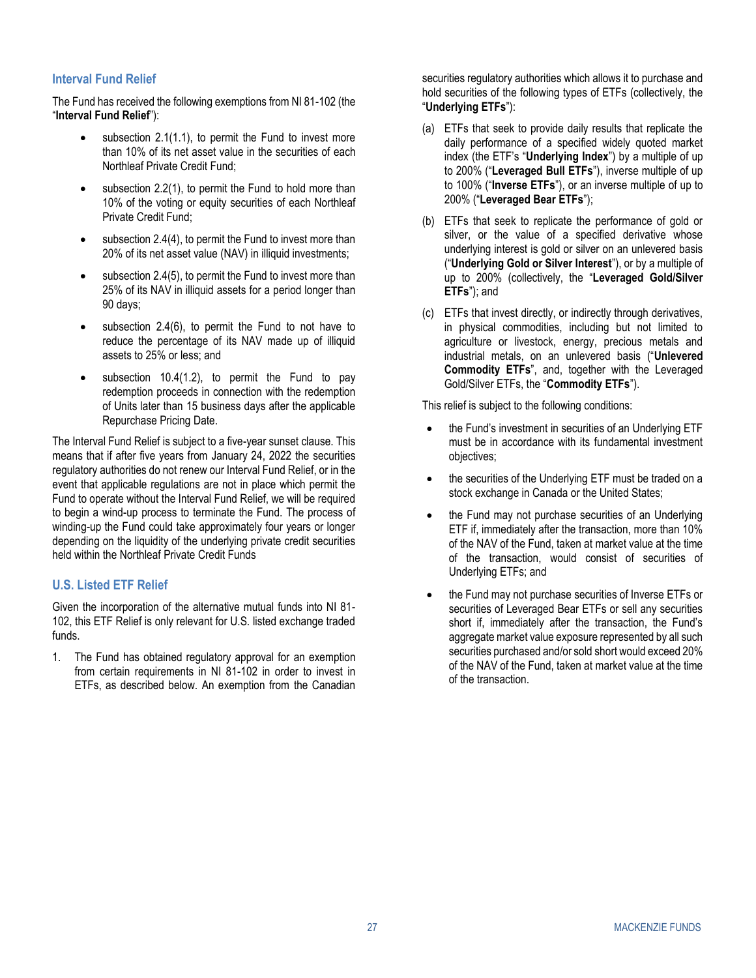# **Interval Fund Relief**

The Fund has received the following exemptions from NI 81-102 (the "**Interval Fund Relief**"):

- subsection 2.1(1.1), to permit the Fund to invest more than 10% of its net asset value in the securities of each Northleaf Private Credit Fund;
- subsection 2.2(1), to permit the Fund to hold more than 10% of the voting or equity securities of each Northleaf Private Credit Fund;
- subsection 2.4(4), to permit the Fund to invest more than 20% of its net asset value (NAV) in illiquid investments;
- subsection 2.4(5), to permit the Fund to invest more than 25% of its NAV in illiquid assets for a period longer than 90 days;
- subsection  $2.4(6)$ , to permit the Fund to not have to reduce the percentage of its NAV made up of illiquid assets to 25% or less; and
- subsection  $10.4(1.2)$ , to permit the Fund to pay redemption proceeds in connection with the redemption of Units later than 15 business days after the applicable Repurchase Pricing Date.

The Interval Fund Relief is subject to a five-year sunset clause. This means that if after five years from January 24, 2022 the securities regulatory authorities do not renew our Interval Fund Relief, or in the event that applicable regulations are not in place which permit the Fund to operate without the Interval Fund Relief, we will be required to begin a wind-up process to terminate the Fund. The process of winding-up the Fund could take approximately four years or longer depending on the liquidity of the underlying private credit securities held within the Northleaf Private Credit Funds

# **U.S. Listed ETF Relief**

Given the incorporation of the alternative mutual funds into NI 81- 102, this ETF Relief is only relevant for U.S. listed exchange traded funds.

1. The Fund has obtained regulatory approval for an exemption from certain requirements in NI 81-102 in order to invest in ETFs, as described below. An exemption from the Canadian

securities regulatory authorities which allows it to purchase and hold securities of the following types of ETFs (collectively, the "**Underlying ETFs**"):

- (a) ETFs that seek to provide daily results that replicate the daily performance of a specified widely quoted market index (the ETF's "**Underlying Index**") by a multiple of up to 200% ("**Leveraged Bull ETFs**"), inverse multiple of up to 100% ("**Inverse ETFs**"), or an inverse multiple of up to 200% ("**Leveraged Bear ETFs**");
- (b) ETFs that seek to replicate the performance of gold or silver, or the value of a specified derivative whose underlying interest is gold or silver on an unlevered basis ("**Underlying Gold or Silver Interest**"), or by a multiple of up to 200% (collectively, the "**Leveraged Gold/Silver ETFs**"); and
- (c) ETFs that invest directly, or indirectly through derivatives, in physical commodities, including but not limited to agriculture or livestock, energy, precious metals and industrial metals, on an unlevered basis ("**Unlevered Commodity ETFs**", and, together with the Leveraged Gold/Silver ETFs, the "**Commodity ETFs**").

This relief is subject to the following conditions:

- the Fund's investment in securities of an Underlying ETF must be in accordance with its fundamental investment objectives;
- the securities of the Underlying ETF must be traded on a stock exchange in Canada or the United States;
- the Fund may not purchase securities of an Underlying ETF if, immediately after the transaction, more than 10% of the NAV of the Fund, taken at market value at the time of the transaction, would consist of securities of Underlying ETFs; and
- the Fund may not purchase securities of Inverse ETFs or securities of Leveraged Bear ETFs or sell any securities short if, immediately after the transaction, the Fund's aggregate market value exposure represented by all such securities purchased and/or sold short would exceed 20% of the NAV of the Fund, taken at market value at the time of the transaction.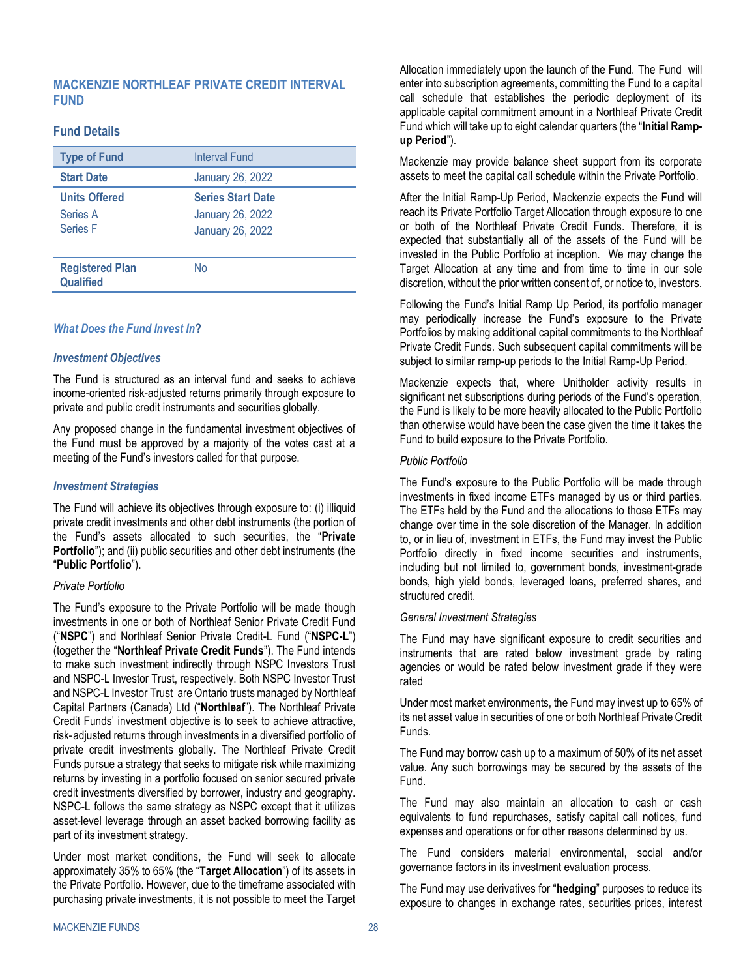# <span id="page-29-0"></span>**MACKENZIE NORTHLEAF PRIVATE CREDIT INTERVAL FUND**

### **Fund Details**

| <b>Type of Fund</b>                                 | <b>Interval Fund</b>                                                           |
|-----------------------------------------------------|--------------------------------------------------------------------------------|
| <b>Start Date</b>                                   | <b>January 26, 2022</b>                                                        |
| <b>Units Offered</b><br>Series A<br><b>Series F</b> | <b>Series Start Date</b><br><b>January 26, 2022</b><br><b>January 26, 2022</b> |
| <b>Registered Plan</b><br><b>Qualified</b>          | No                                                                             |

### *What Does the Fund Invest In***?**

#### *Investment Objectives*

The Fund is structured as an interval fund and seeks to achieve income-oriented risk-adjusted returns primarily through exposure to private and public credit instruments and securities globally.

Any proposed change in the fundamental investment objectives of the Fund must be approved by a majority of the votes cast at a meeting of the Fund's investors called for that purpose.

#### *Investment Strategies*

The Fund will achieve its objectives through exposure to: (i) illiquid private credit investments and other debt instruments (the portion of the Fund's assets allocated to such securities, the "**Private Portfolio**"); and (ii) public securities and other debt instruments (the "**Public Portfolio**").

#### *Private Portfolio*

The Fund's exposure to the Private Portfolio will be made though investments in one or both of Northleaf Senior Private Credit Fund ("**NSPC**") and Northleaf Senior Private Credit-L Fund ("**NSPC-L**") (together the "**Northleaf Private Credit Funds**"). The Fund intends to make such investment indirectly through NSPC Investors Trust and NSPC-L Investor Trust, respectively. Both NSPC Investor Trust and NSPC-L Investor Trust are Ontario trusts managed by Northleaf Capital Partners (Canada) Ltd ("**Northleaf**"). The Northleaf Private Credit Funds' investment objective is to seek to achieve attractive, risk‐adjusted returns through investments in a diversified portfolio of private credit investments globally. The Northleaf Private Credit Funds pursue a strategy that seeks to mitigate risk while maximizing returns by investing in a portfolio focused on senior secured private credit investments diversified by borrower, industry and geography. NSPC-L follows the same strategy as NSPC except that it utilizes asset-level leverage through an asset backed borrowing facility as part of its investment strategy.

Under most market conditions, the Fund will seek to allocate approximately 35% to 65% (the "**Target Allocation**") of its assets in the Private Portfolio. However, due to the timeframe associated with purchasing private investments, it is not possible to meet the Target Allocation immediately upon the launch of the Fund. The Fund will enter into subscription agreements, committing the Fund to a capital call schedule that establishes the periodic deployment of its applicable capital commitment amount in a Northleaf Private Credit Fund which will take up to eight calendar quarters (the "**Initial Rampup Period**").

Mackenzie may provide balance sheet support from its corporate assets to meet the capital call schedule within the Private Portfolio.

After the Initial Ramp-Up Period, Mackenzie expects the Fund will reach its Private Portfolio Target Allocation through exposure to one or both of the Northleaf Private Credit Funds. Therefore, it is expected that substantially all of the assets of the Fund will be invested in the Public Portfolio at inception. We may change the Target Allocation at any time and from time to time in our sole discretion, without the prior written consent of, or notice to, investors.

Following the Fund's Initial Ramp Up Period, its portfolio manager may periodically increase the Fund's exposure to the Private Portfolios by making additional capital commitments to the Northleaf Private Credit Funds. Such subsequent capital commitments will be subject to similar ramp-up periods to the Initial Ramp-Up Period.

Mackenzie expects that, where Unitholder activity results in significant net subscriptions during periods of the Fund's operation, the Fund is likely to be more heavily allocated to the Public Portfolio than otherwise would have been the case given the time it takes the Fund to build exposure to the Private Portfolio.

#### *Public Portfolio*

The Fund's exposure to the Public Portfolio will be made through investments in fixed income ETFs managed by us or third parties. The ETFs held by the Fund and the allocations to those ETFs may change over time in the sole discretion of the Manager. In addition to, or in lieu of, investment in ETFs, the Fund may invest the Public Portfolio directly in fixed income securities and instruments, including but not limited to, government bonds, investment-grade bonds, high yield bonds, leveraged loans, preferred shares, and structured credit.

#### *General Investment Strategies*

The Fund may have significant exposure to credit securities and instruments that are rated below investment grade by rating agencies or would be rated below investment grade if they were rated

Under most market environments, the Fund may invest up to 65% of its net asset value in securities of one or both Northleaf Private Credit **Funds** 

The Fund may borrow cash up to a maximum of 50% of its net asset value. Any such borrowings may be secured by the assets of the Fund.

The Fund may also maintain an allocation to cash or cash equivalents to fund repurchases, satisfy capital call notices, fund expenses and operations or for other reasons determined by us.

The Fund considers material environmental, social and/or governance factors in its investment evaluation process.

The Fund may use derivatives for "**hedging**" purposes to reduce its exposure to changes in exchange rates, securities prices, interest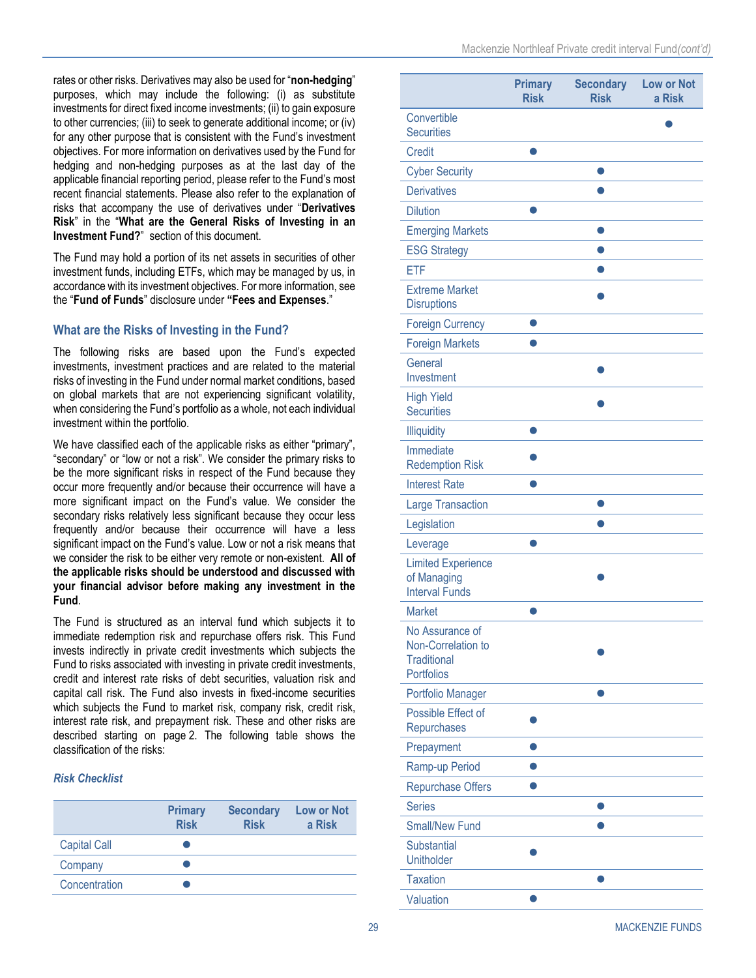rates or other risks. Derivatives may also be used for "**non-hedging**" purposes, which may include the following: (i) as substitute investments for direct fixed income investments; (ii) to gain exposure to other currencies; (iii) to seek to generate additional income; or (iv) for any other purpose that is consistent with the Fund's investment objectives. For more information on derivatives used by the Fund for hedging and non-hedging purposes as at the last day of the applicable financial reporting period, please refer to the Fund's most recent financial statements. Please also refer to the explanation of risks that accompany the use of derivatives under "**[Derivatives](#page-6-0)  [Risk](#page-6-0)**" in the "**What are the General Risks of Investing in an Investment Fund?**" section of this document.

The Fund may hold a portion of its net assets in securities of other investment funds, including ETFs, which may be managed by us, in accordance with its investment objectives. For more information, see the "**[Fund of Funds](#page-21-0)**" disclosure under **"Fees and [Expenses](#page-18-0)**."

# **What are the Risks of Investing in the Fund?**

The following risks are based upon the Fund's expected investments, investment practices and are related to the material risks of investing in the Fund under normal market conditions, based on global markets that are not experiencing significant volatility, when considering the Fund's portfolio as a whole, not each individual investment within the portfolio.

We have classified each of the applicable risks as either "primary", "secondary" or "low or not a risk". We consider the primary risks to be the more significant risks in respect of the Fund because they occur more frequently and/or because their occurrence will have a more significant impact on the Fund's value. We consider the secondary risks relatively less significant because they occur less frequently and/or because their occurrence will have a less significant impact on the Fund's value. Low or not a risk means that we consider the risk to be either very remote or non-existent. **All of the applicable risks should be understood and discussed with your financial advisor before making any investment in the Fund**.

The Fund is structured as an interval fund which subjects it to immediate redemption risk and repurchase offers risk. This Fund invests indirectly in private credit investments which subjects the Fund to risks associated with investing in private credit investments, credit and interest rate risks of debt securities, valuation risk and capital call risk. The Fund also invests in fixed-income securities which subjects the Fund to market risk, company risk, credit risk, interest rate risk, and prepayment risk. These and other risks are described starting on page 2. The following table shows the classification of the risks:

#### *Risk Checklist*

|                     | <b>Primary</b><br><b>Risk</b> | <b>Secondary</b><br><b>Risk</b> | Low or Not<br>a Risk |
|---------------------|-------------------------------|---------------------------------|----------------------|
| <b>Capital Call</b> |                               |                                 |                      |
| Company             |                               |                                 |                      |
| Concentration       |                               |                                 |                      |

|                                                                                  | <b>Primary</b><br><b>Risk</b> | <b>Secondary</b><br><b>Risk</b> | <b>Low or Not</b><br>a Risk |
|----------------------------------------------------------------------------------|-------------------------------|---------------------------------|-----------------------------|
| Convertible<br><b>Securities</b>                                                 |                               |                                 |                             |
| <b>Credit</b>                                                                    |                               |                                 |                             |
| <b>Cyber Security</b>                                                            |                               |                                 |                             |
| <b>Derivatives</b>                                                               |                               |                                 |                             |
| <b>Dilution</b>                                                                  |                               |                                 |                             |
| <b>Emerging Markets</b>                                                          |                               |                                 |                             |
| <b>ESG Strategy</b>                                                              |                               |                                 |                             |
| <b>ETF</b>                                                                       |                               |                                 |                             |
| <b>Extreme Market</b><br><b>Disruptions</b>                                      |                               |                                 |                             |
| <b>Foreign Currency</b>                                                          |                               |                                 |                             |
| <b>Foreign Markets</b>                                                           |                               |                                 |                             |
| General<br>Investment                                                            |                               |                                 |                             |
| <b>High Yield</b><br><b>Securities</b>                                           |                               |                                 |                             |
| <b>Illiquidity</b>                                                               |                               |                                 |                             |
| Immediate<br><b>Redemption Risk</b>                                              |                               |                                 |                             |
| <b>Interest Rate</b>                                                             |                               |                                 |                             |
| <b>Large Transaction</b>                                                         |                               |                                 |                             |
| Legislation                                                                      |                               |                                 |                             |
| Leverage                                                                         |                               |                                 |                             |
| <b>Limited Experience</b><br>of Managing<br><b>Interval Funds</b>                |                               |                                 |                             |
| <b>Market</b>                                                                    |                               |                                 |                             |
| No Assurance of<br>Non-Correlation to<br><b>Traditional</b><br><b>Portfolios</b> |                               |                                 |                             |
| Portfolio Manager                                                                |                               |                                 |                             |
| Possible Effect of<br>Repurchases                                                |                               |                                 |                             |
| Prepayment                                                                       |                               |                                 |                             |
| Ramp-up Period                                                                   |                               |                                 |                             |
| Repurchase Offers                                                                |                               |                                 |                             |
| <b>Series</b>                                                                    |                               |                                 |                             |
| <b>Small/New Fund</b>                                                            |                               |                                 |                             |
| Substantial<br><b>Unitholder</b>                                                 |                               |                                 |                             |
| <b>Taxation</b>                                                                  |                               |                                 |                             |
| Valuation                                                                        |                               |                                 |                             |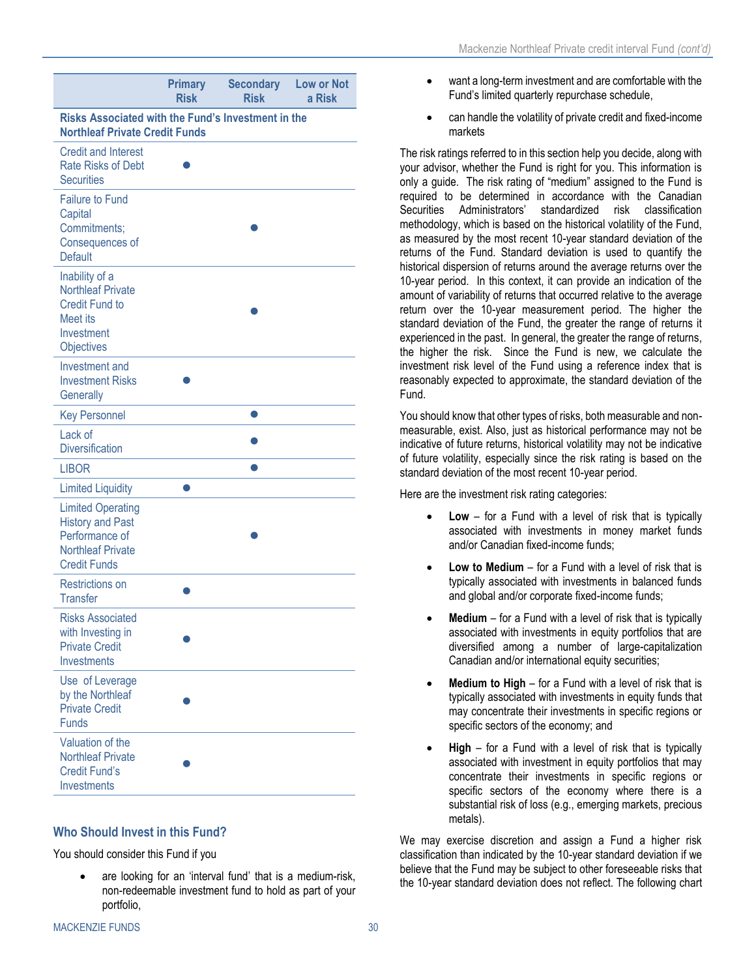|                                                                                                                          | <b>Primary</b><br><b>Risk</b> | <b>Secondary</b><br><b>Risk</b> | <b>Low or Not</b><br>a Risk |  |
|--------------------------------------------------------------------------------------------------------------------------|-------------------------------|---------------------------------|-----------------------------|--|
| <b>Risks Associated with the Fund's Investment in the</b><br><b>Northleaf Private Credit Funds</b>                       |                               |                                 |                             |  |
| <b>Credit and Interest</b><br><b>Rate Risks of Debt</b><br><b>Securities</b>                                             |                               |                                 |                             |  |
| <b>Failure to Fund</b><br>Capital<br>Commitments;<br>Consequences of<br><b>Default</b>                                   |                               |                                 |                             |  |
| Inability of a<br><b>Northleaf Private</b><br><b>Credit Fund to</b><br>Meet its<br>Investment<br>Objectives              |                               |                                 |                             |  |
| Investment and<br><b>Investment Risks</b><br>Generally                                                                   |                               |                                 |                             |  |
| <b>Key Personnel</b>                                                                                                     |                               |                                 |                             |  |
| Lack of<br><b>Diversification</b>                                                                                        |                               |                                 |                             |  |
| <b>LIBOR</b>                                                                                                             |                               |                                 |                             |  |
| <b>Limited Liquidity</b>                                                                                                 |                               |                                 |                             |  |
| <b>Limited Operating</b><br><b>History and Past</b><br>Performance of<br><b>Northleaf Private</b><br><b>Credit Funds</b> |                               |                                 |                             |  |
| <b>Restrictions on</b><br><b>Transfer</b>                                                                                |                               |                                 |                             |  |
| <b>Risks Associated</b><br>with Investing in<br><b>Private Credit</b><br>Investments                                     |                               |                                 |                             |  |
| Use of Leverage<br>by the Northleaf<br><b>Private Credit</b><br><b>Funds</b>                                             |                               |                                 |                             |  |
| Valuation of the<br><b>Northleaf Private</b><br><b>Credit Fund's</b><br>Investments                                      |                               |                                 |                             |  |

#### **Who Should Invest in this Fund?**

You should consider this Fund if you

are looking for an 'interval fund' that is a medium-risk, non-redeemable investment fund to hold as part of your portfolio,

- want a long-term investment and are comfortable with the Fund's limited quarterly repurchase schedule,
- can handle the volatility of private credit and fixed-income markets

The risk ratings referred to in this section help you decide, along with your advisor, whether the Fund is right for you. This information is only a guide. The risk rating of "medium" assigned to the Fund is required to be determined in accordance with the Canadian Securities Administrators' standardized risk classification methodology, which is based on the historical volatility of the Fund, as measured by the most recent 10-year standard deviation of the returns of the Fund. Standard deviation is used to quantify the historical dispersion of returns around the average returns over the 10-year period. In this context, it can provide an indication of the amount of variability of returns that occurred relative to the average return over the 10-year measurement period. The higher the standard deviation of the Fund, the greater the range of returns it experienced in the past. In general, the greater the range of returns, the higher the risk. Since the Fund is new, we calculate the investment risk level of the Fund using a reference index that is reasonably expected to approximate, the standard deviation of the Fund.

You should know that other types of risks, both measurable and nonmeasurable, exist. Also, just as historical performance may not be indicative of future returns, historical volatility may not be indicative of future volatility, especially since the risk rating is based on the standard deviation of the most recent 10-year period.

Here are the investment risk rating categories:

- **Low** for a Fund with a level of risk that is typically associated with investments in money market funds and/or Canadian fixed-income funds;
- **Low to Medium** for a Fund with a level of risk that is typically associated with investments in balanced funds and global and/or corporate fixed-income funds;
- **Medium** for a Fund with a level of risk that is typically associated with investments in equity portfolios that are diversified among a number of large-capitalization Canadian and/or international equity securities;
- **Medium to High** for a Fund with a level of risk that is typically associated with investments in equity funds that may concentrate their investments in specific regions or specific sectors of the economy; and
- **High** for a Fund with a level of risk that is typically associated with investment in equity portfolios that may concentrate their investments in specific regions or specific sectors of the economy where there is a substantial risk of loss (e.g., emerging markets, precious metals).

We may exercise discretion and assign a Fund a higher risk classification than indicated by the 10-year standard deviation if we believe that the Fund may be subject to other foreseeable risks that the 10-year standard deviation does not reflect. The following chart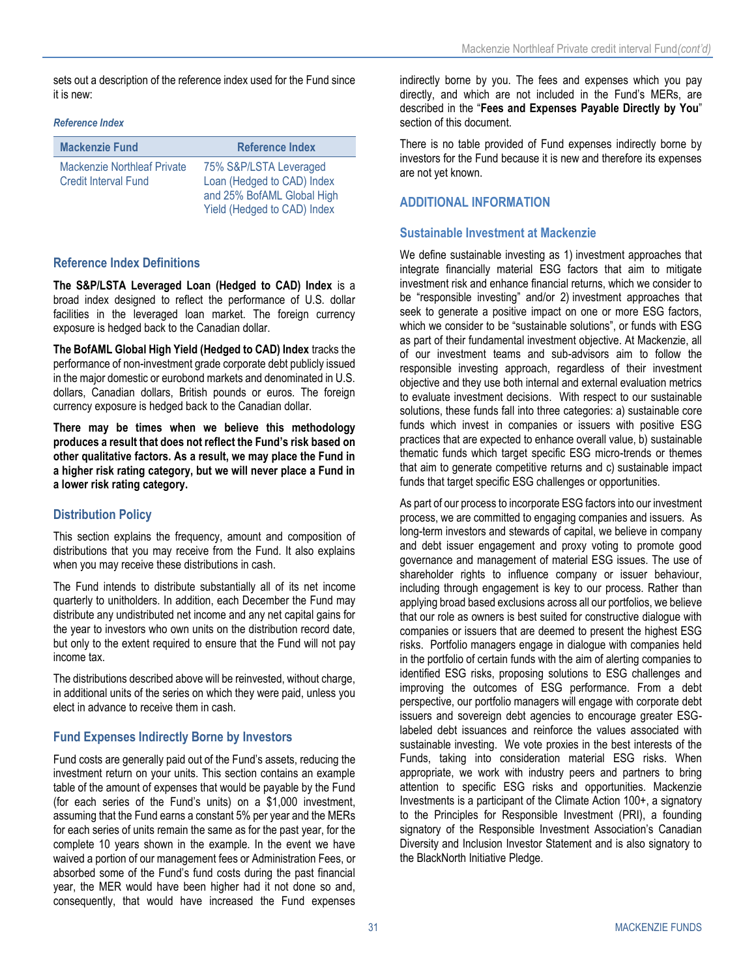sets out a description of the reference index used for the Fund since it is new:

#### *Reference Index*

| <b>Mackenzie Fund</b>                                             | <b>Reference Index</b>                                                                                            |
|-------------------------------------------------------------------|-------------------------------------------------------------------------------------------------------------------|
| <b>Mackenzie Northleaf Private</b><br><b>Credit Interval Fund</b> | 75% S&P/LSTA Leveraged<br>Loan (Hedged to CAD) Index<br>and 25% BofAML Global High<br>Yield (Hedged to CAD) Index |

# **Reference Index Definitions**

**The S&P/LSTA Leveraged Loan (Hedged to CAD) Index** is a broad index designed to reflect the performance of U.S. dollar facilities in the leveraged loan market. The foreign currency exposure is hedged back to the Canadian dollar.

**The BofAML Global High Yield (Hedged to CAD) Index** tracks the performance of non-investment grade corporate debt publicly issued in the major domestic or eurobond markets and denominated in U.S. dollars, Canadian dollars, British pounds or euros. The foreign currency exposure is hedged back to the Canadian dollar.

**There may be times when we believe this methodology produces a result that does not reflect the Fund's risk based on other qualitative factors. As a result, we may place the Fund in a higher risk rating category, but we will never place a Fund in a lower risk rating category.**

# **Distribution Policy**

This section explains the frequency, amount and composition of distributions that you may receive from the Fund. It also explains when you may receive these distributions in cash.

The Fund intends to distribute substantially all of its net income quarterly to unitholders. In addition, each December the Fund may distribute any undistributed net income and any net capital gains for the year to investors who own units on the distribution record date, but only to the extent required to ensure that the Fund will not pay income tax.

The distributions described above will be reinvested, without charge, in additional units of the series on which they were paid, unless you elect in advance to receive them in cash.

# **Fund Expenses Indirectly Borne by Investors**

Fund costs are generally paid out of the Fund's assets, reducing the investment return on your units. This section contains an example table of the amount of expenses that would be payable by the Fund (for each series of the Fund's units) on a \$1,000 investment, assuming that the Fund earns a constant 5% per year and the MERs for each series of units remain the same as for the past year, for the complete 10 years shown in the example. In the event we have waived a portion of our management fees or Administration Fees, or absorbed some of the Fund's fund costs during the past financial year, the MER would have been higher had it not done so and, consequently, that would have increased the Fund expenses indirectly borne by you. The fees and expenses which you pay directly, and which are not included in the Fund's MERs, are described in the "**Fees and [Expenses](#page-21-1) Payable Directly by You**" section of this document.

There is no table provided of Fund expenses indirectly borne by investors for the Fund because it is new and therefore its expenses are not yet known.

# **ADDITIONAL INFORMATION**

### **Sustainable Investment at Mackenzie**

We define sustainable investing as 1) investment approaches that integrate financially material ESG factors that aim to mitigate investment risk and enhance financial returns, which we consider to be "responsible investing" and/or 2) investment approaches that seek to generate a positive impact on one or more ESG factors, which we consider to be "sustainable solutions", or funds with ESG as part of their fundamental investment objective. At Mackenzie, all of our investment teams and sub-advisors aim to follow the responsible investing approach, regardless of their investment objective and they use both internal and external evaluation metrics to evaluate investment decisions. With respect to our sustainable solutions, these funds fall into three categories: a) sustainable core funds which invest in companies or issuers with positive ESG practices that are expected to enhance overall value, b) sustainable thematic funds which target specific ESG micro-trends or themes that aim to generate competitive returns and c) sustainable impact funds that target specific ESG challenges or opportunities.

As part of our process to incorporate ESG factors into our investment process, we are committed to engaging companies and issuers. As long-term investors and stewards of capital, we believe in company and debt issuer engagement and proxy voting to promote good governance and management of material ESG issues. The use of shareholder rights to influence company or issuer behaviour, including through engagement is key to our process. Rather than applying broad based exclusions across all our portfolios, we believe that our role as owners is best suited for constructive dialogue with companies or issuers that are deemed to present the highest ESG risks. Portfolio managers engage in dialogue with companies held in the portfolio of certain funds with the aim of alerting companies to identified ESG risks, proposing solutions to ESG challenges and improving the outcomes of ESG performance. From a debt perspective, our portfolio managers will engage with corporate debt issuers and sovereign debt agencies to encourage greater ESGlabeled debt issuances and reinforce the values associated with sustainable investing. We vote proxies in the best interests of the Funds, taking into consideration material ESG risks. When appropriate, we work with industry peers and partners to bring attention to specific ESG risks and opportunities. Mackenzie Investments is a participant of the Climate Action 100+, a signatory to the Principles for Responsible Investment (PRI), a founding signatory of the Responsible Investment Association's Canadian Diversity and Inclusion Investor Statement and is also signatory to the BlackNorth Initiative Pledge.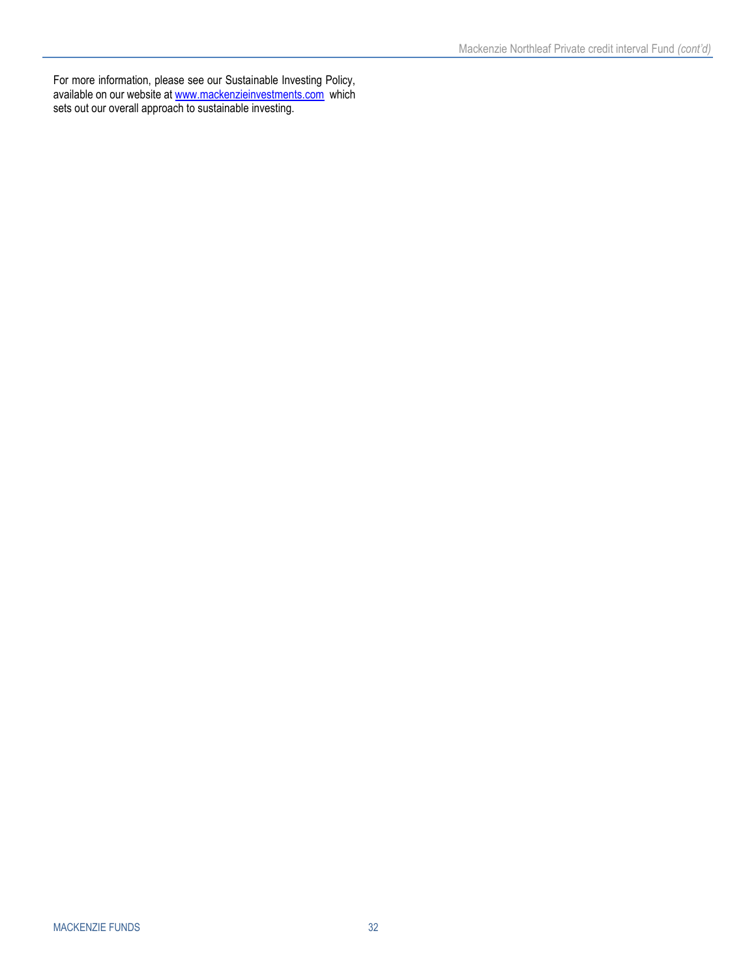For more information, please see our Sustainable Investing Policy, available on our website at [www.mackenzieinvestments.com](http://www.mackenzieinvestments.com/) which sets out our overall approach to sustainable investing.